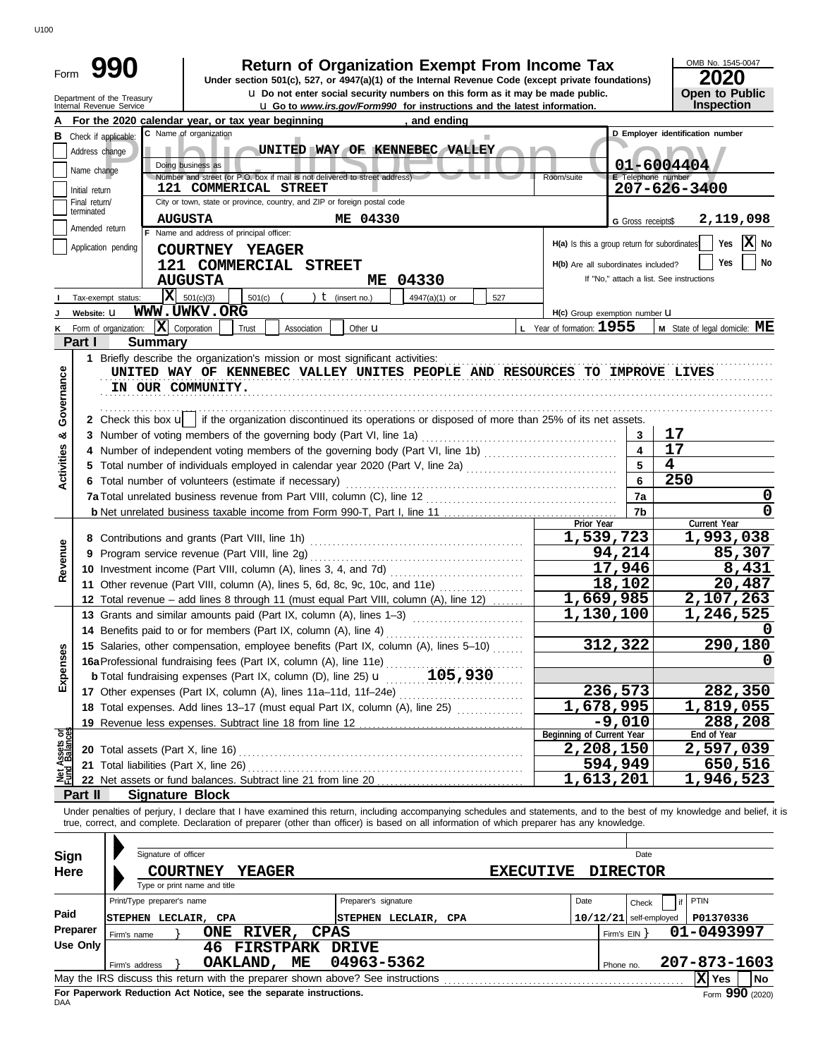| Form                           |                                                 | 990                                                    |                                                                                                                                                    | <b>Return of Organization Exempt From Income Tax</b>                                                                                                                                                                                                                                                                     |                                      |                                     | OMB No. 1545-0047                                                        |
|--------------------------------|-------------------------------------------------|--------------------------------------------------------|----------------------------------------------------------------------------------------------------------------------------------------------------|--------------------------------------------------------------------------------------------------------------------------------------------------------------------------------------------------------------------------------------------------------------------------------------------------------------------------|--------------------------------------|-------------------------------------|--------------------------------------------------------------------------|
|                                |                                                 |                                                        |                                                                                                                                                    | Under section 501(c), 527, or 4947(a)(1) of the Internal Revenue Code (except private foundations)<br><b>u</b> Do not enter social security numbers on this form as it may be made public.                                                                                                                               |                                      |                                     | 2020<br>Open to Public                                                   |
|                                |                                                 | Department of the Treasury<br>Internal Revenue Service |                                                                                                                                                    | <b>u</b> Go to www.irs.gov/Form990 for instructions and the latest information.                                                                                                                                                                                                                                          |                                      |                                     | Inspection                                                               |
|                                |                                                 |                                                        | For the 2020 calendar year, or tax year beginning and ending and ending                                                                            |                                                                                                                                                                                                                                                                                                                          |                                      |                                     |                                                                          |
|                                | Address change<br>Name change<br>Initial return | <b>B</b> Check if applicable:                          | C Name of organization<br>Doing business as<br>Number and street (or P.O. box if mail is not delivered to street address)<br>121 COMMERICAL STREET | ш<br>UNITED WAY OF KENNEBEC VALLEY                                                                                                                                                                                                                                                                                       | Room/suite                           | E Telephone number                  | D Employer identification number<br>01-6004404<br>$207 - 626 - 3400$     |
|                                | Final return/                                   |                                                        | City or town, state or province, country, and ZIP or foreign postal code                                                                           |                                                                                                                                                                                                                                                                                                                          |                                      |                                     |                                                                          |
|                                | terminated<br>Amended return                    |                                                        | <b>AUGUSTA</b>                                                                                                                                     | ME 04330                                                                                                                                                                                                                                                                                                                 |                                      | G Gross receipts\$                  | 2,119,098                                                                |
|                                |                                                 |                                                        | F Name and address of principal officer:                                                                                                           |                                                                                                                                                                                                                                                                                                                          |                                      |                                     | $ \mathbf{X} $ No<br>Yes<br>H(a) Is this a group return for subordinates |
|                                |                                                 | Application pending                                    | COURTNEY YEAGER<br>121 COMMERCIAL STREET<br><b>AUGUSTA</b>                                                                                         | ME 04330                                                                                                                                                                                                                                                                                                                 |                                      | H(b) Are all subordinates included? | Yes<br>No<br>If "No," attach a list. See instructions                    |
|                                |                                                 | x <br>Tax-exempt status:                               | 501(c)(3)<br>$501(c)$ (                                                                                                                            | ) $t$ (insert no.)<br>4947(a)(1) or<br>527                                                                                                                                                                                                                                                                               |                                      |                                     |                                                                          |
| J                              | Website: U                                      |                                                        | <b>WWW.UWKV.ORG</b>                                                                                                                                |                                                                                                                                                                                                                                                                                                                          | H(c) Group exemption number <b>U</b> |                                     |                                                                          |
| κ                              |                                                 | Form of organization:                                  | $ \mathbf{X} $ Corporation<br>Trust<br>Association                                                                                                 | Other <b>u</b>                                                                                                                                                                                                                                                                                                           | L Year of formation: $1955$          |                                     | <b>M</b> State of legal domicile: $ME$                                   |
|                                | Part I                                          | <b>Summary</b>                                         |                                                                                                                                                    |                                                                                                                                                                                                                                                                                                                          |                                      |                                     |                                                                          |
| Governance                     |                                                 | IN OUR COMMUNITY.                                      |                                                                                                                                                    | UNITED WAY OF KENNEBEC VALLEY UNITES PEOPLE AND RESOURCES TO IMPROVE LIVES                                                                                                                                                                                                                                               |                                      |                                     |                                                                          |
|                                |                                                 |                                                        |                                                                                                                                                    | 2 Check this box $\mathbf{u}$ if the organization discontinued its operations or disposed of more than 25% of its net assets.                                                                                                                                                                                            |                                      |                                     |                                                                          |
| య                              |                                                 |                                                        |                                                                                                                                                    |                                                                                                                                                                                                                                                                                                                          |                                      |                                     | 17<br>17                                                                 |
|                                |                                                 |                                                        |                                                                                                                                                    |                                                                                                                                                                                                                                                                                                                          |                                      |                                     | $\overline{\mathbf{4}}$                                                  |
| <b>Activities</b>              |                                                 |                                                        |                                                                                                                                                    |                                                                                                                                                                                                                                                                                                                          | 250                                  |                                     |                                                                          |
|                                |                                                 |                                                        | 6 Total number of volunteers (estimate if necessary)                                                                                               |                                                                                                                                                                                                                                                                                                                          |                                      |                                     |                                                                          |
|                                |                                                 |                                                        |                                                                                                                                                    |                                                                                                                                                                                                                                                                                                                          |                                      | 7a                                  | $\mathbf 0$                                                              |
|                                |                                                 |                                                        |                                                                                                                                                    |                                                                                                                                                                                                                                                                                                                          | Prior Year                           | 7b                                  | Current Year                                                             |
|                                |                                                 |                                                        |                                                                                                                                                    |                                                                                                                                                                                                                                                                                                                          |                                      | 1,539,723                           | 1,993,038                                                                |
|                                |                                                 |                                                        | 9 Program service revenue (Part VIII, line 2g)                                                                                                     |                                                                                                                                                                                                                                                                                                                          |                                      | 94,214                              | 85,307                                                                   |
| Revenue                        |                                                 |                                                        |                                                                                                                                                    |                                                                                                                                                                                                                                                                                                                          |                                      | 17,946                              | 8,431                                                                    |
|                                |                                                 |                                                        |                                                                                                                                                    | 11 Other revenue (Part VIII, column (A), lines 5, 6d, 8c, 9c, 10c, and 11e)                                                                                                                                                                                                                                              |                                      | 18,102                              | 20,487                                                                   |
|                                |                                                 |                                                        |                                                                                                                                                    | 12 Total revenue - add lines 8 through 11 (must equal Part VIII, column (A), line 12)                                                                                                                                                                                                                                    |                                      | 1,669,985                           | 2,107,263                                                                |
|                                |                                                 |                                                        |                                                                                                                                                    | 13 Grants and similar amounts paid (Part IX, column (A), lines 1-3)                                                                                                                                                                                                                                                      |                                      | 1,130,100                           | 1,246,525                                                                |
|                                |                                                 |                                                        | 14 Benefits paid to or for members (Part IX, column (A), line 4)                                                                                   |                                                                                                                                                                                                                                                                                                                          |                                      |                                     |                                                                          |
|                                |                                                 |                                                        |                                                                                                                                                    | 15 Salaries, other compensation, employee benefits (Part IX, column (A), lines 5-10)                                                                                                                                                                                                                                     |                                      | 312,322                             | 290,180                                                                  |
| Expenses                       |                                                 |                                                        |                                                                                                                                                    |                                                                                                                                                                                                                                                                                                                          |                                      |                                     |                                                                          |
|                                |                                                 |                                                        |                                                                                                                                                    |                                                                                                                                                                                                                                                                                                                          |                                      |                                     |                                                                          |
|                                |                                                 |                                                        | 17 Other expenses (Part IX, column (A), lines 11a-11d, 11f-24e)                                                                                    |                                                                                                                                                                                                                                                                                                                          |                                      | 236,573                             | 282,350                                                                  |
|                                |                                                 |                                                        |                                                                                                                                                    |                                                                                                                                                                                                                                                                                                                          |                                      | 1,678,995                           | 1,819,055                                                                |
|                                |                                                 |                                                        | 19 Revenue less expenses. Subtract line 18 from line 12                                                                                            |                                                                                                                                                                                                                                                                                                                          |                                      | $-9,010$                            | 288,208                                                                  |
| Net Assets or<br>Fund Balances |                                                 |                                                        |                                                                                                                                                    |                                                                                                                                                                                                                                                                                                                          | Beginning of Current Year            |                                     | End of Year                                                              |
|                                |                                                 |                                                        |                                                                                                                                                    | 20 Total assets (Part X, line 16) Mathematical and Total and Total assets (Part X, line 16)                                                                                                                                                                                                                              |                                      | 2,208,150                           | 2,597,039                                                                |
|                                |                                                 |                                                        |                                                                                                                                                    |                                                                                                                                                                                                                                                                                                                          |                                      | 594,949                             | <u>650,516</u>                                                           |
|                                |                                                 |                                                        |                                                                                                                                                    |                                                                                                                                                                                                                                                                                                                          |                                      | 1,613,201                           | 1,946,523                                                                |
|                                | Part II                                         | <b>Signature Block</b>                                 |                                                                                                                                                    |                                                                                                                                                                                                                                                                                                                          |                                      |                                     |                                                                          |
|                                |                                                 |                                                        |                                                                                                                                                    | Under penalties of perjury, I declare that I have examined this return, including accompanying schedules and statements, and to the best of my knowledge and belief, it is<br>true, correct, and complete. Declaration of preparer (other than officer) is based on all information of which preparer has any knowledge. |                                      |                                     |                                                                          |
| <b>Sign</b>                    |                                                 | Signature of officer                                   |                                                                                                                                                    |                                                                                                                                                                                                                                                                                                                          |                                      | Date                                |                                                                          |
| <b>Here</b>                    |                                                 |                                                        | <b>COURTNEY</b><br><b>YEAGER</b>                                                                                                                   | <b>EXECUTIVE</b>                                                                                                                                                                                                                                                                                                         | <b>DIRECTOR</b>                      |                                     |                                                                          |
|                                |                                                 |                                                        | Type or print name and title                                                                                                                       |                                                                                                                                                                                                                                                                                                                          |                                      |                                     |                                                                          |
|                                |                                                 | Print/Type preparer's name                             |                                                                                                                                                    | Preparer's signature                                                                                                                                                                                                                                                                                                     | Date                                 | Check                               | PTIN                                                                     |
| Paid                           |                                                 | STEPHEN LECLAIR, CPA                                   |                                                                                                                                                    | STEPHEN LECLAIR, CPA                                                                                                                                                                                                                                                                                                     |                                      | $10/12/21$ self-employed            | P01370336                                                                |
|                                | Preparer                                        | Firm's name                                            | ONE RIVER,                                                                                                                                         | <b>CPAS</b>                                                                                                                                                                                                                                                                                                              |                                      | Firm's $EIN$ }                      | 01-0493997                                                               |
|                                | <b>Use Only</b>                                 |                                                        | <b>46 FIRSTPARK</b>                                                                                                                                | <b>DRIVE</b>                                                                                                                                                                                                                                                                                                             |                                      |                                     |                                                                          |
|                                |                                                 | Firm's address                                         | OAKLAND, ME                                                                                                                                        | 04963-5362                                                                                                                                                                                                                                                                                                               |                                      | Phone no.                           | 207-873-1603                                                             |
|                                |                                                 |                                                        |                                                                                                                                                    |                                                                                                                                                                                                                                                                                                                          |                                      |                                     | $ X $ Yes<br><b>No</b>                                                   |

|     | Firm's address | OAKLAND,                                                           | ME | 04963-5362                                                                      | Phone no. | 207-873-1603 |                   |           |  |
|-----|----------------|--------------------------------------------------------------------|----|---------------------------------------------------------------------------------|-----------|--------------|-------------------|-----------|--|
|     |                |                                                                    |    | May the IRS discuss this return with the preparer shown above? See instructions |           |              | Yes.              | <b>No</b> |  |
| DAA |                | For Paperwork Reduction Act Notice, see the separate instructions. |    |                                                                                 |           |              | Form $990$ (2020) |           |  |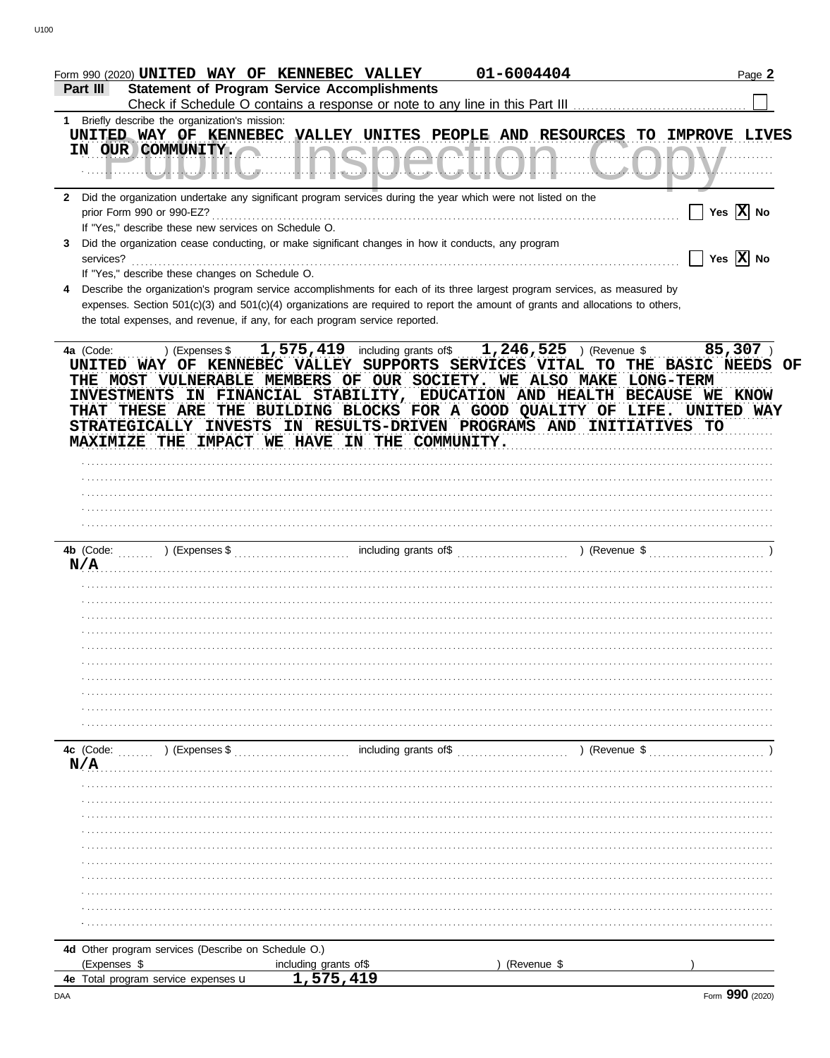| Form 990 (2020) UNITED WAY OF KENNEBEC VALLEY                                                                        |                                                     | 01-6004404                                                                                                                                                                                                                                                                                                         | Page 2                                                  |
|----------------------------------------------------------------------------------------------------------------------|-----------------------------------------------------|--------------------------------------------------------------------------------------------------------------------------------------------------------------------------------------------------------------------------------------------------------------------------------------------------------------------|---------------------------------------------------------|
| Part III                                                                                                             | <b>Statement of Program Service Accomplishments</b> |                                                                                                                                                                                                                                                                                                                    |                                                         |
| Briefly describe the organization's mission:<br>1                                                                    |                                                     |                                                                                                                                                                                                                                                                                                                    |                                                         |
| UNITED WAY OF KENNEBEC VALLEY UNITES PEOPLE AND RESOURCES TO IMPROVE LIVES                                           |                                                     |                                                                                                                                                                                                                                                                                                                    |                                                         |
| IN OUR COMMUNITY.                                                                                                    | <u>IAAIAAAIIA</u>                                   | .                                                                                                                                                                                                                                                                                                                  |                                                         |
| المتناط المستقيلة الطائبة والمائية                                                                                   |                                                     | <u>UZANTZA NUZITU IN NUZITU IN</u>                                                                                                                                                                                                                                                                                 |                                                         |
| 2 Did the organization undertake any significant program services during the year which were not listed on the       |                                                     |                                                                                                                                                                                                                                                                                                                    |                                                         |
| prior Form 990 or 990-EZ?                                                                                            |                                                     |                                                                                                                                                                                                                                                                                                                    | Yes $\overline{X}$ No                                   |
| If "Yes," describe these new services on Schedule O.                                                                 |                                                     |                                                                                                                                                                                                                                                                                                                    |                                                         |
| Did the organization cease conducting, or make significant changes in how it conducts, any program<br>3<br>services? |                                                     |                                                                                                                                                                                                                                                                                                                    | $\overline{\phantom{x}}$ Yes $\overline{\mathrm{X}}$ No |
| If "Yes," describe these changes on Schedule O.                                                                      |                                                     |                                                                                                                                                                                                                                                                                                                    |                                                         |
|                                                                                                                      |                                                     | Describe the organization's program service accomplishments for each of its three largest program services, as measured by                                                                                                                                                                                         |                                                         |
|                                                                                                                      |                                                     | expenses. Section 501(c)(3) and 501(c)(4) organizations are required to report the amount of grants and allocations to others,                                                                                                                                                                                     |                                                         |
| the total expenses, and revenue, if any, for each program service reported.                                          |                                                     |                                                                                                                                                                                                                                                                                                                    |                                                         |
|                                                                                                                      |                                                     |                                                                                                                                                                                                                                                                                                                    |                                                         |
| 4a (Code:<br>UNITED WAY OF KENNEBEC VALLEY SUPPORTS SERVICES VITAL TO THE BASIC NEEDS OF                             |                                                     | ) (Expenses \$ $1,575,419$ including grants of \$ $1,246,525$ ) (Revenue \$ 85,307)<br>THE MOST VULNERABLE MEMBERS OF OUR SOCIETY. WE ALSO MAKE LONG-TERM<br>INVESTMENTS IN FINANCIAL STABILITY, EDUCATION AND HEALTH BECAUSE WE KNOW<br>THAT THESE ARE THE BUILDING BLOCKS FOR A GOOD QUALITY OF LIFE. UNITED WAY |                                                         |
| STRATEGICALLY INVESTS                                                                                                |                                                     | IN RESULTS-DRIVEN PROGRAMS AND INITIATIVES TO                                                                                                                                                                                                                                                                      |                                                         |
| MAXIMIZE THE IMPACT WE HAVE IN THE COMMUNITY.                                                                        |                                                     |                                                                                                                                                                                                                                                                                                                    |                                                         |
|                                                                                                                      |                                                     |                                                                                                                                                                                                                                                                                                                    |                                                         |
|                                                                                                                      |                                                     |                                                                                                                                                                                                                                                                                                                    |                                                         |
|                                                                                                                      |                                                     |                                                                                                                                                                                                                                                                                                                    |                                                         |
|                                                                                                                      |                                                     |                                                                                                                                                                                                                                                                                                                    |                                                         |
|                                                                                                                      |                                                     |                                                                                                                                                                                                                                                                                                                    |                                                         |
|                                                                                                                      |                                                     |                                                                                                                                                                                                                                                                                                                    |                                                         |
| N/A                                                                                                                  |                                                     |                                                                                                                                                                                                                                                                                                                    |                                                         |
|                                                                                                                      |                                                     |                                                                                                                                                                                                                                                                                                                    |                                                         |
|                                                                                                                      |                                                     |                                                                                                                                                                                                                                                                                                                    |                                                         |
|                                                                                                                      |                                                     |                                                                                                                                                                                                                                                                                                                    |                                                         |
|                                                                                                                      |                                                     |                                                                                                                                                                                                                                                                                                                    |                                                         |
|                                                                                                                      |                                                     |                                                                                                                                                                                                                                                                                                                    |                                                         |
|                                                                                                                      |                                                     |                                                                                                                                                                                                                                                                                                                    |                                                         |
|                                                                                                                      |                                                     |                                                                                                                                                                                                                                                                                                                    |                                                         |
|                                                                                                                      |                                                     |                                                                                                                                                                                                                                                                                                                    |                                                         |
|                                                                                                                      |                                                     |                                                                                                                                                                                                                                                                                                                    |                                                         |
| 4c (Code:<br>) (Expenses \$                                                                                          | including grants of\$                               | ) (Revenue \$                                                                                                                                                                                                                                                                                                      |                                                         |
| N/A                                                                                                                  |                                                     |                                                                                                                                                                                                                                                                                                                    |                                                         |
|                                                                                                                      |                                                     |                                                                                                                                                                                                                                                                                                                    |                                                         |
|                                                                                                                      |                                                     |                                                                                                                                                                                                                                                                                                                    |                                                         |
|                                                                                                                      |                                                     |                                                                                                                                                                                                                                                                                                                    |                                                         |
|                                                                                                                      |                                                     |                                                                                                                                                                                                                                                                                                                    |                                                         |
|                                                                                                                      |                                                     |                                                                                                                                                                                                                                                                                                                    |                                                         |
|                                                                                                                      |                                                     |                                                                                                                                                                                                                                                                                                                    |                                                         |
|                                                                                                                      |                                                     |                                                                                                                                                                                                                                                                                                                    |                                                         |
|                                                                                                                      |                                                     |                                                                                                                                                                                                                                                                                                                    |                                                         |
|                                                                                                                      |                                                     |                                                                                                                                                                                                                                                                                                                    |                                                         |
|                                                                                                                      |                                                     |                                                                                                                                                                                                                                                                                                                    |                                                         |
| 4d Other program services (Describe on Schedule O.)                                                                  |                                                     |                                                                                                                                                                                                                                                                                                                    |                                                         |
|                                                                                                                      |                                                     |                                                                                                                                                                                                                                                                                                                    |                                                         |
| (Expenses \$                                                                                                         | including grants of\$                               | (Revenue \$                                                                                                                                                                                                                                                                                                        |                                                         |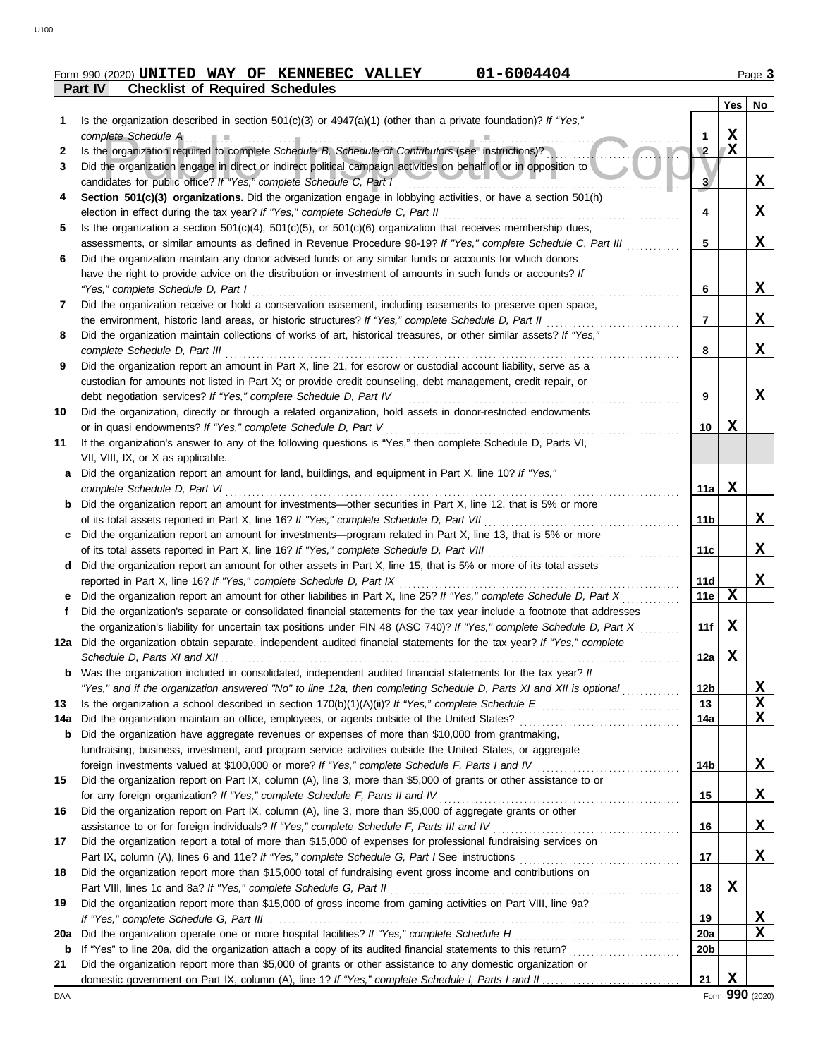# **Part IV Checklist of Required Schedules Form 990 (2020) UNITED WAY OF KENNEBEC VALLEY 01-6004404** Page 3

|     |                                                                                                                                                                                   |                 | Yes         | No |
|-----|-----------------------------------------------------------------------------------------------------------------------------------------------------------------------------------|-----------------|-------------|----|
| 1   | Is the organization described in section $501(c)(3)$ or $4947(a)(1)$ (other than a private foundation)? If "Yes,"                                                                 |                 |             |    |
|     | complete Schedule A                                                                                                                                                               | 1               | X           |    |
| 2   | Is the organization required to complete Schedule B, Schedule of Contributors (see instructions)?                                                                                 | $\overline{2}$  | X           |    |
| 3   | Did the organization engage in direct or indirect political campaign activities on behalf of or in opposition to                                                                  |                 |             |    |
|     | candidates for public office? If "Yes," complete Schedule C, Part I                                                                                                               | 3 <sup>7</sup>  |             | X  |
| 4   | Section 501(c)(3) organizations. Did the organization engage in lobbying activities, or have a section 501(h)                                                                     |                 |             |    |
|     | election in effect during the tax year? If "Yes," complete Schedule C, Part II                                                                                                    | 4               |             | X  |
| 5   | Is the organization a section $501(c)(4)$ , $501(c)(5)$ , or $501(c)(6)$ organization that receives membership dues,                                                              |                 |             |    |
|     | assessments, or similar amounts as defined in Revenue Procedure 98-19? If "Yes," complete Schedule C, Part III                                                                    | 5               |             | X  |
| 6   | Did the organization maintain any donor advised funds or any similar funds or accounts for which donors                                                                           |                 |             |    |
|     | have the right to provide advice on the distribution or investment of amounts in such funds or accounts? If                                                                       |                 |             |    |
|     | "Yes," complete Schedule D, Part I                                                                                                                                                | 6               |             | X  |
| 7   | Did the organization receive or hold a conservation easement, including easements to preserve open space,                                                                         |                 |             |    |
|     | the environment, historic land areas, or historic structures? If "Yes," complete Schedule D, Part II                                                                              | 7               |             | X  |
| 8   | Did the organization maintain collections of works of art, historical treasures, or other similar assets? If "Yes,"                                                               |                 |             |    |
|     | complete Schedule D, Part III                                                                                                                                                     | 8               |             | X  |
| 9   | Did the organization report an amount in Part X, line 21, for escrow or custodial account liability, serve as a                                                                   |                 |             |    |
|     | custodian for amounts not listed in Part X; or provide credit counseling, debt management, credit repair, or                                                                      | 9               |             | X  |
|     | debt negotiation services? If "Yes," complete Schedule D, Part IV<br>Did the organization, directly or through a related organization, hold assets in donor-restricted endowments |                 |             |    |
| 10  | or in quasi endowments? If "Yes," complete Schedule D, Part V                                                                                                                     | 10              | x           |    |
| 11  | If the organization's answer to any of the following questions is "Yes," then complete Schedule D, Parts VI,                                                                      |                 |             |    |
|     | VII, VIII, IX, or X as applicable.                                                                                                                                                |                 |             |    |
| a   | Did the organization report an amount for land, buildings, and equipment in Part X, line 10? If "Yes,"                                                                            |                 |             |    |
|     | complete Schedule D, Part VI                                                                                                                                                      | 11a             | X           |    |
| b   | Did the organization report an amount for investments—other securities in Part X, line 12, that is 5% or more                                                                     |                 |             |    |
|     | of its total assets reported in Part X, line 16? If "Yes," complete Schedule D, Part VII                                                                                          | 11b             |             | X  |
| c   | Did the organization report an amount for investments—program related in Part X, line 13, that is 5% or more                                                                      |                 |             |    |
|     | of its total assets reported in Part X, line 16? If "Yes," complete Schedule D, Part VIII                                                                                         | 11c             |             | X  |
| d   | Did the organization report an amount for other assets in Part X, line 15, that is 5% or more of its total assets                                                                 |                 |             |    |
|     | reported in Part X, line 16? If "Yes," complete Schedule D, Part IX                                                                                                               | 11d             |             | X  |
| е   | Did the organization report an amount for other liabilities in Part X, line 25? If "Yes," complete Schedule D, Part X                                                             | 11e             | $\mathbf x$ |    |
| Ť   | Did the organization's separate or consolidated financial statements for the tax year include a footnote that addresses                                                           |                 |             |    |
|     | the organization's liability for uncertain tax positions under FIN 48 (ASC 740)? If "Yes," complete Schedule D, Part X                                                            | 11f             | x           |    |
|     | 12a Did the organization obtain separate, independent audited financial statements for the tax year? If "Yes," complete                                                           |                 |             |    |
|     | Schedule D, Parts XI and XII                                                                                                                                                      | 12a             | X           |    |
|     | Was the organization included in consolidated, independent audited financial statements for the tax year? If                                                                      |                 |             |    |
|     | "Yes," and if the organization answered "No" to line 12a, then completing Schedule D, Parts XI and XII is optional                                                                | 12 <sub>b</sub> |             | X  |
| 13  |                                                                                                                                                                                   | 13              |             | X  |
| 14a | Did the organization maintain an office, employees, or agents outside of the United States?                                                                                       | 14a             |             | X  |
| b   | Did the organization have aggregate revenues or expenses of more than \$10,000 from grantmaking,                                                                                  |                 |             |    |
|     | fundraising, business, investment, and program service activities outside the United States, or aggregate                                                                         |                 |             |    |
|     | foreign investments valued at \$100,000 or more? If "Yes," complete Schedule F, Parts I and IV                                                                                    | 14b             |             | X  |
| 15  | Did the organization report on Part IX, column (A), line 3, more than \$5,000 of grants or other assistance to or                                                                 |                 |             |    |
|     | for any foreign organization? If "Yes," complete Schedule F, Parts II and IV                                                                                                      | 15              |             | X  |
| 16  | Did the organization report on Part IX, column (A), line 3, more than \$5,000 of aggregate grants or other                                                                        |                 |             |    |
|     |                                                                                                                                                                                   | 16              |             | X  |
| 17  | Did the organization report a total of more than \$15,000 of expenses for professional fundraising services on                                                                    |                 |             | X  |
|     |                                                                                                                                                                                   | 17              |             |    |
| 18  | Did the organization report more than \$15,000 total of fundraising event gross income and contributions on                                                                       |                 | X           |    |
|     | Did the organization report more than \$15,000 of gross income from gaming activities on Part VIII, line 9a?                                                                      | 18              |             |    |
| 19  |                                                                                                                                                                                   | 19              |             | X  |
| 20a | Did the organization operate one or more hospital facilities? If "Yes," complete Schedule H                                                                                       | 20a             |             | X  |
| b   |                                                                                                                                                                                   | 20 <sub>b</sub> |             |    |
| 21  | Did the organization report more than \$5,000 of grants or other assistance to any domestic organization or                                                                       |                 |             |    |
|     |                                                                                                                                                                                   | 21              | X           |    |
|     |                                                                                                                                                                                   |                 |             |    |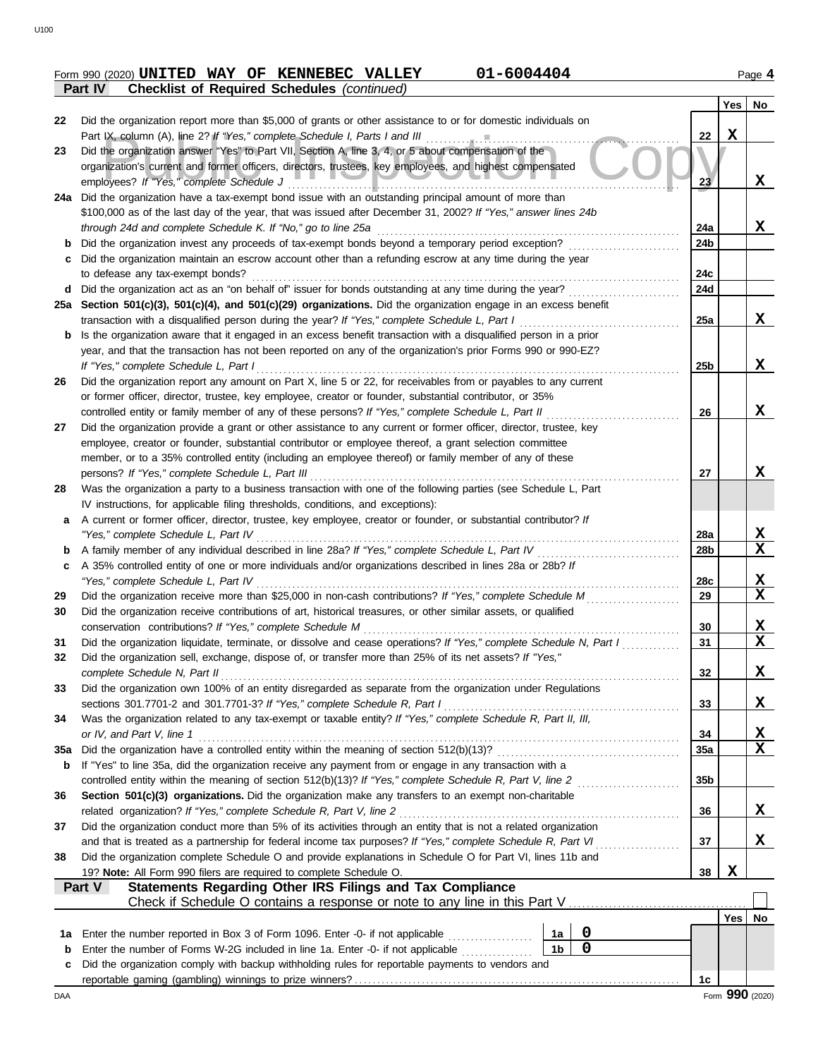#### Form 990 (2020) **UNITED WAY OF KENNEBEC VALLEY** 01-6004404 **1998 120 Page 4 Part IV Checklist of Required Schedules** *(continued)* **UNITED WAY OF KENNEBEC VALLEY 01-6004404**

|          | oncentral of negation ocheanes (commerci-                                                                                                                                                                                        |                 |             |             |
|----------|----------------------------------------------------------------------------------------------------------------------------------------------------------------------------------------------------------------------------------|-----------------|-------------|-------------|
| 22       | Did the organization report more than \$5,000 of grants or other assistance to or for domestic individuals on                                                                                                                    |                 | Yes         | No          |
|          | Part IX, column (A), line 2? If "Yes," complete Schedule I, Parts I and III                                                                                                                                                      | 22              | $\mathbf X$ |             |
| 23       | Did the organization answer "Yes" to Part VII, Section A, line 3, 4, or 5 about compensation of the                                                                                                                              |                 |             |             |
|          | organization's current and former officers, directors, trustees, key employees, and highest compensated                                                                                                                          |                 |             |             |
|          | employees? If "Yes," complete Schedule J                                                                                                                                                                                         | 23              |             | X           |
|          | 24a Did the organization have a tax-exempt bond issue with an outstanding principal amount of more than                                                                                                                          |                 |             |             |
|          | \$100,000 as of the last day of the year, that was issued after December 31, 2002? If "Yes," answer lines 24b<br>through 24d and complete Schedule K. If "No," go to line 25a                                                    | 24a             |             | X           |
| b        | Did the organization invest any proceeds of tax-exempt bonds beyond a temporary period exception?                                                                                                                                | 24b             |             |             |
| c        | Did the organization maintain an escrow account other than a refunding escrow at any time during the year                                                                                                                        |                 |             |             |
|          | to defease any tax-exempt bonds?                                                                                                                                                                                                 | 24c             |             |             |
| d        | Did the organization act as an "on behalf of" issuer for bonds outstanding at any time during the year?                                                                                                                          | 24d             |             |             |
|          | 25a Section 501(c)(3), 501(c)(4), and 501(c)(29) organizations. Did the organization engage in an excess benefit                                                                                                                 |                 |             |             |
|          | transaction with a disqualified person during the year? If "Yes," complete Schedule L, Part I                                                                                                                                    | 25a             |             | X           |
|          | Is the organization aware that it engaged in an excess benefit transaction with a disqualified person in a prior                                                                                                                 |                 |             |             |
|          | year, and that the transaction has not been reported on any of the organization's prior Forms 990 or 990-EZ?                                                                                                                     |                 |             |             |
|          | If "Yes," complete Schedule L, Part I                                                                                                                                                                                            | 25b             |             | X           |
| 26       | Did the organization report any amount on Part X, line 5 or 22, for receivables from or payables to any current                                                                                                                  |                 |             |             |
|          | or former officer, director, trustee, key employee, creator or founder, substantial contributor, or 35%<br>controlled entity or family member of any of these persons? If "Yes," complete Schedule L, Part II                    |                 |             | X           |
| 27       | Did the organization provide a grant or other assistance to any current or former officer, director, trustee, key                                                                                                                | 26              |             |             |
|          | employee, creator or founder, substantial contributor or employee thereof, a grant selection committee                                                                                                                           |                 |             |             |
|          | member, or to a 35% controlled entity (including an employee thereof) or family member of any of these                                                                                                                           |                 |             |             |
|          | persons? If "Yes," complete Schedule L, Part III                                                                                                                                                                                 | 27              |             | X           |
| 28       | Was the organization a party to a business transaction with one of the following parties (see Schedule L, Part                                                                                                                   |                 |             |             |
|          | IV instructions, for applicable filing thresholds, conditions, and exceptions):                                                                                                                                                  |                 |             |             |
| a        | A current or former officer, director, trustee, key employee, creator or founder, or substantial contributor? If                                                                                                                 |                 |             |             |
|          | "Yes," complete Schedule L, Part IV                                                                                                                                                                                              | 28a             |             | X           |
| b        | A family member of any individual described in line 28a? If "Yes," complete Schedule L, Part IV                                                                                                                                  | 28b             |             | X           |
| c        | A 35% controlled entity of one or more individuals and/or organizations described in lines 28a or 28b? If                                                                                                                        |                 |             |             |
|          | "Yes," complete Schedule L, Part IV<br>Did the organization receive more than \$25,000 in non-cash contributions? If "Yes," complete Schedule M                                                                                  | 28c             |             | X<br>X      |
| 29<br>30 | Did the organization receive contributions of art, historical treasures, or other similar assets, or qualified                                                                                                                   | 29              |             |             |
|          | conservation contributions? If "Yes," complete Schedule M                                                                                                                                                                        | 30              |             | <u>x</u>    |
| 31       | Did the organization liquidate, terminate, or dissolve and cease operations? If "Yes," complete Schedule N, Part I                                                                                                               | 31              |             | $\mathbf x$ |
| 32       | Did the organization sell, exchange, dispose of, or transfer more than 25% of its net assets? If "Yes,"                                                                                                                          |                 |             |             |
|          | complete Schedule N, Part II                                                                                                                                                                                                     | 32              |             | X           |
| 33       | Did the organization own 100% of an entity disregarded as separate from the organization under Regulations                                                                                                                       |                 |             |             |
|          | sections 301.7701-2 and 301.7701-3? If "Yes," complete Schedule R, Part I                                                                                                                                                        | 33              |             | X           |
| 34       | Was the organization related to any tax-exempt or taxable entity? If "Yes," complete Schedule R, Part II, III,                                                                                                                   |                 |             |             |
|          | or IV, and Part V, line 1                                                                                                                                                                                                        | 34              |             | X           |
| 35a      |                                                                                                                                                                                                                                  | 35a             |             | $\mathbf x$ |
| b        | If "Yes" to line 35a, did the organization receive any payment from or engage in any transaction with a                                                                                                                          |                 |             |             |
| 36       | Section 501(c)(3) organizations. Did the organization make any transfers to an exempt non-charitable                                                                                                                             | 35 <sub>b</sub> |             |             |
|          | related organization? If "Yes," complete Schedule R, Part V, line 2                                                                                                                                                              | 36              |             | X           |
| 37       | Did the organization conduct more than 5% of its activities through an entity that is not a related organization                                                                                                                 |                 |             |             |
|          | and that is treated as a partnership for federal income tax purposes? If "Yes," complete Schedule R, Part VI<br>and a straightful contract and a straight of the straight of the straight of the straight of the straight of the | 37              |             | X           |
| 38       | Did the organization complete Schedule O and provide explanations in Schedule O for Part VI, lines 11b and                                                                                                                       |                 |             |             |
|          | 19? Note: All Form 990 filers are required to complete Schedule O.                                                                                                                                                               | 38              | X           |             |
|          | Statements Regarding Other IRS Filings and Tax Compliance<br>Part V                                                                                                                                                              |                 |             |             |
|          |                                                                                                                                                                                                                                  |                 |             |             |
|          |                                                                                                                                                                                                                                  |                 | Yes         | No          |
| 1a       | 0<br>Enter the number reported in Box 3 of Form 1096. Enter -0- if not applicable<br>1a<br>.                                                                                                                                     |                 |             |             |
| b        | $\mathbf 0$<br>1 <sub>b</sub><br>Enter the number of Forms W-2G included in line 1a. Enter -0- if not applicable <i>minimals</i>                                                                                                 |                 |             |             |
| c        | Did the organization comply with backup withholding rules for reportable payments to vendors and                                                                                                                                 |                 |             |             |
|          |                                                                                                                                                                                                                                  | 1c              |             |             |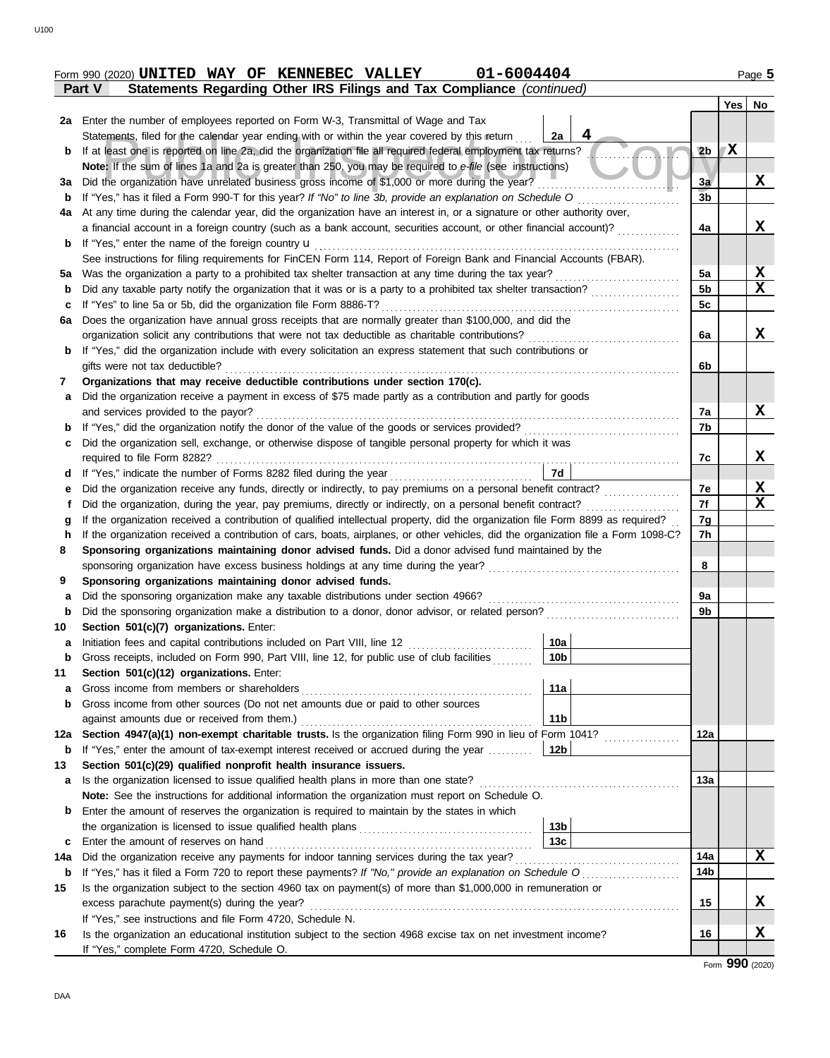|        |  | Form 990 (2020) UNITED WAY OF KENNEBEC VALLEY | 01-6004404                                                            | Page 5 |
|--------|--|-----------------------------------------------|-----------------------------------------------------------------------|--------|
| Part V |  |                                               | Statements Regarding Other IRS Filings and Tax Compliance (continued) |        |

|             |                                                                                                                                    |                 |                 | Yes | No                      |
|-------------|------------------------------------------------------------------------------------------------------------------------------------|-----------------|-----------------|-----|-------------------------|
|             | 2a Enter the number of employees reported on Form W-3, Transmittal of Wage and Tax                                                 |                 |                 |     |                         |
|             | Statements, filed for the calendar year ending with or within the year covered by this return                                      | 2a              |                 |     |                         |
| b           | If at least one is reported on line 2a, did the organization file all required federal employment tax returns?                     |                 | 2 <sub>b</sub>  | X   |                         |
|             | Note: If the sum of lines 1a and 2a is greater than 250, you may be required to e-file (see instructions)                          |                 |                 |     |                         |
| За          | Did the organization have unrelated business gross income of \$1,000 or more during the year?                                      |                 | 3a              |     | X                       |
| b           | If "Yes," has it filed a Form 990-T for this year? If "No" to line 3b, provide an explanation on Schedule O                        |                 | $\overline{3}b$ |     |                         |
| 4a          | At any time during the calendar year, did the organization have an interest in, or a signature or other authority over,            |                 |                 |     |                         |
|             | a financial account in a foreign country (such as a bank account, securities account, or other financial account)?                 |                 | 4a              |     | X                       |
| b           | If "Yes," enter the name of the foreign country $\mathbf u$                                                                        |                 |                 |     |                         |
|             | See instructions for filing requirements for FinCEN Form 114, Report of Foreign Bank and Financial Accounts (FBAR).                |                 |                 |     |                         |
| 5a          |                                                                                                                                    |                 | 5a              |     | <u>x</u>                |
| b           | Did any taxable party notify the organization that it was or is a party to a prohibited tax shelter transaction?                   |                 | 5 <sub>b</sub>  |     | $\mathbf X$             |
| c           | If "Yes" to line 5a or 5b, did the organization file Form 8886-T?                                                                  |                 | 5c              |     |                         |
| 6a          | Does the organization have annual gross receipts that are normally greater than \$100,000, and did the                             |                 |                 |     |                         |
|             | organization solicit any contributions that were not tax deductible as charitable contributions?                                   |                 | 6a              |     | X                       |
| b           | If "Yes," did the organization include with every solicitation an express statement that such contributions or                     |                 |                 |     |                         |
|             | gifts were not tax deductible?                                                                                                     |                 | 6b              |     |                         |
| 7           | Organizations that may receive deductible contributions under section 170(c).                                                      |                 |                 |     |                         |
| a           | Did the organization receive a payment in excess of \$75 made partly as a contribution and partly for goods                        |                 |                 |     |                         |
|             | and services provided to the payor?                                                                                                |                 | 7a              |     | X                       |
| b           |                                                                                                                                    |                 | 7b              |     |                         |
| c           | Did the organization sell, exchange, or otherwise dispose of tangible personal property for which it was                           |                 |                 |     |                         |
|             | required to file Form 8282?                                                                                                        |                 | 7c              |     | X                       |
| d           | If "Yes," indicate the number of Forms 8282 filed during the year<br>[[[[[[[[[[[[[[]]]]]                                           | 7d              |                 |     |                         |
| е           |                                                                                                                                    |                 | 7e              |     | <u>x</u>                |
|             | Did the organization, during the year, pay premiums, directly or indirectly, on a personal benefit contract?                       |                 | 7f              |     | $\overline{\mathbf{x}}$ |
| g           | If the organization received a contribution of qualified intellectual property, did the organization file Form 8899 as required?   |                 | 7g              |     |                         |
| h           | If the organization received a contribution of cars, boats, airplanes, or other vehicles, did the organization file a Form 1098-C? |                 | 7h              |     |                         |
| 8           | Sponsoring organizations maintaining donor advised funds. Did a donor advised fund maintained by the                               |                 |                 |     |                         |
|             |                                                                                                                                    |                 | 8               |     |                         |
| 9           | Sponsoring organizations maintaining donor advised funds.                                                                          |                 |                 |     |                         |
| a           | Did the sponsoring organization make any taxable distributions under section 4966?                                                 |                 | 9а              |     |                         |
| b           | Did the sponsoring organization make a distribution to a donor, donor advisor, or related person?                                  |                 | 9b              |     |                         |
| 10          | Section 501(c)(7) organizations. Enter:                                                                                            |                 |                 |     |                         |
| a           | Initiation fees and capital contributions included on Part VIII, line 12                                                           | 10a             |                 |     |                         |
| b           | Gross receipts, included on Form 990, Part VIII, line 12, for public use of club facilities                                        | 10 <sub>b</sub> |                 |     |                         |
| 11          | Section 501(c)(12) organizations. Enter:                                                                                           |                 |                 |     |                         |
| a           | Gross income from members or shareholders                                                                                          | 11a             |                 |     |                         |
| b           | Gross income from other sources (Do not net amounts due or paid to other sources                                                   |                 |                 |     |                         |
|             | against amounts due or received from them.)                                                                                        | 11 <sub>b</sub> |                 |     |                         |
| 12a         | Section 4947(a)(1) non-exempt charitable trusts. Is the organization filing Form 990 in lieu of Form 1041?                         |                 | 12a             |     |                         |
| $\mathbf b$ | If "Yes," enter the amount of tax-exempt interest received or accrued during the year                                              | 12b             |                 |     |                         |
| 13          | Section 501(c)(29) qualified nonprofit health insurance issuers.                                                                   |                 |                 |     |                         |
| a           | Is the organization licensed to issue qualified health plans in more than one state?                                               |                 | 13a             |     |                         |
|             | Note: See the instructions for additional information the organization must report on Schedule O.                                  |                 |                 |     |                         |
| b           | Enter the amount of reserves the organization is required to maintain by the states in which                                       |                 |                 |     |                         |
|             |                                                                                                                                    | 13 <sub>b</sub> |                 |     |                         |
| c           | Enter the amount of reserves on hand                                                                                               | 13 <sub>c</sub> |                 |     |                         |
| 14a         | Did the organization receive any payments for indoor tanning services during the tax year?                                         |                 | 14a             |     | X                       |
| $\mathbf b$ |                                                                                                                                    |                 | 14 <sub>b</sub> |     |                         |
| 15          | Is the organization subject to the section 4960 tax on payment(s) of more than \$1,000,000 in remuneration or                      |                 |                 |     |                         |
|             | excess parachute payment(s) during the year?                                                                                       |                 | 15              |     | X                       |
|             | If "Yes," see instructions and file Form 4720, Schedule N.                                                                         |                 |                 |     |                         |
| 16          | Is the organization an educational institution subject to the section 4968 excise tax on net investment income?                    |                 | 16              |     | X                       |
|             | If "Yes," complete Form 4720, Schedule O.                                                                                          |                 |                 |     |                         |

Form **990** (2020)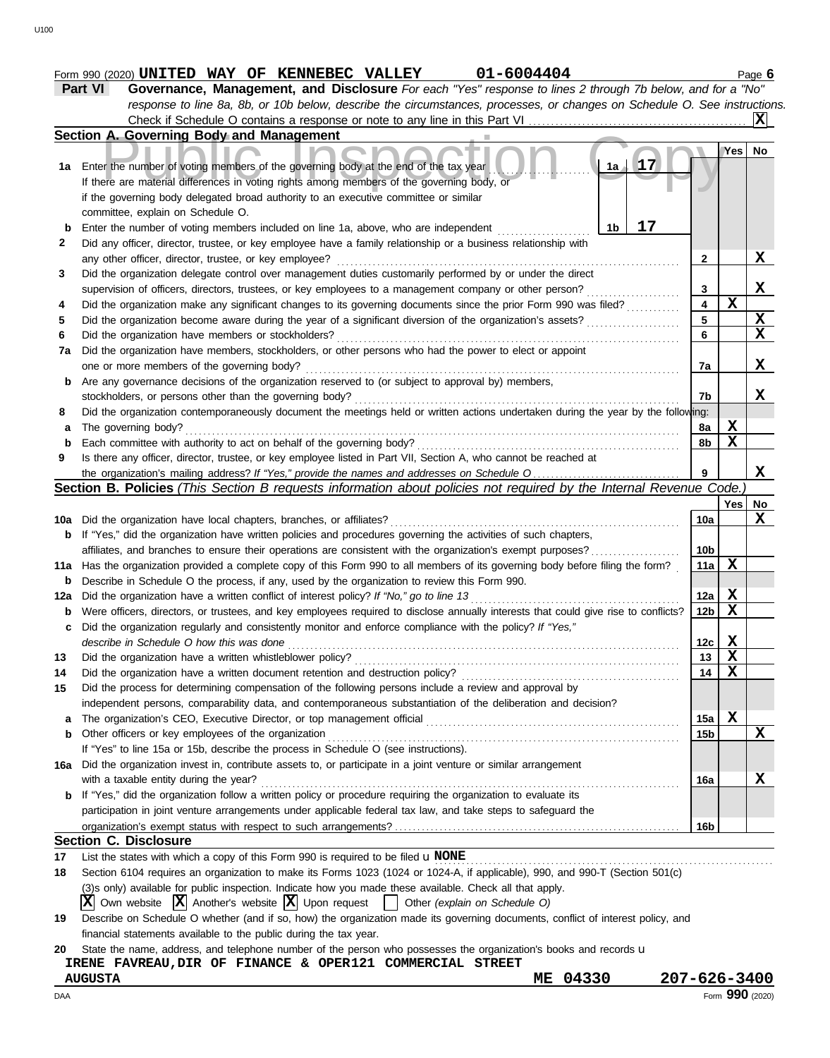|     | Part VI<br>Governance, Management, and Disclosure For each "Yes" response to lines 2 through 7b below, and for a "No"                                                                    |                         |                         |             |
|-----|------------------------------------------------------------------------------------------------------------------------------------------------------------------------------------------|-------------------------|-------------------------|-------------|
|     | response to line 8a, 8b, or 10b below, describe the circumstances, processes, or changes on Schedule O. See instructions.                                                                |                         |                         |             |
|     |                                                                                                                                                                                          |                         |                         |             |
|     | Section A. Governing Body and Management                                                                                                                                                 |                         |                         |             |
|     |                                                                                                                                                                                          |                         | Yes                     | No.         |
| 1a  | 17<br>$1a \pm$<br>Enter the number of voting members of the governing body at the end of the tax year                                                                                    |                         |                         |             |
|     | If there are material differences in voting rights among members of the governing body, or                                                                                               |                         |                         |             |
|     | if the governing body delegated broad authority to an executive committee or similar                                                                                                     |                         |                         |             |
|     | committee, explain on Schedule O.<br>17                                                                                                                                                  |                         |                         |             |
| b   | 1 <sub>b</sub><br>Enter the number of voting members included on line 1a, above, who are independent                                                                                     |                         |                         |             |
|     | Did any officer, director, trustee, or key employee have a family relationship or a business relationship with                                                                           | $\mathbf{2}$            |                         | X           |
|     | any other officer, director, trustee, or key employee?<br>Did the organization delegate control over management duties customarily performed by or under the direct                      |                         |                         |             |
|     | supervision of officers, directors, trustees, or key employees to a management company or other person?                                                                                  | 3                       |                         | X           |
|     | Did the organization make any significant changes to its governing documents since the prior Form 990 was filed?                                                                         | $\overline{\mathbf{4}}$ | $\mathbf X$             |             |
|     | Did the organization become aware during the year of a significant diversion of the organization's assets?                                                                               | 5                       |                         | X           |
|     | Did the organization have members or stockholders?                                                                                                                                       | 6                       |                         | X           |
| 7a  | Did the organization have members, stockholders, or other persons who had the power to elect or appoint                                                                                  |                         |                         |             |
|     | one or more members of the governing body?                                                                                                                                               | 7a                      |                         | X           |
| b   | Are any governance decisions of the organization reserved to (or subject to approval by) members,                                                                                        |                         |                         |             |
|     | stockholders, or persons other than the governing body?                                                                                                                                  | 7b                      |                         | X           |
|     | Did the organization contemporaneously document the meetings held or written actions undertaken during the year by the following:                                                        |                         |                         |             |
| a   | The governing body?                                                                                                                                                                      | 8a                      | X                       |             |
| b   | Each committee with authority to act on behalf of the governing body?                                                                                                                    | 8b                      | $\mathbf X$             |             |
|     | Is there any officer, director, trustee, or key employee listed in Part VII, Section A, who cannot be reached at                                                                         |                         |                         |             |
|     |                                                                                                                                                                                          |                         |                         | x           |
|     | Section B. Policies (This Section B requests information about policies not required by the Internal Revenue Code.                                                                       |                         |                         |             |
|     |                                                                                                                                                                                          |                         | Yes                     | No          |
|     | 10a Did the organization have local chapters, branches, or affiliates?                                                                                                                   | 10a                     |                         | X           |
|     | <b>b</b> If "Yes," did the organization have written policies and procedures governing the activities of such chapters,                                                                  |                         |                         |             |
|     | affiliates, and branches to ensure their operations are consistent with the organization's exempt purposes?                                                                              | 10b                     |                         |             |
|     | 11a Has the organization provided a complete copy of this Form 990 to all members of its governing body before filing the form?                                                          | 11a                     | X                       |             |
|     | Describe in Schedule O the process, if any, used by the organization to review this Form 990.<br>Did the organization have a written conflict of interest policy? If "No," go to line 13 | 12a                     | $\overline{\mathbf{X}}$ |             |
| b   | Were officers, directors, or trustees, and key employees required to disclose annually interests that could give rise to conflicts?                                                      | 12b                     | X                       |             |
| c   | Did the organization regularly and consistently monitor and enforce compliance with the policy? If "Yes,"                                                                                |                         |                         |             |
|     | describe in Schedule O how this was done                                                                                                                                                 | 12с                     | X                       |             |
|     | Did the organization have a written whistleblower policy?                                                                                                                                | 13                      | X                       |             |
|     | Did the organization have a written document retention and destruction policy?                                                                                                           | 14                      | X                       |             |
|     | Did the process for determining compensation of the following persons include a review and approval by                                                                                   |                         |                         |             |
|     | independent persons, comparability data, and contemporaneous substantiation of the deliberation and decision?                                                                            |                         |                         |             |
| a   | The organization's CEO, Executive Director, or top management official                                                                                                                   | 15a                     | $\mathbf X$             |             |
| b   | Other officers or key employees of the organization                                                                                                                                      | 15b                     |                         | $\mathbf X$ |
|     | If "Yes" to line 15a or 15b, describe the process in Schedule O (see instructions).                                                                                                      |                         |                         |             |
| 16a | Did the organization invest in, contribute assets to, or participate in a joint venture or similar arrangement                                                                           |                         |                         |             |
|     | with a taxable entity during the year?                                                                                                                                                   | 16a                     |                         | Х           |
| b   | If "Yes," did the organization follow a written policy or procedure requiring the organization to evaluate its                                                                           |                         |                         |             |
|     | participation in joint venture arrangements under applicable federal tax law, and take steps to safeguard the                                                                            |                         |                         |             |
|     |                                                                                                                                                                                          | 16b                     |                         |             |
|     | <b>Section C. Disclosure</b>                                                                                                                                                             |                         |                         |             |
|     | List the states with which a copy of this Form 990 is required to be filed $\mathbf u$ NONE                                                                                              |                         |                         |             |

financial statements available to the public during the tax year.

|  |  |  |  |  |  |  | 20 State the name, address, and telephone number of the person who possesses the organization's books and records u |  |  |
|--|--|--|--|--|--|--|---------------------------------------------------------------------------------------------------------------------|--|--|
|--|--|--|--|--|--|--|---------------------------------------------------------------------------------------------------------------------|--|--|

**IRENE FAVREAU,DIR OF FINANCE & OPER121 COMMERCIAL STREET**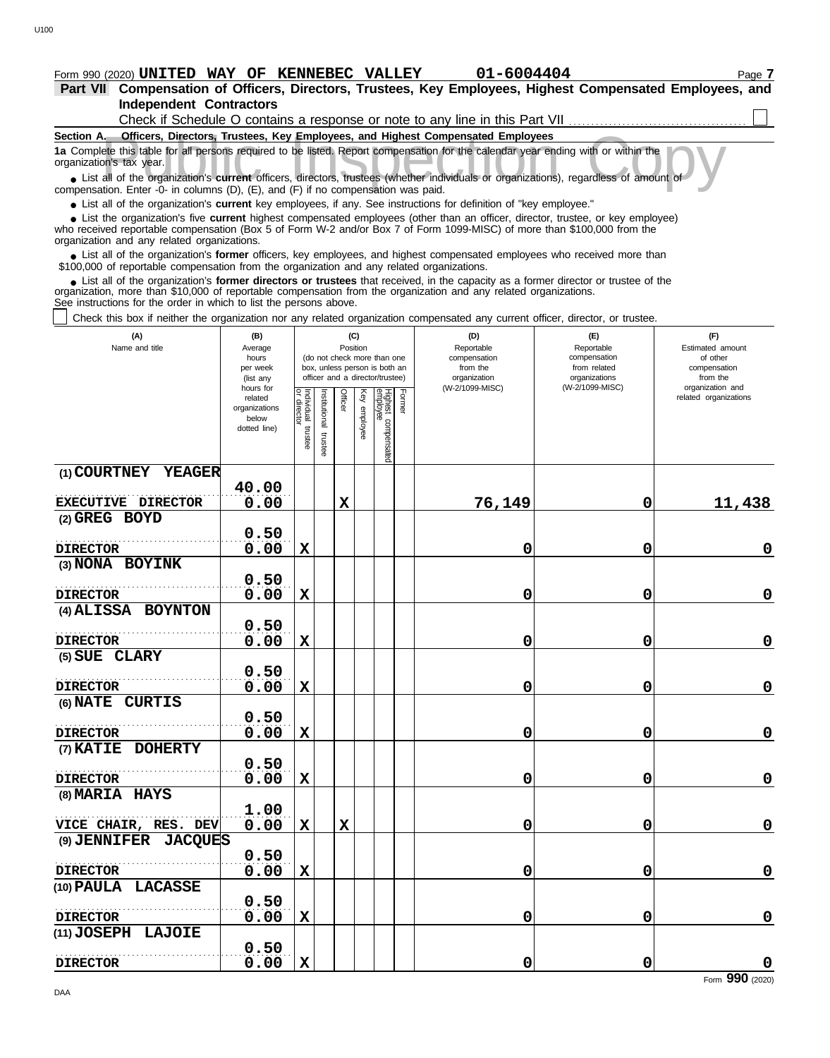# **Form 990 (2020) UNITED WAY OF KENNEBEC VALLEY 01-6004404** Page 7

**Independent Contractors Part VII Compensation of Officers, Directors, Trustees, Key Employees, Highest Compensated Employees, and** Check if Schedule O contains a response or note to any line in this Part VII ................................

| Section A. Officers, Directors, Trustees, Key Employees, and Highest Compensated Employees                                                                                                                                                                                                                                                        |                                                                                                                                                                                                                                                                                                            |   |              |             |          |  |  |   |             |             |  |  |  |
|---------------------------------------------------------------------------------------------------------------------------------------------------------------------------------------------------------------------------------------------------------------------------------------------------------------------------------------------------|------------------------------------------------------------------------------------------------------------------------------------------------------------------------------------------------------------------------------------------------------------------------------------------------------------|---|--------------|-------------|----------|--|--|---|-------------|-------------|--|--|--|
| 1a Complete this table for all persons required to be listed. Report compensation for the calendar year ending with or within the<br>organization's tax year.                                                                                                                                                                                     |                                                                                                                                                                                                                                                                                                            |   |              |             |          |  |  |   |             |             |  |  |  |
| • List all of the organization's current officers, directors, trustees (whether individuals or organizations), regardless of amount of<br>compensation. Enter -0- in columns (D), (E), and (F) if no compensation was paid.<br>• List all of the organization's current key employees, if any. See instructions for definition of "key employee." |                                                                                                                                                                                                                                                                                                            |   |              |             |          |  |  |   |             |             |  |  |  |
|                                                                                                                                                                                                                                                                                                                                                   |                                                                                                                                                                                                                                                                                                            |   |              |             |          |  |  |   |             |             |  |  |  |
|                                                                                                                                                                                                                                                                                                                                                   | • List the organization's five current highest compensated employees (other than an officer, director, trustee, or key employee)<br>who received reportable compensation (Box 5 of Form W-2 and/or Box 7 of Form 1099-MISC) of more than \$100,000 from the<br>organization and any related organizations. |   |              |             |          |  |  |   |             |             |  |  |  |
|                                                                                                                                                                                                                                                                                                                                                   |                                                                                                                                                                                                                                                                                                            |   |              |             |          |  |  |   |             |             |  |  |  |
| • List all of the organization's former officers, key employees, and highest compensated employees who received more than<br>\$100,000 of reportable compensation from the organization and any related organizations.                                                                                                                            |                                                                                                                                                                                                                                                                                                            |   |              |             |          |  |  |   |             |             |  |  |  |
| • List all of the organization's former directors or trustees that received, in the capacity as a former director or trustee of the<br>organization, more than \$10,000 of reportable compensation from the organization and any related organizations.<br>See instructions for the order in which to list the persons above.                     |                                                                                                                                                                                                                                                                                                            |   |              |             |          |  |  |   |             |             |  |  |  |
| Check this box if neither the organization nor any related organization compensated any current officer, director, or trustee.                                                                                                                                                                                                                    |                                                                                                                                                                                                                                                                                                            |   |              |             |          |  |  |   |             |             |  |  |  |
| (A)<br>(B)<br>(C)<br>(D)<br>(E)<br>(F)                                                                                                                                                                                                                                                                                                            |                                                                                                                                                                                                                                                                                                            |   |              |             |          |  |  |   |             |             |  |  |  |
| Name and title<br>Position<br>Reportable<br>Reportable<br>Estimated amount<br>Average<br>(do not check more than one<br>compensation<br>of other<br>hours<br>compensation                                                                                                                                                                         |                                                                                                                                                                                                                                                                                                            |   |              |             |          |  |  |   |             |             |  |  |  |
| box, unless person is both an<br>from the<br>from related<br>per week<br>compensation                                                                                                                                                                                                                                                             |                                                                                                                                                                                                                                                                                                            |   |              |             |          |  |  |   |             |             |  |  |  |
| organizations<br>officer and a director/trustee)<br>organization<br>from the<br>(list any                                                                                                                                                                                                                                                         |                                                                                                                                                                                                                                                                                                            |   |              |             |          |  |  |   |             |             |  |  |  |
|                                                                                                                                                                                                                                                                                                                                                   | (W-2/1099-MISC)<br>(W-2/1099-MISC)<br>organization and<br>hours for<br>Individual<br>Individual<br>Former<br>Officer<br>Ķey<br>related organizations<br>related                                                                                                                                            |   |              |             |          |  |  |   |             |             |  |  |  |
|                                                                                                                                                                                                                                                                                                                                                   | organizations<br>below                                                                                                                                                                                                                                                                                     |   | nstitutional |             |          |  |  |   |             |             |  |  |  |
|                                                                                                                                                                                                                                                                                                                                                   | dotted line)                                                                                                                                                                                                                                                                                               |   |              |             | employee |  |  |   |             |             |  |  |  |
| Highest compensated<br>employee<br>trustee<br>trustee                                                                                                                                                                                                                                                                                             |                                                                                                                                                                                                                                                                                                            |   |              |             |          |  |  |   |             |             |  |  |  |
| (1) COURTNEY<br><b>YEAGER</b>                                                                                                                                                                                                                                                                                                                     |                                                                                                                                                                                                                                                                                                            |   |              |             |          |  |  |   |             |             |  |  |  |
|                                                                                                                                                                                                                                                                                                                                                   | 40.00                                                                                                                                                                                                                                                                                                      |   |              |             |          |  |  |   |             |             |  |  |  |
| EXECUTIVE DIRECTOR                                                                                                                                                                                                                                                                                                                                | 0.00<br>76,149<br>X<br>0<br>11,438                                                                                                                                                                                                                                                                         |   |              |             |          |  |  |   |             |             |  |  |  |
| (2) GREG BOYD                                                                                                                                                                                                                                                                                                                                     |                                                                                                                                                                                                                                                                                                            |   |              |             |          |  |  |   |             |             |  |  |  |
|                                                                                                                                                                                                                                                                                                                                                   | 0.50                                                                                                                                                                                                                                                                                                       |   |              |             |          |  |  |   |             |             |  |  |  |
| <b>DIRECTOR</b>                                                                                                                                                                                                                                                                                                                                   | 0.00                                                                                                                                                                                                                                                                                                       | X |              |             |          |  |  | 0 | 0           | 0           |  |  |  |
| (3) NONA BOYINK                                                                                                                                                                                                                                                                                                                                   |                                                                                                                                                                                                                                                                                                            |   |              |             |          |  |  |   |             |             |  |  |  |
|                                                                                                                                                                                                                                                                                                                                                   | 0.50                                                                                                                                                                                                                                                                                                       |   |              |             |          |  |  |   |             |             |  |  |  |
| <b>DIRECTOR</b>                                                                                                                                                                                                                                                                                                                                   | 0.00                                                                                                                                                                                                                                                                                                       | X |              |             |          |  |  | 0 | 0           | 0           |  |  |  |
| (4) ALISSA BOYNTON                                                                                                                                                                                                                                                                                                                                | 0.50                                                                                                                                                                                                                                                                                                       |   |              |             |          |  |  |   |             |             |  |  |  |
| <b>DIRECTOR</b>                                                                                                                                                                                                                                                                                                                                   | 0.00                                                                                                                                                                                                                                                                                                       | X |              |             |          |  |  | 0 | 0           | 0           |  |  |  |
| (5) SUE CLARY                                                                                                                                                                                                                                                                                                                                     |                                                                                                                                                                                                                                                                                                            |   |              |             |          |  |  |   |             |             |  |  |  |
|                                                                                                                                                                                                                                                                                                                                                   | 0.50                                                                                                                                                                                                                                                                                                       |   |              |             |          |  |  |   |             |             |  |  |  |
| <b>DIRECTOR</b>                                                                                                                                                                                                                                                                                                                                   | 0.00                                                                                                                                                                                                                                                                                                       | X |              |             |          |  |  | 0 | 0           | 0           |  |  |  |
| (6) <b>NATE</b><br>CURTIS                                                                                                                                                                                                                                                                                                                         |                                                                                                                                                                                                                                                                                                            |   |              |             |          |  |  |   |             |             |  |  |  |
|                                                                                                                                                                                                                                                                                                                                                   | 0.50                                                                                                                                                                                                                                                                                                       |   |              |             |          |  |  |   |             |             |  |  |  |
| <b>DIRECTOR</b>                                                                                                                                                                                                                                                                                                                                   | 0.00                                                                                                                                                                                                                                                                                                       | X |              |             |          |  |  | 0 | $\mathbf 0$ | 0           |  |  |  |
| (7) KATIE DOHERTY                                                                                                                                                                                                                                                                                                                                 |                                                                                                                                                                                                                                                                                                            |   |              |             |          |  |  |   |             |             |  |  |  |
|                                                                                                                                                                                                                                                                                                                                                   | 0.50                                                                                                                                                                                                                                                                                                       |   |              |             |          |  |  |   |             |             |  |  |  |
| <b>DIRECTOR</b>                                                                                                                                                                                                                                                                                                                                   | 0.00                                                                                                                                                                                                                                                                                                       | X |              |             |          |  |  | 0 | 0           | 0           |  |  |  |
| (8) MARIA HAYS                                                                                                                                                                                                                                                                                                                                    |                                                                                                                                                                                                                                                                                                            |   |              |             |          |  |  |   |             |             |  |  |  |
|                                                                                                                                                                                                                                                                                                                                                   | 1.00                                                                                                                                                                                                                                                                                                       |   |              |             |          |  |  |   |             |             |  |  |  |
| VICE CHAIR, RES. DEV                                                                                                                                                                                                                                                                                                                              | 0.00                                                                                                                                                                                                                                                                                                       | X |              | $\mathbf x$ |          |  |  | 0 | 0           | 0           |  |  |  |
| (9) JENNIFER JACQUES                                                                                                                                                                                                                                                                                                                              |                                                                                                                                                                                                                                                                                                            |   |              |             |          |  |  |   |             |             |  |  |  |
|                                                                                                                                                                                                                                                                                                                                                   | 0.50                                                                                                                                                                                                                                                                                                       |   |              |             |          |  |  |   |             |             |  |  |  |
| <b>DIRECTOR</b>                                                                                                                                                                                                                                                                                                                                   | 0.00                                                                                                                                                                                                                                                                                                       | X |              |             |          |  |  | 0 | 0           | $\mathbf 0$ |  |  |  |
|                                                                                                                                                                                                                                                                                                                                                   | (10) PAULA LACASSE                                                                                                                                                                                                                                                                                         |   |              |             |          |  |  |   |             |             |  |  |  |
| <b>DIRECTOR</b>                                                                                                                                                                                                                                                                                                                                   | 0.50<br>0.00                                                                                                                                                                                                                                                                                               | X |              |             |          |  |  | 0 | 0           | 0           |  |  |  |
|                                                                                                                                                                                                                                                                                                                                                   |                                                                                                                                                                                                                                                                                                            |   |              |             |          |  |  |   |             |             |  |  |  |

**DIRECTOR**

**(11) JOSEPH LAJOIE**

. . . . . . . . . . . . . . . . . . . . . . . . . . . . . . . . . . . . . . . . . . . . . . . . . . . . . **0.50**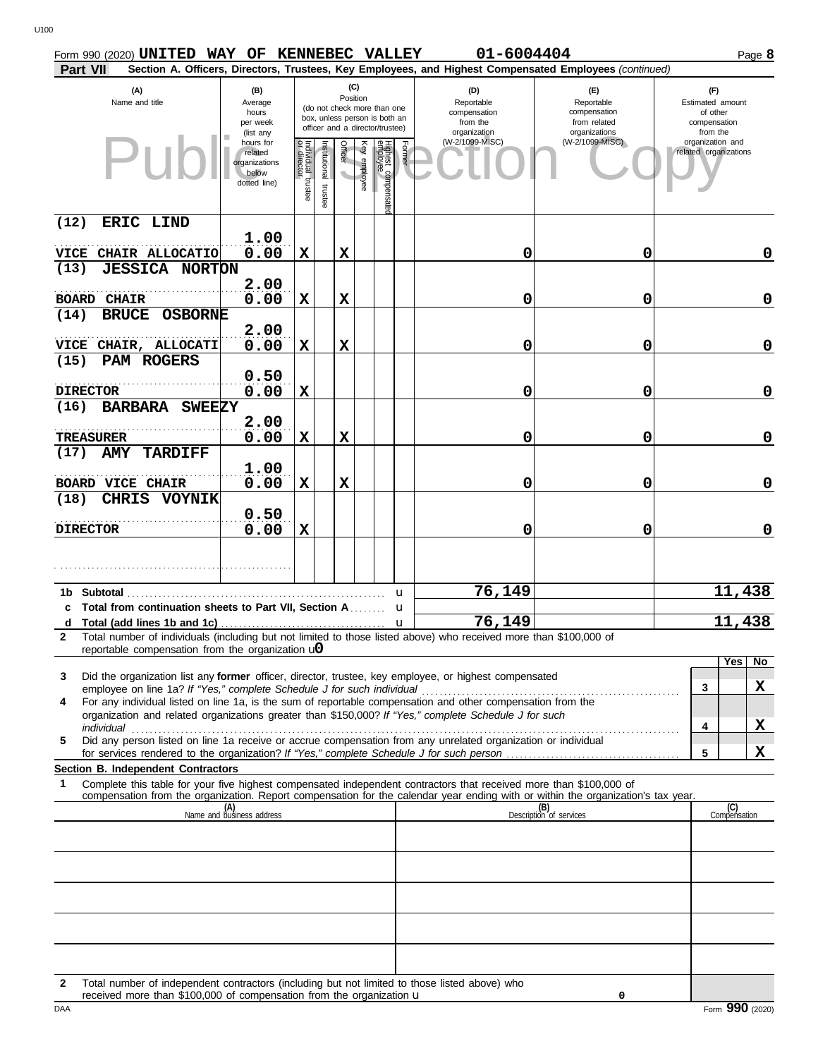| Form 990 (2020) UNITED WAY OF KENNEBEC VALLEY              |                                                                |                                               |                          |                 |              |                                                                                                 |        | 01-6004404                                                                                                                       |                                                                    |                       |                                                                 | Page 8      |
|------------------------------------------------------------|----------------------------------------------------------------|-----------------------------------------------|--------------------------|-----------------|--------------|-------------------------------------------------------------------------------------------------|--------|----------------------------------------------------------------------------------------------------------------------------------|--------------------------------------------------------------------|-----------------------|-----------------------------------------------------------------|-------------|
| Part VII                                                   |                                                                |                                               |                          |                 |              |                                                                                                 |        | Section A. Officers, Directors, Trustees, Key Employees, and Highest Compensated Employees (continued)                           |                                                                    |                       |                                                                 |             |
| (A)<br>Name and title                                      | (B)<br>Average<br>hours<br>per week<br>(list any               |                                               |                          | (C)<br>Position |              | (do not check more than one<br>box, unless person is both an<br>officer and a director/trustee) |        | (D)<br>Reportable<br>compensation<br>from the<br>organization                                                                    | (E)<br>Reportable<br>compensation<br>from related<br>organizations |                       | (F)<br>Estimated amount<br>of other<br>compensation<br>from the |             |
|                                                            | hours for<br>related<br>organizations<br>below<br>dotted line) | Individual trustee<br>or director<br>director | Institutional<br>trustee | Officer         | Key employee | Highest compensatec<br>employee                                                                 | Former | (W-2/1099-MISC)                                                                                                                  | (W-2/1099-MISC)                                                    | related organizations | organization and                                                |             |
| (12)<br>ERIC LIND                                          |                                                                |                                               |                          |                 |              |                                                                                                 |        |                                                                                                                                  |                                                                    |                       |                                                                 |             |
| VICE CHAIR ALLOCATIO                                       | 1.00<br>0.00                                                   | X                                             |                          | X               |              |                                                                                                 |        | $\mathbf 0$                                                                                                                      | 0                                                                  |                       |                                                                 | 0           |
| (13)<br><b>JESSICA NORTON</b>                              |                                                                |                                               |                          |                 |              |                                                                                                 |        |                                                                                                                                  |                                                                    |                       |                                                                 |             |
|                                                            | 2.00                                                           |                                               |                          |                 |              |                                                                                                 |        |                                                                                                                                  |                                                                    |                       |                                                                 |             |
| <b>BOARD CHAIR</b>                                         | 0.00                                                           | X                                             |                          | X               |              |                                                                                                 |        | 0                                                                                                                                | 0                                                                  |                       |                                                                 | 0           |
| (14)<br>BRUCE OSBORNE                                      |                                                                |                                               |                          |                 |              |                                                                                                 |        |                                                                                                                                  |                                                                    |                       |                                                                 |             |
| VICE CHAIR, ALLOCATI                                       | 2.00<br>0.00                                                   | $\mathbf x$                                   |                          | X               |              |                                                                                                 |        | 0                                                                                                                                | 0                                                                  |                       |                                                                 | 0           |
| (15)<br>PAM ROGERS                                         |                                                                |                                               |                          |                 |              |                                                                                                 |        |                                                                                                                                  |                                                                    |                       |                                                                 |             |
|                                                            | 0.50                                                           |                                               |                          |                 |              |                                                                                                 |        |                                                                                                                                  |                                                                    |                       |                                                                 |             |
| <b>DIRECTOR</b>                                            | 0.00                                                           | $\mathbf X$                                   |                          |                 |              |                                                                                                 |        | 0                                                                                                                                | 0                                                                  |                       |                                                                 | 0           |
| BARBARA SWEEZY<br>(16)                                     |                                                                |                                               |                          |                 |              |                                                                                                 |        |                                                                                                                                  |                                                                    |                       |                                                                 |             |
|                                                            | 2.00                                                           |                                               |                          |                 |              |                                                                                                 |        |                                                                                                                                  |                                                                    |                       |                                                                 |             |
| <b>TREASURER</b><br><b>AMY TARDIFF</b><br>(17)             | 0.00                                                           | X                                             |                          | X               |              |                                                                                                 |        | 0                                                                                                                                | 0                                                                  |                       |                                                                 | 0           |
|                                                            | 1.00                                                           |                                               |                          |                 |              |                                                                                                 |        |                                                                                                                                  |                                                                    |                       |                                                                 |             |
| <b>BOARD VICE CHAIR</b>                                    | 0.00                                                           | $\mathbf x$                                   |                          | X               |              |                                                                                                 |        | 0                                                                                                                                | 0                                                                  |                       |                                                                 | 0           |
| (18)<br><b>CHRIS VOYNIK</b>                                |                                                                |                                               |                          |                 |              |                                                                                                 |        |                                                                                                                                  |                                                                    |                       |                                                                 |             |
|                                                            | 0.50                                                           |                                               |                          |                 |              |                                                                                                 |        |                                                                                                                                  |                                                                    |                       |                                                                 |             |
| <b>DIRECTOR</b>                                            | 0.00                                                           | $\mathbf X$                                   |                          |                 |              |                                                                                                 |        | $\mathbf 0$                                                                                                                      | 0                                                                  |                       |                                                                 | $\mathbf 0$ |
|                                                            |                                                                |                                               |                          |                 |              |                                                                                                 |        |                                                                                                                                  |                                                                    |                       |                                                                 |             |
| 1b Subtotal                                                |                                                                |                                               |                          |                 |              |                                                                                                 | u      | 76,149                                                                                                                           |                                                                    |                       | 11,438                                                          |             |
| c Total from continuation sheets to Part VII, Section A    |                                                                |                                               |                          |                 |              |                                                                                                 | u      |                                                                                                                                  |                                                                    |                       |                                                                 |             |
| 2                                                          |                                                                |                                               |                          |                 |              |                                                                                                 |        | 76,149<br>Total number of individuals (including but not limited to those listed above) who received more than \$100,000 of      |                                                                    |                       | 11                                                              | 438,        |
| reportable compensation from the organization $\mathbf{u}$ |                                                                |                                               |                          |                 |              |                                                                                                 |        |                                                                                                                                  |                                                                    |                       |                                                                 |             |
| 3                                                          |                                                                |                                               |                          |                 |              |                                                                                                 |        | Did the organization list any former officer, director, trustee, key employee, or highest compensated                            |                                                                    |                       | Yes                                                             | No          |
|                                                            |                                                                |                                               |                          |                 |              |                                                                                                 |        | For any individual listed on line 1a, is the sum of reportable compensation and other compensation from the                      |                                                                    | 3                     |                                                                 | X           |
| 4                                                          |                                                                |                                               |                          |                 |              |                                                                                                 |        | organization and related organizations greater than \$150,000? If "Yes," complete Schedule J for such                            |                                                                    |                       |                                                                 |             |
|                                                            |                                                                |                                               |                          |                 |              |                                                                                                 |        |                                                                                                                                  |                                                                    | 4                     |                                                                 | X           |
| 5                                                          |                                                                |                                               |                          |                 |              |                                                                                                 |        | Did any person listed on line 1a receive or accrue compensation from any unrelated organization or individual                    |                                                                    | 5                     |                                                                 | X           |
| Section B. Independent Contractors                         |                                                                |                                               |                          |                 |              |                                                                                                 |        |                                                                                                                                  |                                                                    |                       |                                                                 |             |
| 1                                                          |                                                                |                                               |                          |                 |              |                                                                                                 |        | Complete this table for your five highest compensated independent contractors that received more than \$100,000 of               |                                                                    |                       |                                                                 |             |
|                                                            |                                                                |                                               |                          |                 |              |                                                                                                 |        | compensation from the organization. Report compensation for the calendar year ending with or within the organization's tax year. | (B)<br>Description of services                                     |                       | (C)<br>Compensation                                             |             |
|                                                            | (A)<br>Name and business address                               |                                               |                          |                 |              |                                                                                                 |        |                                                                                                                                  |                                                                    |                       |                                                                 |             |
|                                                            |                                                                |                                               |                          |                 |              |                                                                                                 |        |                                                                                                                                  |                                                                    |                       |                                                                 |             |
|                                                            |                                                                |                                               |                          |                 |              |                                                                                                 |        |                                                                                                                                  |                                                                    |                       |                                                                 |             |
|                                                            |                                                                |                                               |                          |                 |              |                                                                                                 |        |                                                                                                                                  |                                                                    |                       |                                                                 |             |
|                                                            |                                                                |                                               |                          |                 |              |                                                                                                 |        |                                                                                                                                  |                                                                    |                       |                                                                 |             |
|                                                            |                                                                |                                               |                          |                 |              |                                                                                                 |        |                                                                                                                                  |                                                                    |                       |                                                                 |             |
|                                                            |                                                                |                                               |                          |                 |              |                                                                                                 |        |                                                                                                                                  |                                                                    |                       |                                                                 |             |
|                                                            |                                                                |                                               |                          |                 |              |                                                                                                 |        |                                                                                                                                  |                                                                    |                       |                                                                 |             |

**2** Total number of independent contractors (including but not limited to those listed above) who received more than \$100,000 of compensation from the organization u

**0**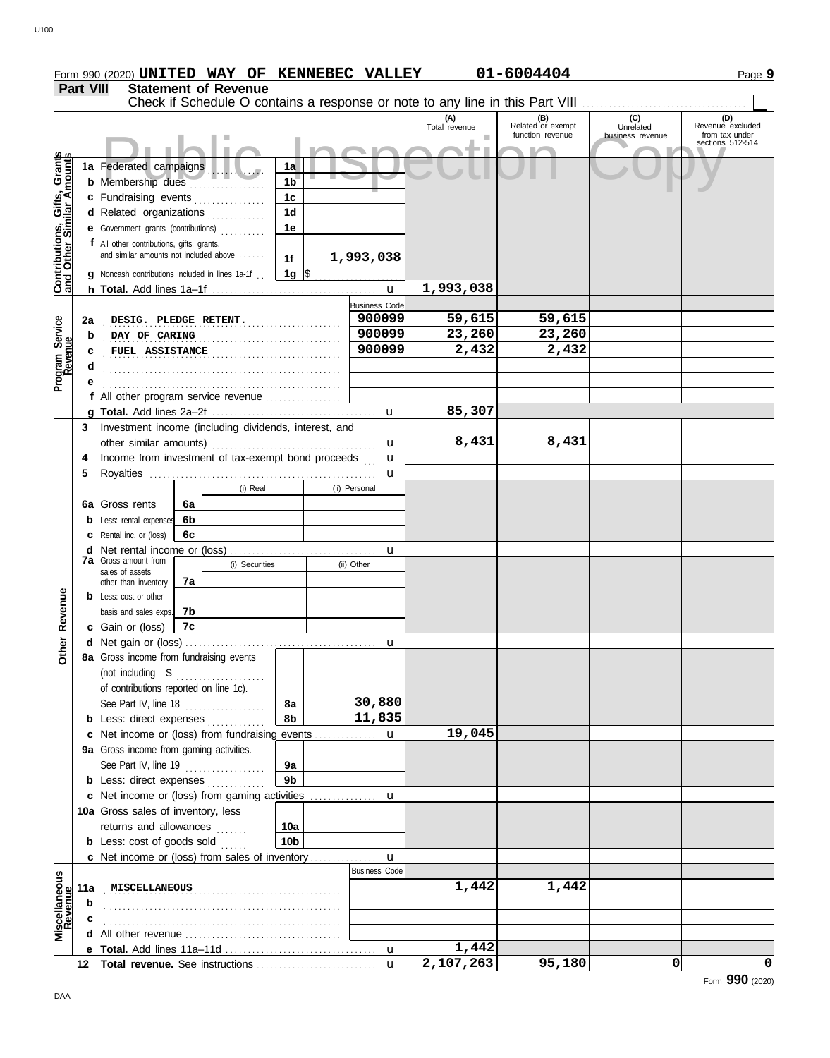|                  |                             |  | Form 990 (2020) UNITED WAY OF KENNEBEC VALLEY |     | 01-6004404               |                             | Page 9                  |
|------------------|-----------------------------|--|-----------------------------------------------|-----|--------------------------|-----------------------------|-------------------------|
| <b>Part VIII</b> | <b>Statement of Revenue</b> |  |                                               |     |                          |                             |                         |
|                  |                             |  |                                               | (A) | (B)<br>Polated or exempt | (C)<br><b>International</b> | <b>Povenue</b> excluded |

**1a** Federated campaigns **. . . . . . . . . b** Membership dues . . . . . . . . . . . . . . . . **c** Fundraising events . . . . . . . . . . . . . **d** Related organizations . . . . . . . . . . . **e** Government grants (contributions) . . . . . . . . . . **f** All other contributions, gifts, grants,

**g** Noncash contributions included in lines 1a-1f . .

**e d c**

and similar amounts not included above . . . . . .

**h Total.** Add lines 1a–1f . . . . . . . . . . . . . . . . . . . . . . . . . . . . . . . . . . . . .

. . . . . . . . . . . . . . . . . . . . . . . . . . . . . . . . . . . . . . . . . . . . . . . . . . . . . . . . . . . . . . . . . . . . . . . . . . . . . . . . . . . . . . . . . . . . . . . . . . . . . . . . . .

**f** All other program service revenue . . . . . . . . . . . . . . . . .

**1a 1b 1c 1d 1e**

**1f**

**1g**

. . . . . . . . . . . . . . . . . . . . . . . . . . . . . . . . . . . . . . . . . . . . . . . . . . . . . **2a DESIG. PLEDGE RETENT. 900099 59,615 59,615** . . . . . . . . . . . . . . . . . . . . . . . . . . . . . . . . . . . . . . . . . . . . . . . . . . . . . **b DAY OF CARING 900099 23,260 23,260** . . . . . . . . . . . . . . . . . . . . . . . . . . . . . . . . . . . . . . . . . . . . . . . . . . . . . **FUEL ASSISTANCE 900099 2,432 2,432**

 $\frac{1}{2}$ 

**1,993,038**

#### **g Total.** Add lines 2a–2f . . . . . . . . . . . . . . . . . . . . . . . . . . . . . . . . . . . . . u **3** Investment income (including dividends, interest, and **4** Income from investment of tax-exempt bond proceeds . . . **5** Royalties . . . . . . . . . . . . . . . . . . . . . . . . . . . . . . . . . . . . . . . . . . . . . . . . . . . **6a** Gross rents **b** Less: rental expenses **c** Rental inc. or (loss) **d** Net rental income or (loss) . . . . . . . . . . . . . . . . . . . . . . . . . . . . . . . . . other similar amounts) . . . . . . . . . . . . . . . . . . . . . . . . . . . . . . . . . . . . . u u u u (i) Real (ii) Personal (i) Securities (ii) Other **b** Less: cost or other **7a** Gross amount from sales of assets other than inventory basis and sales exps. \$ . . . . . . . . . . . . . . . . . . . . **6a 6b 6c 7a 7b 7c 85,307 8,431 8,431**

Federated campaigns . The content of the content of the content of the content of the content of the sections sections of the sections of the sections of the sections of the sections of the sections of the sections of the

u

**1,993,038**

Business Code

|                          |     |                                                              |                 | $\mathbf{u}$         | 2,107,263 | 95,180 | 0 | 0 |
|--------------------------|-----|--------------------------------------------------------------|-----------------|----------------------|-----------|--------|---|---|
|                          | е   |                                                              |                 | $\mathbf u$          | 1,442     |        |   |   |
|                          |     |                                                              |                 |                      |           |        |   |   |
|                          |     |                                                              |                 |                      |           |        |   |   |
|                          | b   |                                                              |                 |                      |           |        |   |   |
| Miscellaneous<br>Revenue | 11a | MISCELLANEOUS                                                |                 |                      | 1,442     | 1,442  |   |   |
|                          |     |                                                              |                 | <b>Business Code</b> |           |        |   |   |
|                          |     | <b>c</b> Net income or (loss) from sales of inventory        |                 | u                    |           |        |   |   |
|                          |     | <b>b</b> Less: cost of goods sold                            | 10 <sub>b</sub> |                      |           |        |   |   |
|                          |     | returns and allowances                                       | 10a             |                      |           |        |   |   |
|                          |     | 10a Gross sales of inventory, less                           |                 |                      |           |        |   |   |
|                          |     |                                                              |                 |                      |           |        |   |   |
|                          |     | <b>b</b> Less: direct expenses                               | 9 <sub>b</sub>  |                      |           |        |   |   |
|                          |     | See Part IV, line $19$                                       | 9a              |                      |           |        |   |   |
|                          |     | 9a Gross income from gaming activities.                      |                 |                      |           |        |   |   |
|                          | c   |                                                              |                 |                      | 19,045    |        |   |   |
|                          |     | <b>b</b> Less: direct expenses                               | 8b              | 11,835               |           |        |   |   |
|                          |     | See Part IV, line 18<br>.                                    | 8a              | 30,880               |           |        |   |   |
|                          |     | .<br>of contributions reported on line 1c).                  |                 |                      |           |        |   |   |
|                          |     | 8a Gross income from fundraising events<br>(not including \$ |                 |                      |           |        |   |   |
| Other                    |     |                                                              |                 | <b>u</b>             |           |        |   |   |
|                          |     | <b>c</b> Gain or (loss)<br>7с                                |                 |                      |           |        |   |   |
| Revenue                  |     | basis and sales exps. 7b                                     |                 |                      |           |        |   |   |
|                          | b   | Less: cost or other                                          |                 |                      |           |        |   |   |

**Contributions, Gifts, Grants and Other Similar Amounts**

Contributions, Gifts, Grants

**Program Service**

Program Service<br>Revenue

DAA

**(B) (C) (D) Related** or exempt **Unrelated Revenue excluded** 

function revenue business revenue from tax under sections 512-514

(A) (B) (C)<br>Total revenue Related or exempt Unrelated Consumers Punction revenue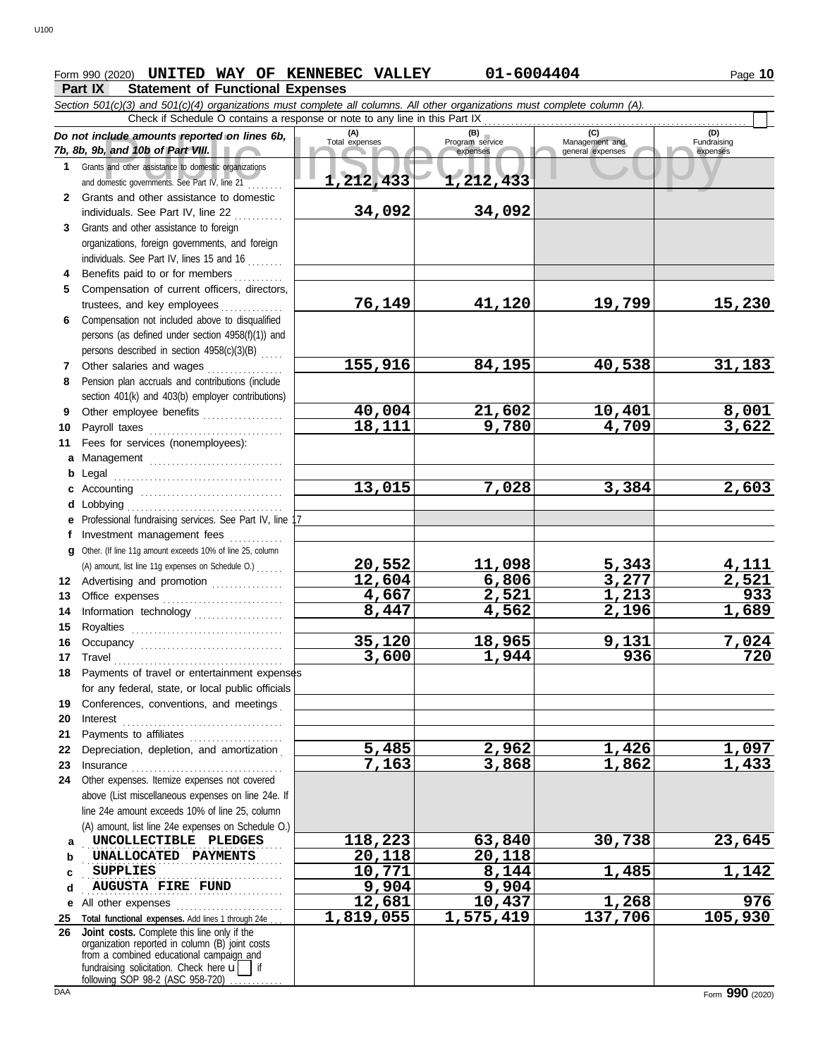# **Form 990 (2020) UNITED WAY OF KENNEBEC VALLEY 01-6004404** Page 10

### **Part IX Statement of Functional Expenses**

|              | $\sim$<br>Section 501(c)(3) and 501(c)(4) organizations must complete all columns. All other organizations must complete column (A).                                                                                                                                                                                                                                                                                                                                                                                    |                       |                                    |                                           |                                |  |  |  |  |
|--------------|-------------------------------------------------------------------------------------------------------------------------------------------------------------------------------------------------------------------------------------------------------------------------------------------------------------------------------------------------------------------------------------------------------------------------------------------------------------------------------------------------------------------------|-----------------------|------------------------------------|-------------------------------------------|--------------------------------|--|--|--|--|
|              | Check if Schedule O contains a response or note to any line in this Part IX                                                                                                                                                                                                                                                                                                                                                                                                                                             |                       |                                    |                                           |                                |  |  |  |  |
|              | Do not include amounts reported on lines 6b,<br>7b, 8b, 9b, and 10b of Part VIII.                                                                                                                                                                                                                                                                                                                                                                                                                                       | (A)<br>Total expenses | (B)<br>Program service<br>expenses | (C)<br>Management and<br>general expenses | (D)<br>Fundraising<br>expenses |  |  |  |  |
| 1.           | Grants and other assistance to domestic organizations<br>and domestic governments. See Part IV, line 21                                                                                                                                                                                                                                                                                                                                                                                                                 | 1, 212, 433           | 1,212,433                          |                                           |                                |  |  |  |  |
| $\mathbf{2}$ | Grants and other assistance to domestic                                                                                                                                                                                                                                                                                                                                                                                                                                                                                 |                       |                                    |                                           |                                |  |  |  |  |
|              | individuals. See Part IV, line 22                                                                                                                                                                                                                                                                                                                                                                                                                                                                                       | 34,092                | 34,092                             |                                           |                                |  |  |  |  |
| 3            | Grants and other assistance to foreign                                                                                                                                                                                                                                                                                                                                                                                                                                                                                  |                       |                                    |                                           |                                |  |  |  |  |
|              | organizations, foreign governments, and foreign                                                                                                                                                                                                                                                                                                                                                                                                                                                                         |                       |                                    |                                           |                                |  |  |  |  |
|              | individuals. See Part IV, lines 15 and 16                                                                                                                                                                                                                                                                                                                                                                                                                                                                               |                       |                                    |                                           |                                |  |  |  |  |
| 4            | Benefits paid to or for members                                                                                                                                                                                                                                                                                                                                                                                                                                                                                         |                       |                                    |                                           |                                |  |  |  |  |
| 5            | Compensation of current officers, directors,                                                                                                                                                                                                                                                                                                                                                                                                                                                                            |                       |                                    |                                           |                                |  |  |  |  |
|              | trustees, and key employees                                                                                                                                                                                                                                                                                                                                                                                                                                                                                             | 76,149                | 41,120                             | 19,799                                    | <u>15,230</u>                  |  |  |  |  |
| 6            | Compensation not included above to disqualified                                                                                                                                                                                                                                                                                                                                                                                                                                                                         |                       |                                    |                                           |                                |  |  |  |  |
|              | persons (as defined under section 4958(f)(1)) and                                                                                                                                                                                                                                                                                                                                                                                                                                                                       |                       |                                    |                                           |                                |  |  |  |  |
|              | persons described in section 4958(c)(3)(B)                                                                                                                                                                                                                                                                                                                                                                                                                                                                              |                       |                                    |                                           |                                |  |  |  |  |
| 7            | Other salaries and wages<br>.                                                                                                                                                                                                                                                                                                                                                                                                                                                                                           | 155,916               | 84,195                             | 40,538                                    | 31,183                         |  |  |  |  |
| 8            | Pension plan accruals and contributions (include                                                                                                                                                                                                                                                                                                                                                                                                                                                                        |                       |                                    |                                           |                                |  |  |  |  |
|              | section 401(k) and 403(b) employer contributions)                                                                                                                                                                                                                                                                                                                                                                                                                                                                       |                       |                                    |                                           |                                |  |  |  |  |
| 9            | Other employee benefits                                                                                                                                                                                                                                                                                                                                                                                                                                                                                                 | 40,004                | 21,602                             | <u> 10,401</u>                            | $\frac{8,001}{3,622}$          |  |  |  |  |
| 10           | Payroll taxes                                                                                                                                                                                                                                                                                                                                                                                                                                                                                                           | 18,111                | 9,780                              | $\overline{4,709}$                        |                                |  |  |  |  |
| 11           | Fees for services (nonemployees):                                                                                                                                                                                                                                                                                                                                                                                                                                                                                       |                       |                                    |                                           |                                |  |  |  |  |
|              | a Management                                                                                                                                                                                                                                                                                                                                                                                                                                                                                                            |                       |                                    |                                           |                                |  |  |  |  |
| b            |                                                                                                                                                                                                                                                                                                                                                                                                                                                                                                                         | $\overline{13,015}$   | 7,028                              | 3,384                                     |                                |  |  |  |  |
|              | c Accounting $\ldots$                                                                                                                                                                                                                                                                                                                                                                                                                                                                                                   |                       |                                    |                                           | 2,603                          |  |  |  |  |
| d            | Lobbying<br>e Professional fundraising services. See Part IV, line                                                                                                                                                                                                                                                                                                                                                                                                                                                      |                       |                                    |                                           |                                |  |  |  |  |
| f            | Investment management fees                                                                                                                                                                                                                                                                                                                                                                                                                                                                                              |                       |                                    |                                           |                                |  |  |  |  |
| g            | Other. (If line 11g amount exceeds 10% of line 25, column                                                                                                                                                                                                                                                                                                                                                                                                                                                               |                       |                                    |                                           |                                |  |  |  |  |
|              | (A) amount, list line 11g expenses on Schedule O.)                                                                                                                                                                                                                                                                                                                                                                                                                                                                      | 20,552                | 11,098                             | 5,343                                     | <u>4,111</u>                   |  |  |  |  |
|              | 12 Advertising and promotion                                                                                                                                                                                                                                                                                                                                                                                                                                                                                            | 12,604                | 6,806                              | 3,277                                     | 2,521                          |  |  |  |  |
| 13           | Office expenses                                                                                                                                                                                                                                                                                                                                                                                                                                                                                                         | 4,667                 | 2,521                              | 1,213                                     | 933                            |  |  |  |  |
| 14           | Information technology                                                                                                                                                                                                                                                                                                                                                                                                                                                                                                  | 8,447                 | 4,562                              | 2,196                                     | 1,689                          |  |  |  |  |
| 15           |                                                                                                                                                                                                                                                                                                                                                                                                                                                                                                                         |                       |                                    |                                           |                                |  |  |  |  |
| 16           |                                                                                                                                                                                                                                                                                                                                                                                                                                                                                                                         | 35,120                | 18,965                             | 9,131                                     | 7,024                          |  |  |  |  |
| 17           | $\begin{minipage}[c]{0.9\linewidth} \begin{tabular}{l} \hline \textbf{Travel} \end{tabular} \end{minipage} \end{minipage} \begin{minipage}[c]{0.9\linewidth} \begin{tabular}{l} \hline \textbf{True} \end{tabular} \end{minipage} \end{minipage} \begin{minipage}[c]{0.9\linewidth} \begin{tabular}{l} \hline \textbf{True} \end{tabular} \end{minipage} \end{minipage} \begin{minipage}[c]{0.9\linewidth} \begin{tabular}{l} \hline \textbf{True} \end{tabular} \end{minipage} \end{minipage} \begin{minipage}[c]{0.9$ | 3,600                 | 1,944                              | 936                                       | 720                            |  |  |  |  |
|              | 18 Payments of travel or entertainment expenses                                                                                                                                                                                                                                                                                                                                                                                                                                                                         |                       |                                    |                                           |                                |  |  |  |  |
|              | for any federal, state, or local public officials                                                                                                                                                                                                                                                                                                                                                                                                                                                                       |                       |                                    |                                           |                                |  |  |  |  |
| 19           | Conferences, conventions, and meetings                                                                                                                                                                                                                                                                                                                                                                                                                                                                                  |                       |                                    |                                           |                                |  |  |  |  |
| 20           | Interest                                                                                                                                                                                                                                                                                                                                                                                                                                                                                                                |                       |                                    |                                           |                                |  |  |  |  |
| 21           | Payments to affiliates [11] [11] Payments to affiliates                                                                                                                                                                                                                                                                                                                                                                                                                                                                 |                       |                                    |                                           |                                |  |  |  |  |
| 22           | Depreciation, depletion, and amortization                                                                                                                                                                                                                                                                                                                                                                                                                                                                               | 5,485                 | 2,962                              | 1,426                                     | <u>1,097</u>                   |  |  |  |  |
| 23           |                                                                                                                                                                                                                                                                                                                                                                                                                                                                                                                         | 7,163                 | 3,868                              | 1,862                                     | 1,433                          |  |  |  |  |
| 24           | Other expenses. Itemize expenses not covered                                                                                                                                                                                                                                                                                                                                                                                                                                                                            |                       |                                    |                                           |                                |  |  |  |  |
|              | above (List miscellaneous expenses on line 24e. If                                                                                                                                                                                                                                                                                                                                                                                                                                                                      |                       |                                    |                                           |                                |  |  |  |  |
|              | line 24e amount exceeds 10% of line 25, column                                                                                                                                                                                                                                                                                                                                                                                                                                                                          |                       |                                    |                                           |                                |  |  |  |  |
|              | (A) amount, list line 24e expenses on Schedule O.)                                                                                                                                                                                                                                                                                                                                                                                                                                                                      |                       |                                    |                                           |                                |  |  |  |  |
| a            | UNCOLLECTIBLE PLEDGES                                                                                                                                                                                                                                                                                                                                                                                                                                                                                                   | 118,223               | 63,840                             | 30,738                                    | 23,645                         |  |  |  |  |
| b            | UNALLOCATED PAYMENTS                                                                                                                                                                                                                                                                                                                                                                                                                                                                                                    | 20,118                | 20,118                             |                                           |                                |  |  |  |  |
| c            | <b>SUPPLIES</b>                                                                                                                                                                                                                                                                                                                                                                                                                                                                                                         | 10,771                | 8,144                              | 1,485                                     | <u>1,142</u>                   |  |  |  |  |
| d            | <b>AUGUSTA FIRE FUND</b>                                                                                                                                                                                                                                                                                                                                                                                                                                                                                                | 9,904                 | 9,904                              |                                           |                                |  |  |  |  |
| е            | All other expenses                                                                                                                                                                                                                                                                                                                                                                                                                                                                                                      | 12,681<br>1,819,055   | 10,437<br>1,575,419                | 1,268<br>137,706                          | 976<br>105,930                 |  |  |  |  |
| 25<br>26     | Total functional expenses. Add lines 1 through 24e<br>Joint costs. Complete this line only if the                                                                                                                                                                                                                                                                                                                                                                                                                       |                       |                                    |                                           |                                |  |  |  |  |
|              | organization reported in column (B) joint costs<br>from a combined educational campaign and<br>fundraising solicitation. Check here $\mathbf{u}$                                                                                                                                                                                                                                                                                                                                                                        |                       |                                    |                                           |                                |  |  |  |  |
|              | following SOP 98-2 (ASC 958-720)                                                                                                                                                                                                                                                                                                                                                                                                                                                                                        |                       |                                    |                                           |                                |  |  |  |  |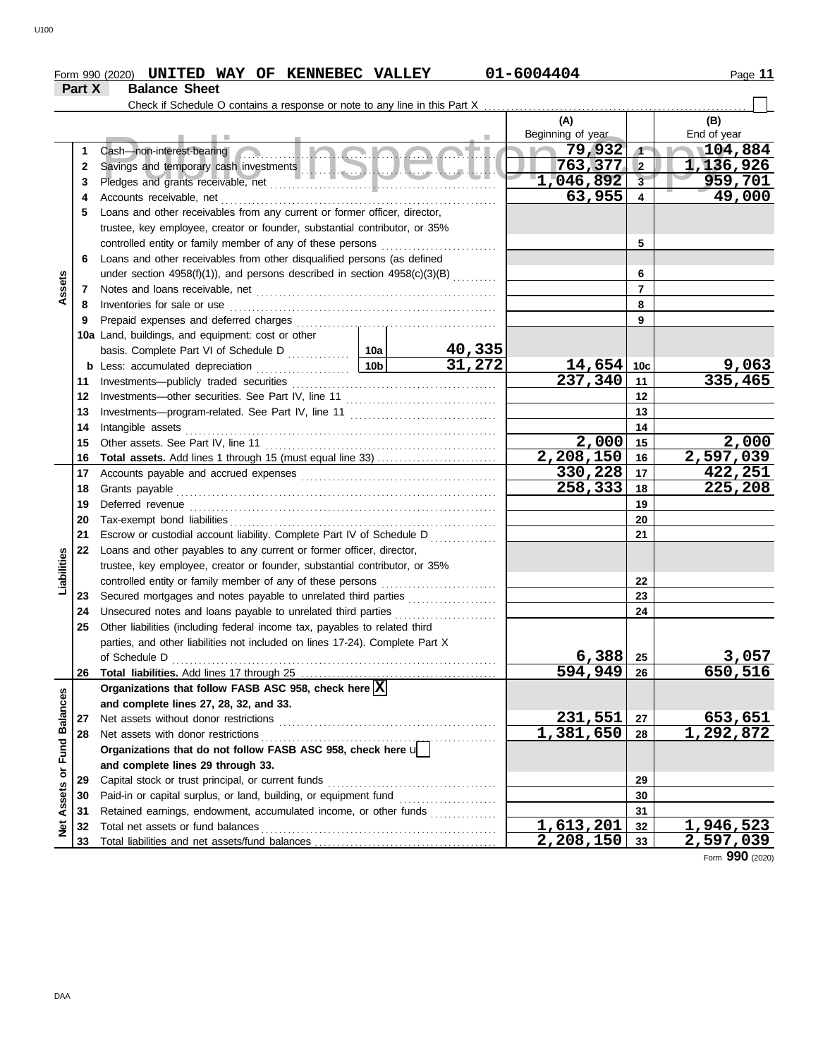#### Form 990 (2020) **UNITED WAY OF KENNEBEC VALLEY 01-6004404** Page 11 **UNITED WAY OF KENNEBEC VALLEY 01-6004404**

|                      | Part X | <b>Balance Sheet</b>                                                         |                                                                                                                                                                                                                                |        |                          |                         |                      |  |
|----------------------|--------|------------------------------------------------------------------------------|--------------------------------------------------------------------------------------------------------------------------------------------------------------------------------------------------------------------------------|--------|--------------------------|-------------------------|----------------------|--|
|                      |        | Check if Schedule O contains a response or note to any line in this Part X   |                                                                                                                                                                                                                                |        |                          |                         |                      |  |
|                      |        |                                                                              |                                                                                                                                                                                                                                |        | (A)<br>Beginning of year |                         | (B)<br>End of year   |  |
|                      | 1      | Cash-non-interest-bearing                                                    | <u>Inicional</u>                                                                                                                                                                                                               |        | 79,932                   | $\sqrt{ }$              | 104,884              |  |
|                      | 2      |                                                                              |                                                                                                                                                                                                                                |        | 763,377                  | $\overline{2}$          | 1,136,926            |  |
|                      | 3      |                                                                              |                                                                                                                                                                                                                                |        | 1,046,892                | $\overline{\mathbf{3}}$ | 959,701              |  |
|                      | 4      | Accounts receivable, net                                                     |                                                                                                                                                                                                                                |        | 63,955                   | 4                       | 49,000               |  |
|                      | 5      | Loans and other receivables from any current or former officer, director,    |                                                                                                                                                                                                                                |        |                          |                         |                      |  |
|                      |        | trustee, key employee, creator or founder, substantial contributor, or 35%   |                                                                                                                                                                                                                                |        |                          |                         |                      |  |
|                      |        | controlled entity or family member of any of these persons                   |                                                                                                                                                                                                                                |        |                          | 5                       |                      |  |
|                      | 6      | Loans and other receivables from other disqualified persons (as defined      |                                                                                                                                                                                                                                |        |                          |                         |                      |  |
|                      |        | under section 4958(f)(1)), and persons described in section $4958(c)(3)(B)$  |                                                                                                                                                                                                                                |        |                          | 6                       |                      |  |
| Assets               | 7      |                                                                              |                                                                                                                                                                                                                                |        |                          | $\overline{7}$          |                      |  |
|                      | 8      | Inventories for sale or use                                                  |                                                                                                                                                                                                                                |        |                          | 8                       |                      |  |
|                      | 9      | Prepaid expenses and deferred charges                                        |                                                                                                                                                                                                                                |        |                          | 9                       |                      |  |
|                      |        | 10a Land, buildings, and equipment: cost or other                            |                                                                                                                                                                                                                                |        |                          |                         |                      |  |
|                      |        |                                                                              |                                                                                                                                                                                                                                | 40,335 |                          |                         |                      |  |
|                      | b      | Less: accumulated depreciation                                               | 10 <sub>b</sub>                                                                                                                                                                                                                | 31,272 | $14,654$ 10c             |                         | <u>9,063</u>         |  |
|                      | 11     | Investments-publicly traded securities                                       |                                                                                                                                                                                                                                |        | 237,340                  | 11                      | 335,465              |  |
|                      | 12     |                                                                              |                                                                                                                                                                                                                                |        | 12                       |                         |                      |  |
|                      | 13     |                                                                              |                                                                                                                                                                                                                                |        |                          | 13                      |                      |  |
|                      | 14     | Intangible assets                                                            |                                                                                                                                                                                                                                |        |                          | 14                      |                      |  |
|                      | 15     | Other assets. See Part IV, line 11                                           |                                                                                                                                                                                                                                |        | 2,000                    | 15                      | 2,000                |  |
|                      | 16     |                                                                              |                                                                                                                                                                                                                                |        | 2,208,150                | 16                      | 2,597,039            |  |
|                      | 17     |                                                                              | Accounts payable and accrued expenses [[11] content and accrued expenses [[11] content and accrued expenses [[11] content accrued accrued accrued accrued accrued accrued accrued accrued accrued accrued accrued accrued accr |        |                          |                         |                      |  |
|                      | 18     | Grants payable                                                               |                                                                                                                                                                                                                                |        | 258,333                  | 18                      | 225,208              |  |
|                      | 19     |                                                                              |                                                                                                                                                                                                                                |        |                          | 19                      |                      |  |
|                      | 20     |                                                                              |                                                                                                                                                                                                                                |        |                          | 20                      |                      |  |
|                      | 21     | Escrow or custodial account liability. Complete Part IV of Schedule D        |                                                                                                                                                                                                                                |        |                          | 21                      |                      |  |
|                      | 22     | Loans and other payables to any current or former officer, director,         |                                                                                                                                                                                                                                |        |                          |                         |                      |  |
| Liabilities          |        | trustee, key employee, creator or founder, substantial contributor, or 35%   |                                                                                                                                                                                                                                |        |                          |                         |                      |  |
|                      |        |                                                                              |                                                                                                                                                                                                                                |        |                          | 22                      |                      |  |
|                      | 23     | Secured mortgages and notes payable to unrelated third parties               |                                                                                                                                                                                                                                |        |                          | 23                      |                      |  |
|                      | 24     | Unsecured notes and loans payable to unrelated third parties                 |                                                                                                                                                                                                                                |        |                          | 24                      |                      |  |
|                      | 25     | Other liabilities (including federal income tax, payables to related third   |                                                                                                                                                                                                                                |        |                          |                         |                      |  |
|                      |        | parties, and other liabilities not included on lines 17-24). Complete Part X |                                                                                                                                                                                                                                |        |                          |                         |                      |  |
|                      |        | of Schedule D                                                                |                                                                                                                                                                                                                                |        | 6,388                    | 25                      | 3,057                |  |
|                      | 26     |                                                                              |                                                                                                                                                                                                                                |        | $594,949$ 26             |                         | 650,516              |  |
|                      |        | Organizations that follow FASB ASC 958, check here $\boxed{\mathbf{X}}$      |                                                                                                                                                                                                                                |        |                          |                         |                      |  |
|                      |        | and complete lines 27, 28, 32, and 33.                                       |                                                                                                                                                                                                                                |        |                          |                         |                      |  |
| <b>Fund Balances</b> | 27     | Net assets without donor restrictions                                        |                                                                                                                                                                                                                                |        | <u>231,551</u>           | 27                      | 653,651<br>1,292,872 |  |
|                      | 28     | Net assets with donor restrictions                                           |                                                                                                                                                                                                                                |        | 1,381,650                | 28                      |                      |  |
|                      |        | Organizations that do not follow FASB ASC 958, check here u                  |                                                                                                                                                                                                                                |        |                          |                         |                      |  |
|                      |        | and complete lines 29 through 33.                                            |                                                                                                                                                                                                                                |        |                          |                         |                      |  |
| Assets or            | 29     | Capital stock or trust principal, or current funds                           |                                                                                                                                                                                                                                |        |                          | 29                      |                      |  |
|                      | 30     |                                                                              |                                                                                                                                                                                                                                |        |                          | 30                      |                      |  |
|                      | 31     | Retained earnings, endowment, accumulated income, or other funds             |                                                                                                                                                                                                                                |        |                          | 31                      |                      |  |
| Net                  | 32     |                                                                              |                                                                                                                                                                                                                                |        | $\overline{1,613,201}$   | 32                      | 1,946,523            |  |
|                      | 33     |                                                                              |                                                                                                                                                                                                                                |        | 2,208,150                | 33                      | <u>2,597,039</u>     |  |

Form **990** (2020)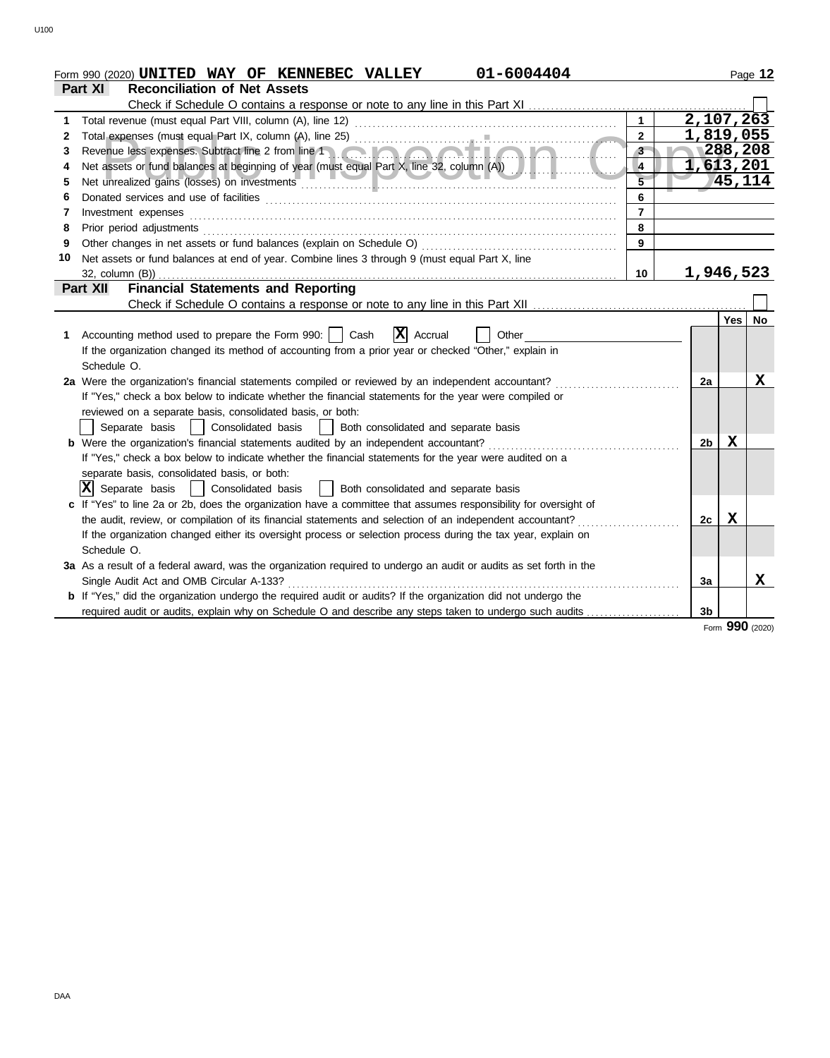|    | 01-6004404<br>Form 990 (2020) UNITED WAY OF KENNEBEC VALLEY                                                                                                                                                                                                                                                                                                                                                                                                                                                            |                |                |             | Page 12   |
|----|------------------------------------------------------------------------------------------------------------------------------------------------------------------------------------------------------------------------------------------------------------------------------------------------------------------------------------------------------------------------------------------------------------------------------------------------------------------------------------------------------------------------|----------------|----------------|-------------|-----------|
|    | <b>Reconciliation of Net Assets</b><br>Part XI                                                                                                                                                                                                                                                                                                                                                                                                                                                                         |                |                |             |           |
|    | Check if Schedule O contains a response or note to any line in this Part XI                                                                                                                                                                                                                                                                                                                                                                                                                                            |                |                |             |           |
|    |                                                                                                                                                                                                                                                                                                                                                                                                                                                                                                                        | $\mathbf{1}$   | 2,107,263      |             |           |
| 2  |                                                                                                                                                                                                                                                                                                                                                                                                                                                                                                                        | $\overline{2}$ | 1,819,055      |             |           |
| 3  |                                                                                                                                                                                                                                                                                                                                                                                                                                                                                                                        | $3 -$          |                | 1288, 208   |           |
|    |                                                                                                                                                                                                                                                                                                                                                                                                                                                                                                                        | 4              | 1,613,201      |             |           |
| 5  | Net unrealized gains (losses) on investments                                                                                                                                                                                                                                                                                                                                                                                                                                                                           | $\overline{5}$ |                | 45,114      |           |
| 6  |                                                                                                                                                                                                                                                                                                                                                                                                                                                                                                                        | $6\phantom{a}$ |                |             |           |
| 7  | $Investment \textit{ expenses} \textit{________} \label{ex:ex:ex:1} \begin{minipage}[c]{0.9\textwidth}{ \begin{minipage}[c]{0.9\textwidth}{ \begin{minipage}[c]{0.9\textwidth}{ \begin{minipage}[c]{0.9\textwidth}{ \begin{minipage}[c]{0.9\textwidth}{ \begin{minipage}[c]{0.9\textwidth}{ \begin{minipage}[c]{0.9\textwidth}{ \begin{minipage}[c]{0.9\textwidth}{ \begin{minipage}[c]{0.9\textwidth}{ \begin{minipage}[c]{0.9\textwidth}{ \begin{minipage}[c]{0.9\textwidth}{ \begin{minipage}[c]{0.9\textwidth}{ \$ | $\overline{7}$ |                |             |           |
| 8  | Prior period adjustments [11, 12] and the contract of the contract of the contract of the contract of the contract of the contract of the contract of the contract of the contract of the contract of the contract of the cont                                                                                                                                                                                                                                                                                         | 8              |                |             |           |
| 9  |                                                                                                                                                                                                                                                                                                                                                                                                                                                                                                                        | 9              |                |             |           |
| 10 | Net assets or fund balances at end of year. Combine lines 3 through 9 (must equal Part X, line                                                                                                                                                                                                                                                                                                                                                                                                                         |                |                |             |           |
|    | 32, column (B))                                                                                                                                                                                                                                                                                                                                                                                                                                                                                                        | 10             | 1,946,523      |             |           |
|    | <b>Financial Statements and Reporting</b><br>Part XII                                                                                                                                                                                                                                                                                                                                                                                                                                                                  |                |                |             |           |
|    |                                                                                                                                                                                                                                                                                                                                                                                                                                                                                                                        |                |                |             |           |
|    |                                                                                                                                                                                                                                                                                                                                                                                                                                                                                                                        |                |                | Yes         | <b>No</b> |
| 1. | $ \mathbf{X} $ Accrual<br>Accounting method used to prepare the Form 990:     Cash<br>Other                                                                                                                                                                                                                                                                                                                                                                                                                            |                |                |             |           |
|    | If the organization changed its method of accounting from a prior year or checked "Other," explain in                                                                                                                                                                                                                                                                                                                                                                                                                  |                |                |             |           |
|    | Schedule O.                                                                                                                                                                                                                                                                                                                                                                                                                                                                                                            |                |                |             |           |
|    | 2a Were the organization's financial statements compiled or reviewed by an independent accountant?                                                                                                                                                                                                                                                                                                                                                                                                                     |                | 2a             |             | X         |
|    | If "Yes," check a box below to indicate whether the financial statements for the year were compiled or                                                                                                                                                                                                                                                                                                                                                                                                                 |                |                |             |           |
|    | reviewed on a separate basis, consolidated basis, or both:                                                                                                                                                                                                                                                                                                                                                                                                                                                             |                |                |             |           |
|    | Consolidated basis<br>Separate basis<br>Both consolidated and separate basis                                                                                                                                                                                                                                                                                                                                                                                                                                           |                |                |             |           |
|    | <b>b</b> Were the organization's financial statements audited by an independent accountant?                                                                                                                                                                                                                                                                                                                                                                                                                            |                | 2 <sub>b</sub> | $\mathbf x$ |           |
|    | If "Yes," check a box below to indicate whether the financial statements for the year were audited on a                                                                                                                                                                                                                                                                                                                                                                                                                |                |                |             |           |
|    | separate basis, consolidated basis, or both:                                                                                                                                                                                                                                                                                                                                                                                                                                                                           |                |                |             |           |
|    | $ X $ Separate basis<br>  Consolidated basis<br>  Both consolidated and separate basis                                                                                                                                                                                                                                                                                                                                                                                                                                 |                |                |             |           |
|    | c If "Yes" to line 2a or 2b, does the organization have a committee that assumes responsibility for oversight of                                                                                                                                                                                                                                                                                                                                                                                                       |                |                |             |           |
|    | the audit, review, or compilation of its financial statements and selection of an independent accountant?                                                                                                                                                                                                                                                                                                                                                                                                              |                | 2c             | х           |           |
|    | If the organization changed either its oversight process or selection process during the tax year, explain on                                                                                                                                                                                                                                                                                                                                                                                                          |                |                |             |           |
|    | Schedule O.                                                                                                                                                                                                                                                                                                                                                                                                                                                                                                            |                |                |             |           |
|    | 3a As a result of a federal award, was the organization required to undergo an audit or audits as set forth in the                                                                                                                                                                                                                                                                                                                                                                                                     |                |                |             |           |
|    | Single Audit Act and OMB Circular A-133?                                                                                                                                                                                                                                                                                                                                                                                                                                                                               |                | 3a             |             | x         |
|    | <b>b</b> If "Yes," did the organization undergo the required audit or audits? If the organization did not undergo the                                                                                                                                                                                                                                                                                                                                                                                                  |                |                |             |           |
|    | required audit or audits, explain why on Schedule O and describe any steps taken to undergo such audits                                                                                                                                                                                                                                                                                                                                                                                                                |                | 3 <sub>b</sub> | $\sim$      |           |

Form **990** (2020)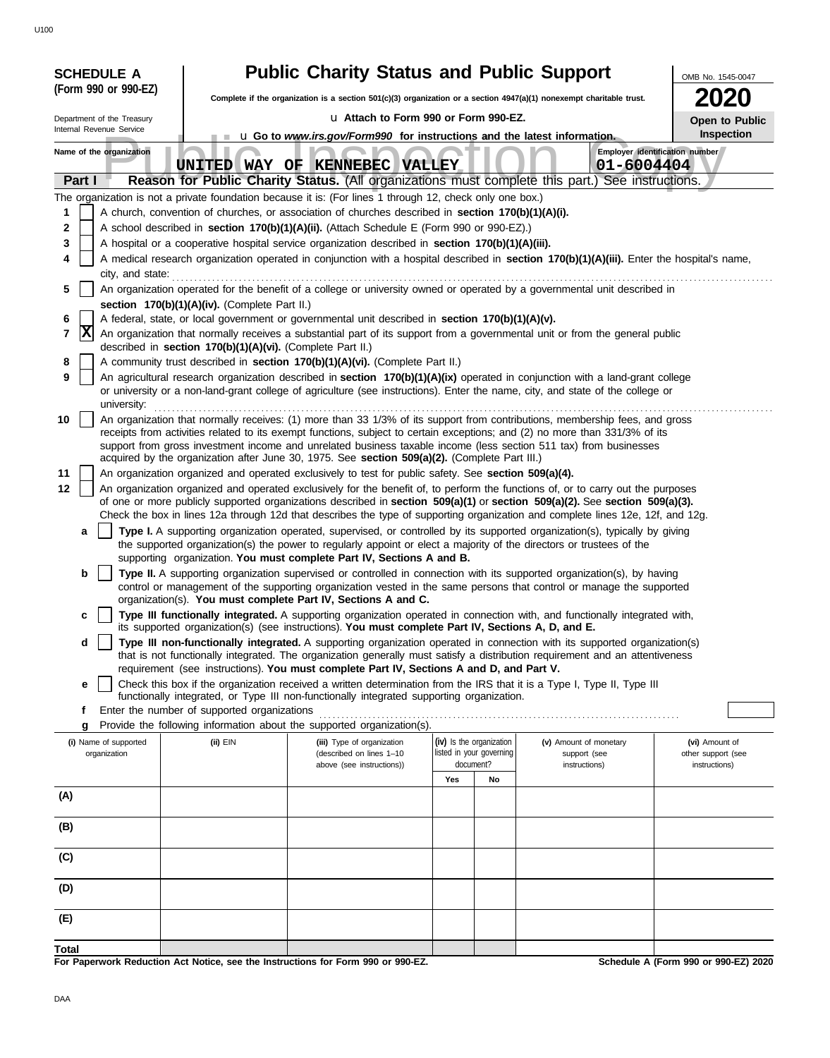|              | <b>SCHEDULE A</b>                                                                                                                                                                                                                      |                                                            | <b>Public Charity Status and Public Support</b><br>OMB No. 1545-0047                                                                                                                                                                                            |                                                         |                          |                                        |                                      |  |  |
|--------------|----------------------------------------------------------------------------------------------------------------------------------------------------------------------------------------------------------------------------------------|------------------------------------------------------------|-----------------------------------------------------------------------------------------------------------------------------------------------------------------------------------------------------------------------------------------------------------------|---------------------------------------------------------|--------------------------|----------------------------------------|--------------------------------------|--|--|
|              | (Form 990 or 990-EZ)                                                                                                                                                                                                                   |                                                            | <b>2020</b><br>Complete if the organization is a section 501(c)(3) organization or a section 4947(a)(1) nonexempt charitable trust.                                                                                                                             |                                                         |                          |                                        |                                      |  |  |
|              | Department of the Treasury                                                                                                                                                                                                             |                                                            |                                                                                                                                                                                                                                                                 | La Attach to Form 990 or Form 990-EZ.<br>Open to Public |                          |                                        |                                      |  |  |
|              | Internal Revenue Service                                                                                                                                                                                                               |                                                            | <b>u</b> Go to <i>www.irs.gov/Form990</i> for instructions and the latest information.                                                                                                                                                                          |                                                         |                          |                                        | Inspection                           |  |  |
|              | Name of the organization                                                                                                                                                                                                               | <b>UNITED</b>                                              | WAY OF KENNEBEC VALLEY                                                                                                                                                                                                                                          |                                                         |                          | 01-6004404                             | Employer identification number       |  |  |
| Part I       |                                                                                                                                                                                                                                        |                                                            | Reason for Public Charity Status. (All organizations must complete this part.) See instructions.                                                                                                                                                                |                                                         |                          |                                        |                                      |  |  |
|              |                                                                                                                                                                                                                                        |                                                            | The organization is not a private foundation because it is: (For lines 1 through 12, check only one box.)                                                                                                                                                       |                                                         |                          |                                        |                                      |  |  |
| 1            |                                                                                                                                                                                                                                        |                                                            | A church, convention of churches, or association of churches described in section 170(b)(1)(A)(i).                                                                                                                                                              |                                                         |                          |                                        |                                      |  |  |
| 2<br>3       |                                                                                                                                                                                                                                        |                                                            | A school described in section 170(b)(1)(A)(ii). (Attach Schedule E (Form 990 or 990-EZ).)                                                                                                                                                                       |                                                         |                          |                                        |                                      |  |  |
| 4            |                                                                                                                                                                                                                                        |                                                            | A hospital or a cooperative hospital service organization described in section 170(b)(1)(A)(iii).<br>A medical research organization operated in conjunction with a hospital described in section 170(b)(1)(A)(iii). Enter the hospital's name,                 |                                                         |                          |                                        |                                      |  |  |
|              | city, and state:                                                                                                                                                                                                                       |                                                            |                                                                                                                                                                                                                                                                 |                                                         |                          |                                        |                                      |  |  |
| 5            |                                                                                                                                                                                                                                        |                                                            | An organization operated for the benefit of a college or university owned or operated by a governmental unit described in                                                                                                                                       |                                                         |                          |                                        |                                      |  |  |
|              | section 170(b)(1)(A)(iv). (Complete Part II.)                                                                                                                                                                                          |                                                            |                                                                                                                                                                                                                                                                 |                                                         |                          |                                        |                                      |  |  |
| 6<br>7       | A federal, state, or local government or governmental unit described in section 170(b)(1)(A)(v).<br> X<br>An organization that normally receives a substantial part of its support from a governmental unit or from the general public |                                                            |                                                                                                                                                                                                                                                                 |                                                         |                          |                                        |                                      |  |  |
|              |                                                                                                                                                                                                                                        | described in section 170(b)(1)(A)(vi). (Complete Part II.) |                                                                                                                                                                                                                                                                 |                                                         |                          |                                        |                                      |  |  |
| 8            | A community trust described in section 170(b)(1)(A)(vi). (Complete Part II.)                                                                                                                                                           |                                                            |                                                                                                                                                                                                                                                                 |                                                         |                          |                                        |                                      |  |  |
| 9            | university:                                                                                                                                                                                                                            |                                                            | An agricultural research organization described in section 170(b)(1)(A)(ix) operated in conjunction with a land-grant college<br>or university or a non-land-grant college of agriculture (see instructions). Enter the name, city, and state of the college or |                                                         |                          |                                        |                                      |  |  |
| 10           |                                                                                                                                                                                                                                        |                                                            | An organization that normally receives: (1) more than 33 1/3% of its support from contributions, membership fees, and gross                                                                                                                                     |                                                         |                          |                                        |                                      |  |  |
|              |                                                                                                                                                                                                                                        |                                                            | receipts from activities related to its exempt functions, subject to certain exceptions; and (2) no more than 331/3% of its<br>support from gross investment income and unrelated business taxable income (less section 511 tax) from businesses                |                                                         |                          |                                        |                                      |  |  |
|              |                                                                                                                                                                                                                                        |                                                            | acquired by the organization after June 30, 1975. See section 509(a)(2). (Complete Part III.)                                                                                                                                                                   |                                                         |                          |                                        |                                      |  |  |
| 11           |                                                                                                                                                                                                                                        |                                                            | An organization organized and operated exclusively to test for public safety. See section 509(a)(4).                                                                                                                                                            |                                                         |                          |                                        |                                      |  |  |
| 12           |                                                                                                                                                                                                                                        |                                                            | An organization organized and operated exclusively for the benefit of, to perform the functions of, or to carry out the purposes                                                                                                                                |                                                         |                          |                                        |                                      |  |  |
|              |                                                                                                                                                                                                                                        |                                                            | of one or more publicly supported organizations described in section 509(a)(1) or section 509(a)(2). See section 509(a)(3).<br>Check the box in lines 12a through 12d that describes the type of supporting organization and complete lines 12e, 12f, and 12g.  |                                                         |                          |                                        |                                      |  |  |
| a            |                                                                                                                                                                                                                                        |                                                            | Type I. A supporting organization operated, supervised, or controlled by its supported organization(s), typically by giving                                                                                                                                     |                                                         |                          |                                        |                                      |  |  |
|              |                                                                                                                                                                                                                                        |                                                            | the supported organization(s) the power to regularly appoint or elect a majority of the directors or trustees of the                                                                                                                                            |                                                         |                          |                                        |                                      |  |  |
| b            |                                                                                                                                                                                                                                        |                                                            | supporting organization. You must complete Part IV, Sections A and B.<br>Type II. A supporting organization supervised or controlled in connection with its supported organization(s), by having                                                                |                                                         |                          |                                        |                                      |  |  |
|              |                                                                                                                                                                                                                                        |                                                            | control or management of the supporting organization vested in the same persons that control or manage the supported                                                                                                                                            |                                                         |                          |                                        |                                      |  |  |
|              |                                                                                                                                                                                                                                        |                                                            | organization(s). You must complete Part IV, Sections A and C.                                                                                                                                                                                                   |                                                         |                          |                                        |                                      |  |  |
| c            |                                                                                                                                                                                                                                        |                                                            | Type III functionally integrated. A supporting organization operated in connection with, and functionally integrated with,<br>its supported organization(s) (see instructions). You must complete Part IV, Sections A, D, and E.                                |                                                         |                          |                                        |                                      |  |  |
| d            |                                                                                                                                                                                                                                        |                                                            | Type III non-functionally integrated. A supporting organization operated in connection with its supported organization(s)                                                                                                                                       |                                                         |                          |                                        |                                      |  |  |
|              |                                                                                                                                                                                                                                        |                                                            | that is not functionally integrated. The organization generally must satisfy a distribution requirement and an attentiveness                                                                                                                                    |                                                         |                          |                                        |                                      |  |  |
| е            |                                                                                                                                                                                                                                        |                                                            | requirement (see instructions). You must complete Part IV, Sections A and D, and Part V.<br>Check this box if the organization received a written determination from the IRS that it is a Type I, Type II, Type III                                             |                                                         |                          |                                        |                                      |  |  |
|              |                                                                                                                                                                                                                                        |                                                            | functionally integrated, or Type III non-functionally integrated supporting organization.                                                                                                                                                                       |                                                         |                          |                                        |                                      |  |  |
| f            |                                                                                                                                                                                                                                        | Enter the number of supported organizations                |                                                                                                                                                                                                                                                                 |                                                         |                          |                                        |                                      |  |  |
| g            | (i) Name of supported                                                                                                                                                                                                                  | $(ii)$ EIN                                                 | Provide the following information about the supported organization(s).<br>(iii) Type of organization                                                                                                                                                            |                                                         | (iv) Is the organization |                                        |                                      |  |  |
|              | organization                                                                                                                                                                                                                           |                                                            | (described on lines 1-10                                                                                                                                                                                                                                        |                                                         | listed in your governing | (v) Amount of monetary<br>support (see | (vi) Amount of<br>other support (see |  |  |
|              |                                                                                                                                                                                                                                        |                                                            | above (see instructions))                                                                                                                                                                                                                                       | Yes                                                     | document?                | instructions)                          | instructions)                        |  |  |
| (A)          |                                                                                                                                                                                                                                        |                                                            |                                                                                                                                                                                                                                                                 |                                                         | No                       |                                        |                                      |  |  |
|              |                                                                                                                                                                                                                                        |                                                            |                                                                                                                                                                                                                                                                 |                                                         |                          |                                        |                                      |  |  |
| (B)          |                                                                                                                                                                                                                                        |                                                            |                                                                                                                                                                                                                                                                 |                                                         |                          |                                        |                                      |  |  |
| (C)          |                                                                                                                                                                                                                                        |                                                            |                                                                                                                                                                                                                                                                 |                                                         |                          |                                        |                                      |  |  |
| (D)          |                                                                                                                                                                                                                                        |                                                            |                                                                                                                                                                                                                                                                 |                                                         |                          |                                        |                                      |  |  |
| (E)          |                                                                                                                                                                                                                                        |                                                            |                                                                                                                                                                                                                                                                 |                                                         |                          |                                        |                                      |  |  |
| <b>Total</b> |                                                                                                                                                                                                                                        |                                                            |                                                                                                                                                                                                                                                                 |                                                         |                          |                                        |                                      |  |  |

**For Paperwork Reduction Act Notice, see the Instructions for Form 990 or 990-EZ.**

**Schedule A (Form 990 or 990-EZ) 2020**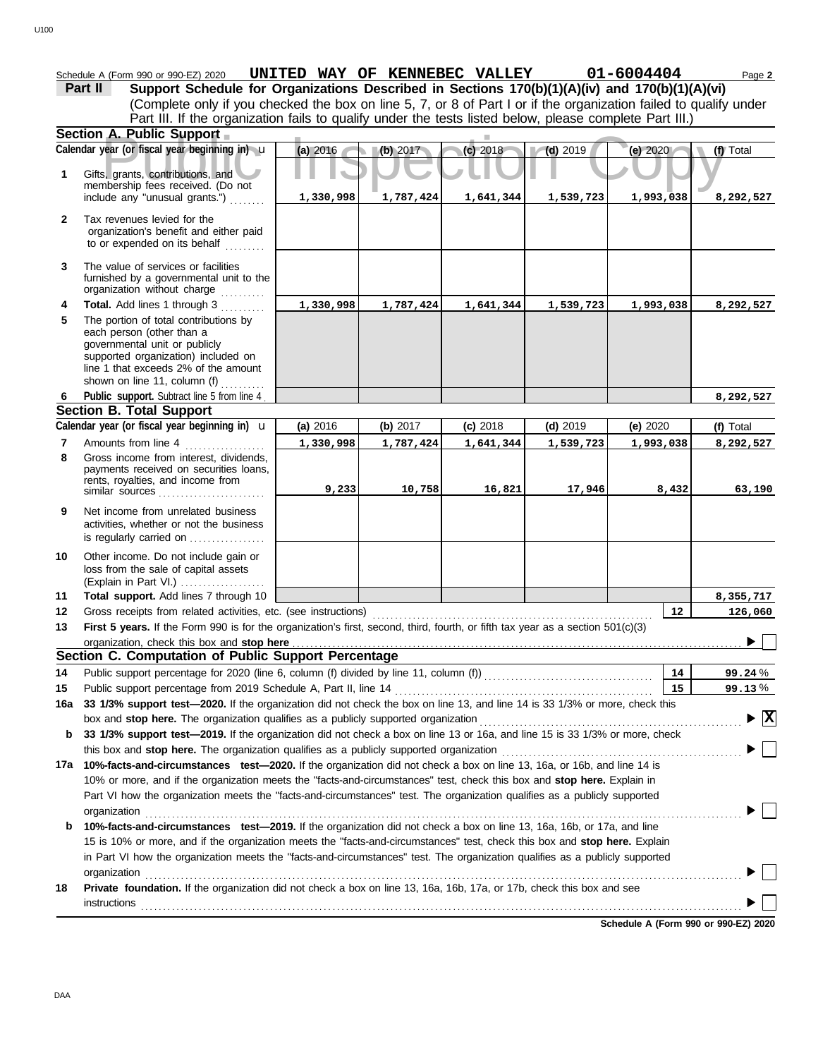|              | Schedule A (Form 990 or 990-EZ) 2020                                                                                                                                                                              |           |           | UNITED WAY OF KENNEBEC VALLEY |            | 01-6004404 | Page 2                          |
|--------------|-------------------------------------------------------------------------------------------------------------------------------------------------------------------------------------------------------------------|-----------|-----------|-------------------------------|------------|------------|---------------------------------|
|              | Support Schedule for Organizations Described in Sections 170(b)(1)(A)(iv) and 170(b)(1)(A)(vi)<br>Part II                                                                                                         |           |           |                               |            |            |                                 |
|              | (Complete only if you checked the box on line 5, 7, or 8 of Part I or if the organization failed to qualify under                                                                                                 |           |           |                               |            |            |                                 |
|              | Part III. If the organization fails to qualify under the tests listed below, please complete Part III.)<br>Section A. Public Support                                                                              |           |           |                               |            |            |                                 |
|              | Calendar year (or fiscal year beginning in) u                                                                                                                                                                     | (a) 2016  | (b) 2017  | (c) 2018                      | $(d)$ 2019 | (e) 2020   | (f) Total                       |
|              |                                                                                                                                                                                                                   |           |           |                               |            |            |                                 |
| 1            | Gifts, grants, contributions, and                                                                                                                                                                                 |           |           |                               |            |            |                                 |
|              | membership fees received. (Do not<br>include any "unusual grants.")                                                                                                                                               | 1,330,998 | 1,787,424 | 1,641,344                     | 1,539,723  | 1,993,038  | 8,292,527                       |
|              |                                                                                                                                                                                                                   |           |           |                               |            |            |                                 |
| $\mathbf{2}$ | Tax revenues levied for the<br>organization's benefit and either paid                                                                                                                                             |           |           |                               |            |            |                                 |
|              | to or expended on its behalf                                                                                                                                                                                      |           |           |                               |            |            |                                 |
|              |                                                                                                                                                                                                                   |           |           |                               |            |            |                                 |
| 3            | The value of services or facilities<br>furnished by a governmental unit to the                                                                                                                                    |           |           |                               |            |            |                                 |
|              | organization without charge                                                                                                                                                                                       |           |           |                               |            |            |                                 |
| 4            | Total. Add lines 1 through 3                                                                                                                                                                                      | 1,330,998 | 1,787,424 | 1,641,344                     | 1,539,723  | 1,993,038  | 8,292,527                       |
| 5            | The portion of total contributions by                                                                                                                                                                             |           |           |                               |            |            |                                 |
|              | each person (other than a<br>governmental unit or publicly                                                                                                                                                        |           |           |                               |            |            |                                 |
|              | supported organization) included on                                                                                                                                                                               |           |           |                               |            |            |                                 |
|              | line 1 that exceeds 2% of the amount<br>shown on line 11, column (f) $\ldots$                                                                                                                                     |           |           |                               |            |            |                                 |
| 6            | Public support. Subtract line 5 from line 4                                                                                                                                                                       |           |           |                               |            |            | 8,292,527                       |
|              | <b>Section B. Total Support</b>                                                                                                                                                                                   |           |           |                               |            |            |                                 |
|              | Calendar year (or fiscal year beginning in) $\mathbf u$                                                                                                                                                           | (a) 2016  | (b) 2017  | $(c)$ 2018                    | $(d)$ 2019 | (e) $2020$ | (f) Total                       |
| 7            | Amounts from line 4                                                                                                                                                                                               | 1,330,998 | 1,787,424 | 1,641,344                     | 1,539,723  | 1,993,038  | 8,292,527                       |
| 8            | Gross income from interest, dividends,                                                                                                                                                                            |           |           |                               |            |            |                                 |
|              | payments received on securities loans,<br>rents, royalties, and income from                                                                                                                                       |           |           |                               |            |            |                                 |
|              | similar sources                                                                                                                                                                                                   | 9,233     | 10,758    | 16,821                        | 17,946     | 8,432      | 63,190                          |
| 9            | Net income from unrelated business                                                                                                                                                                                |           |           |                               |            |            |                                 |
|              | activities, whether or not the business                                                                                                                                                                           |           |           |                               |            |            |                                 |
|              | is regularly carried on                                                                                                                                                                                           |           |           |                               |            |            |                                 |
| 10           | Other income. Do not include gain or                                                                                                                                                                              |           |           |                               |            |            |                                 |
|              | loss from the sale of capital assets<br>(Explain in Part VI.)                                                                                                                                                     |           |           |                               |            |            |                                 |
| 11           | Total support. Add lines 7 through 10                                                                                                                                                                             |           |           |                               |            |            | 8,355,717                       |
| 12           | Gross receipts from related activities, etc. (see instructions)                                                                                                                                                   |           |           |                               |            | 12         | 126,060                         |
| 13           | First 5 years. If the Form 990 is for the organization's first, second, third, fourth, or fifth tax year as a section 501(c)(3)                                                                                   |           |           |                               |            |            |                                 |
|              | organization, check this box and stop here                                                                                                                                                                        |           |           |                               |            |            |                                 |
|              | Section C. Computation of Public Support Percentage                                                                                                                                                               |           |           |                               |            |            |                                 |
| 14           |                                                                                                                                                                                                                   |           |           |                               |            | 14         | 99.24%                          |
| 15           |                                                                                                                                                                                                                   |           |           |                               |            | 15         | 99.13%                          |
| 16a          | 33 1/3% support test-2020. If the organization did not check the box on line 13, and line 14 is 33 1/3% or more, check this                                                                                       |           |           |                               |            |            |                                 |
|              | box and stop here. The organization qualifies as a publicly supported organization<br>33 1/3% support test-2019. If the organization did not check a box on line 13 or 16a, and line 15 is 33 1/3% or more, check |           |           |                               |            |            | $\blacktriangleright$ $\vert$ X |
| b            | this box and stop here. The organization qualifies as a publicly supported organization                                                                                                                           |           |           |                               |            |            |                                 |
|              | 17a 10%-facts-and-circumstances test-2020. If the organization did not check a box on line 13, 16a, or 16b, and line 14 is                                                                                        |           |           |                               |            |            |                                 |
|              | 10% or more, and if the organization meets the "facts-and-circumstances" test, check this box and stop here. Explain in                                                                                           |           |           |                               |            |            |                                 |
|              | Part VI how the organization meets the "facts-and-circumstances" test. The organization qualifies as a publicly supported                                                                                         |           |           |                               |            |            |                                 |
|              | organization                                                                                                                                                                                                      |           |           |                               |            |            |                                 |
| b            | 10%-facts-and-circumstances test-2019. If the organization did not check a box on line 13, 16a, 16b, or 17a, and line                                                                                             |           |           |                               |            |            |                                 |
|              | 15 is 10% or more, and if the organization meets the "facts-and-circumstances" test, check this box and stop here. Explain                                                                                        |           |           |                               |            |            |                                 |
|              | in Part VI how the organization meets the "facts-and-circumstances" test. The organization qualifies as a publicly supported                                                                                      |           |           |                               |            |            |                                 |
|              | organization www.commutation.com/www.commutation.com/www.commutation.com/www.commutation.com/www.commutation.com                                                                                                  |           |           |                               |            |            |                                 |
| 18           | Private foundation. If the organization did not check a box on line 13, 16a, 16b, 17a, or 17b, check this box and see                                                                                             |           |           |                               |            |            |                                 |
|              |                                                                                                                                                                                                                   |           |           |                               |            |            |                                 |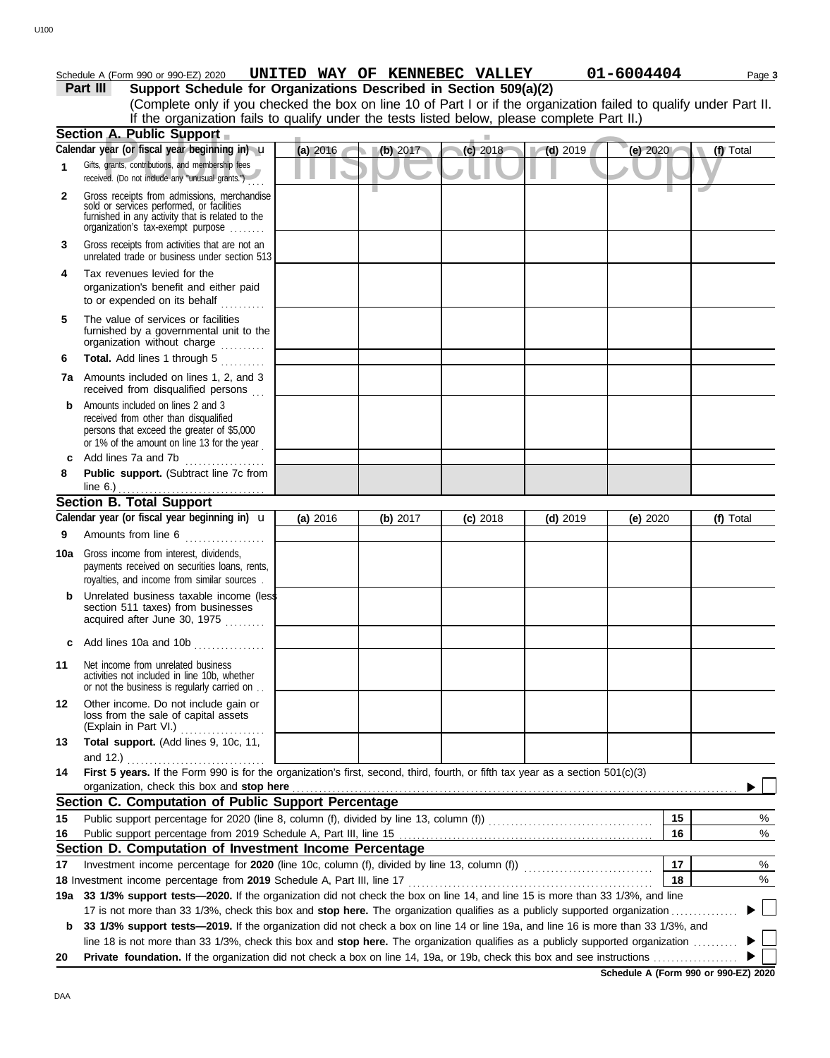### **Part III Support Schedule for Organizations Described in Section 509(a)(2)** Schedule A (Form 990 or 990-EZ) 2020 **UNITED WAY OF KENNEBEC VALLEY 01-6004404** Page 3

(Complete only if you checked the box on line 10 of Part I or if the organization failed to qualify under Part II. If the organization fails to qualify under the tests listed below, please complete Part II.)

|     | Section A. Public Support                                                                                                                                                         |          |          | ш          |            |            |                                       |
|-----|-----------------------------------------------------------------------------------------------------------------------------------------------------------------------------------|----------|----------|------------|------------|------------|---------------------------------------|
|     | Calendar year (or fiscal year beginning in) $\mathbf u$                                                                                                                           | (a) 2016 | (b) 2017 | (c) 2018   | $(d)$ 2019 | (e) 2020   | (f) Total                             |
| 1   | Gifts, grants, contributions, and membership fees<br>received. (Do not include any "unusual grants.")                                                                             |          |          |            |            |            |                                       |
| 2   | Gross receipts from admissions, merchandise<br>sold or services performed, or facilities<br>furnished in any activity that is related to the<br>organization's fax-exempt purpose |          |          |            |            |            |                                       |
| 3   | Gross receipts from activities that are not an<br>unrelated trade or business under section 513                                                                                   |          |          |            |            |            |                                       |
| 4   | Tax revenues levied for the<br>organization's benefit and either paid<br>to or expended on its behalf                                                                             |          |          |            |            |            |                                       |
| 5   | The value of services or facilities<br>furnished by a governmental unit to the<br>organization without charge                                                                     |          |          |            |            |            |                                       |
| 6   | Total. Add lines 1 through 5<br>.                                                                                                                                                 |          |          |            |            |            |                                       |
|     | <b>7a</b> Amounts included on lines 1, 2, and 3<br>received from disqualified persons                                                                                             |          |          |            |            |            |                                       |
| b   | Amounts included on lines 2 and 3<br>received from other than disqualified<br>persons that exceed the greater of \$5,000<br>or 1% of the amount on line 13 for the year           |          |          |            |            |            |                                       |
| c   | Add lines 7a and 7b<br>.                                                                                                                                                          |          |          |            |            |            |                                       |
| 8   | Public support. (Subtract line 7c from<br>line $6.$ )                                                                                                                             |          |          |            |            |            |                                       |
|     | <b>Section B. Total Support</b>                                                                                                                                                   |          |          |            |            |            |                                       |
|     | Calendar year (or fiscal year beginning in) $\mathbf u$                                                                                                                           | (a) 2016 | (b) 2017 | $(c)$ 2018 | $(d)$ 2019 | (e) $2020$ | (f) Total                             |
| 9   | Amounts from line 6                                                                                                                                                               |          |          |            |            |            |                                       |
| 10a | Gross income from interest, dividends,<br>payments received on securities loans, rents,<br>royalties, and income from similar sources                                             |          |          |            |            |            |                                       |
| b   | Unrelated business taxable income (less<br>section 511 taxes) from businesses<br>acquired after June 30, 1975                                                                     |          |          |            |            |            |                                       |
|     | Add lines 10a and 10b                                                                                                                                                             |          |          |            |            |            |                                       |
| 11  | Net income from unrelated business<br>activities not included in line 10b, whether<br>or not the business is regularly carried on                                                 |          |          |            |            |            |                                       |
| 12  | Other income. Do not include gain or<br>loss from the sale of capital assets<br>(Explain in Part VI.)                                                                             |          |          |            |            |            |                                       |
| 13  | Total support. (Add lines 9, 10c, 11,<br>and $12.$ )                                                                                                                              |          |          |            |            |            |                                       |
| 14  | First 5 years. If the Form 990 is for the organization's first, second, third, fourth, or fifth tax year as a section 501(c)(3)<br>organization, check this box and stop here     |          |          |            |            |            |                                       |
|     | Section C. Computation of Public Support Percentage                                                                                                                               |          |          |            |            |            |                                       |
| 15  |                                                                                                                                                                                   |          |          |            |            | 15         | %                                     |
| 16  |                                                                                                                                                                                   |          |          |            |            | 16         | %                                     |
|     | Section D. Computation of Investment Income Percentage                                                                                                                            |          |          |            |            |            |                                       |
| 17  |                                                                                                                                                                                   |          |          |            |            | 17         | %                                     |
|     | 18 Investment income percentage from 2019 Schedule A, Part III, line 17 <b>Construent in the interact of the construent</b>                                                       |          |          |            |            | 18         | %                                     |
|     | 19a 33 1/3% support tests-2020. If the organization did not check the box on line 14, and line 15 is more than 33 1/3%, and line                                                  |          |          |            |            |            |                                       |
|     | 17 is not more than 33 1/3%, check this box and stop here. The organization qualifies as a publicly supported organization                                                        |          |          |            |            |            | $\begin{array}{c} \hline \end{array}$ |
| b   | 33 1/3% support tests—2019. If the organization did not check a box on line 14 or line 19a, and line 16 is more than 33 1/3%, and                                                 |          |          |            |            |            |                                       |
|     | line 18 is not more than 33 1/3%, check this box and stop here. The organization qualifies as a publicly supported organization                                                   |          |          |            |            |            |                                       |
| 20  | Private foundation. If the organization did not check a box on line 14, 19a, or 19b, check this box and see instructions                                                          |          |          |            |            |            |                                       |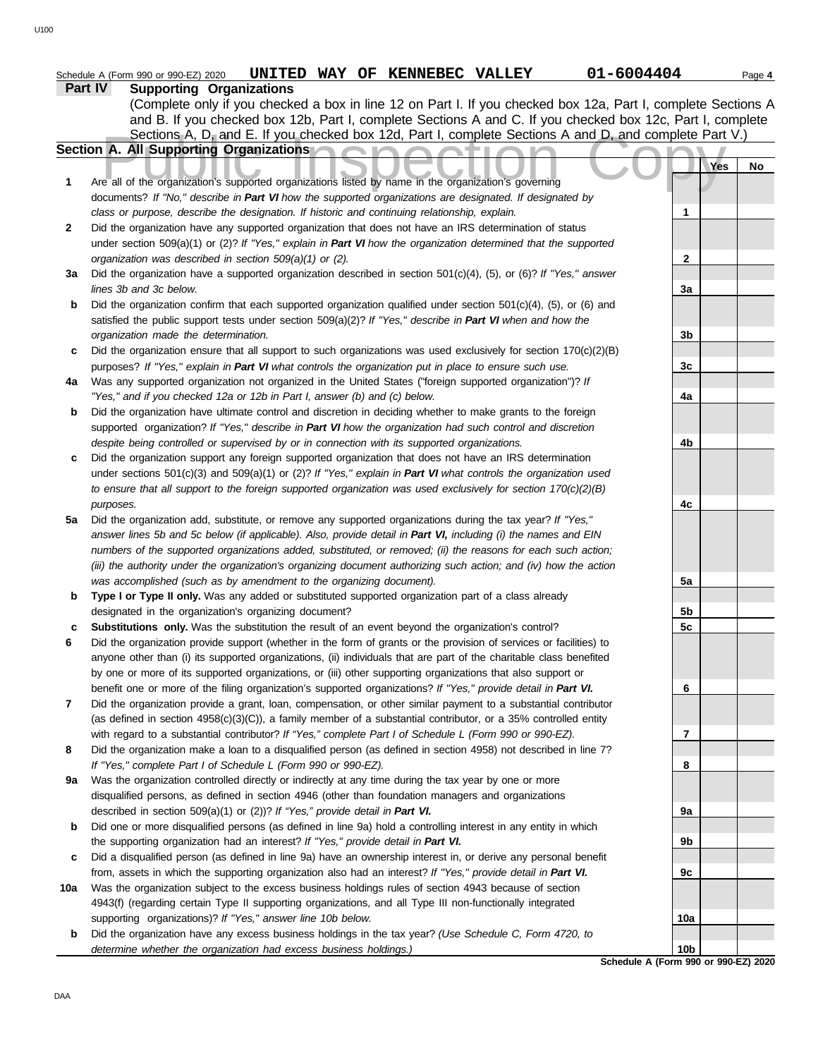|     | 01-6004404<br>UNITED WAY OF KENNEBEC VALLEY<br>Schedule A (Form 990 or 990-EZ) 2020                                                                                                             |                 | Page 4 |
|-----|-------------------------------------------------------------------------------------------------------------------------------------------------------------------------------------------------|-----------------|--------|
|     | Part IV<br><b>Supporting Organizations</b>                                                                                                                                                      |                 |        |
|     | (Complete only if you checked a box in line 12 on Part I. If you checked box 12a, Part I, complete Sections A                                                                                   |                 |        |
|     | and B. If you checked box 12b, Part I, complete Sections A and C. If you checked box 12c, Part I, complete                                                                                      |                 |        |
|     | Sections A, D, and E. If you checked box 12d, Part I, complete Sections A and D, and complete Part V.)<br>Section A. All Supporting Organizations                                               |                 |        |
|     |                                                                                                                                                                                                 | Yes             | No     |
| 1   | Are all of the organization's supported organizations listed by name in the organization's governing                                                                                            |                 |        |
|     | documents? If "No," describe in Part VI how the supported organizations are designated. If designated by                                                                                        |                 |        |
|     | class or purpose, describe the designation. If historic and continuing relationship, explain.                                                                                                   | 1               |        |
| 2   | Did the organization have any supported organization that does not have an IRS determination of status                                                                                          |                 |        |
|     | under section $509(a)(1)$ or (2)? If "Yes," explain in Part VI how the organization determined that the supported                                                                               |                 |        |
|     | organization was described in section 509(a)(1) or (2).                                                                                                                                         | $\mathbf{2}$    |        |
| За  | Did the organization have a supported organization described in section $501(c)(4)$ , (5), or (6)? If "Yes," answer                                                                             |                 |        |
|     | lines 3b and 3c below.                                                                                                                                                                          | 3a              |        |
| b   | Did the organization confirm that each supported organization qualified under section $501(c)(4)$ , (5), or (6) and                                                                             |                 |        |
|     | satisfied the public support tests under section 509(a)(2)? If "Yes," describe in Part VI when and how the                                                                                      |                 |        |
|     | organization made the determination.                                                                                                                                                            | 3b              |        |
| c   | Did the organization ensure that all support to such organizations was used exclusively for section $170(c)(2)(B)$                                                                              |                 |        |
|     | purposes? If "Yes," explain in Part VI what controls the organization put in place to ensure such use.                                                                                          | 3 <sub>c</sub>  |        |
| 4a  | Was any supported organization not organized in the United States ("foreign supported organization")? If<br>"Yes," and if you checked 12a or 12b in Part I, answer (b) and (c) below.           | 4a              |        |
| b   | Did the organization have ultimate control and discretion in deciding whether to make grants to the foreign                                                                                     |                 |        |
|     | supported organization? If "Yes," describe in Part VI how the organization had such control and discretion                                                                                      |                 |        |
|     | despite being controlled or supervised by or in connection with its supported organizations.                                                                                                    | 4b              |        |
| c   | Did the organization support any foreign supported organization that does not have an IRS determination                                                                                         |                 |        |
|     | under sections $501(c)(3)$ and $509(a)(1)$ or (2)? If "Yes," explain in Part VI what controls the organization used                                                                             |                 |        |
|     | to ensure that all support to the foreign supported organization was used exclusively for section $170(c)(2)(B)$                                                                                |                 |        |
|     | purposes.                                                                                                                                                                                       | 4c              |        |
| 5a  | Did the organization add, substitute, or remove any supported organizations during the tax year? If "Yes,"                                                                                      |                 |        |
|     | answer lines 5b and 5c below (if applicable). Also, provide detail in Part VI, including (i) the names and EIN                                                                                  |                 |        |
|     | numbers of the supported organizations added, substituted, or removed; (ii) the reasons for each such action;                                                                                   |                 |        |
|     | (iii) the authority under the organization's organizing document authorizing such action; and (iv) how the action                                                                               |                 |        |
|     | was accomplished (such as by amendment to the organizing document).                                                                                                                             | 5a              |        |
| b   | Type I or Type II only. Was any added or substituted supported organization part of a class already<br>designated in the organization's organizing document?                                    | 5b              |        |
| c   | Substitutions only. Was the substitution the result of an event beyond the organization's control?                                                                                              | 5 <sub>c</sub>  |        |
| 6   | Did the organization provide support (whether in the form of grants or the provision of services or facilities) to                                                                              |                 |        |
|     | anyone other than (i) its supported organizations, (ii) individuals that are part of the charitable class benefited                                                                             |                 |        |
|     | by one or more of its supported organizations, or (iii) other supporting organizations that also support or                                                                                     |                 |        |
|     | benefit one or more of the filing organization's supported organizations? If "Yes," provide detail in Part VI.                                                                                  | 6               |        |
| 7   | Did the organization provide a grant, loan, compensation, or other similar payment to a substantial contributor                                                                                 |                 |        |
|     | (as defined in section $4958(c)(3)(C)$ ), a family member of a substantial contributor, or a 35% controlled entity                                                                              |                 |        |
|     | with regard to a substantial contributor? If "Yes," complete Part I of Schedule L (Form 990 or 990-EZ).                                                                                         | 7               |        |
| 8   | Did the organization make a loan to a disqualified person (as defined in section 4958) not described in line 7?                                                                                 |                 |        |
|     | If "Yes," complete Part I of Schedule L (Form 990 or 990-EZ).                                                                                                                                   | 8               |        |
| 9а  | Was the organization controlled directly or indirectly at any time during the tax year by one or more                                                                                           |                 |        |
|     | disqualified persons, as defined in section 4946 (other than foundation managers and organizations                                                                                              |                 |        |
| b   | described in section 509(a)(1) or (2))? If "Yes," provide detail in Part VI.<br>Did one or more disqualified persons (as defined in line 9a) hold a controlling interest in any entity in which | 9a              |        |
|     | the supporting organization had an interest? If "Yes," provide detail in Part VI.                                                                                                               | 9b              |        |
| c   | Did a disqualified person (as defined in line 9a) have an ownership interest in, or derive any personal benefit                                                                                 |                 |        |
|     | from, assets in which the supporting organization also had an interest? If "Yes," provide detail in Part VI.                                                                                    | 9c              |        |
| 10a | Was the organization subject to the excess business holdings rules of section 4943 because of section                                                                                           |                 |        |
|     | 4943(f) (regarding certain Type II supporting organizations, and all Type III non-functionally integrated                                                                                       |                 |        |
|     | supporting organizations)? If "Yes," answer line 10b below.                                                                                                                                     | 10a             |        |
| b   | Did the organization have any excess business holdings in the tax year? (Use Schedule C, Form 4720, to                                                                                          |                 |        |
|     | determine whether the organization had excess business holdings.)                                                                                                                               | 10 <sub>b</sub> |        |
|     | Schedule A (Form 990 or 990-EZ) 2020                                                                                                                                                            |                 |        |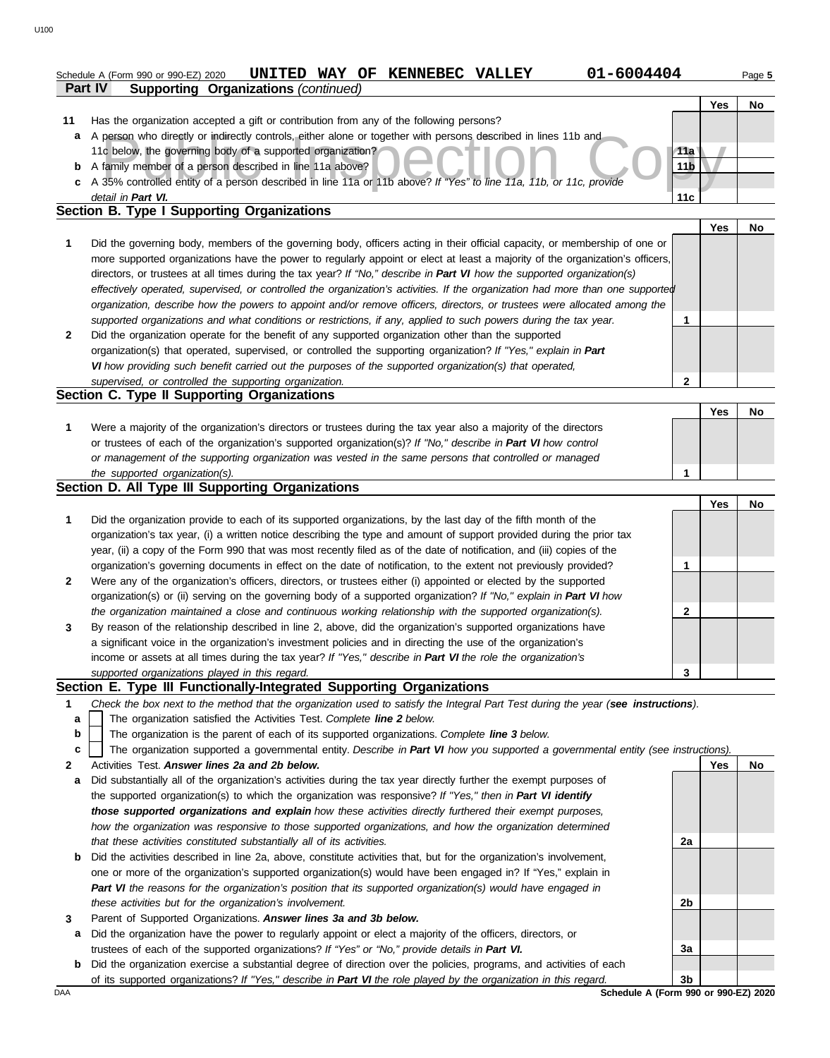|    | 01-6004404<br>UNITED WAY OF KENNEBEC VALLEY<br>Schedule A (Form 990 or 990-EZ) 2020                                                                                                                                                                       |                 |            | Page 5 |
|----|-----------------------------------------------------------------------------------------------------------------------------------------------------------------------------------------------------------------------------------------------------------|-----------------|------------|--------|
|    | Part IV<br><b>Supporting Organizations (continued)</b>                                                                                                                                                                                                    |                 |            |        |
|    |                                                                                                                                                                                                                                                           |                 | <b>Yes</b> | No     |
| 11 | Has the organization accepted a gift or contribution from any of the following persons?                                                                                                                                                                   |                 |            |        |
| a  | A person who directly or indirectly controls, either alone or together with persons described in lines 11b and                                                                                                                                            |                 |            |        |
|    | 11c below, the governing body of a supported organization?                                                                                                                                                                                                | 11a             |            |        |
| b  | A family member of a person described in line 11a above?                                                                                                                                                                                                  | 11 <sub>b</sub> |            |        |
| c  | A 35% controlled entity of a person described in line 11a or 11b above? If "Yes" to line 11a, 11b, or 11c, provide                                                                                                                                        |                 |            |        |
|    | detail in Part VI.<br><b>Section B. Type I Supporting Organizations</b>                                                                                                                                                                                   | 11c             |            |        |
|    |                                                                                                                                                                                                                                                           |                 |            |        |
|    |                                                                                                                                                                                                                                                           |                 | Yes        | No     |
| 1  | Did the governing body, members of the governing body, officers acting in their official capacity, or membership of one or                                                                                                                                |                 |            |        |
|    | more supported organizations have the power to regularly appoint or elect at least a majority of the organization's officers,                                                                                                                             |                 |            |        |
|    | directors, or trustees at all times during the tax year? If "No," describe in Part VI how the supported organization(s)<br>effectively operated, supervised, or controlled the organization's activities. If the organization had more than one supported |                 |            |        |
|    | organization, describe how the powers to appoint and/or remove officers, directors, or trustees were allocated among the                                                                                                                                  |                 |            |        |
|    | supported organizations and what conditions or restrictions, if any, applied to such powers during the tax year.                                                                                                                                          | 1               |            |        |
| 2  | Did the organization operate for the benefit of any supported organization other than the supported                                                                                                                                                       |                 |            |        |
|    | organization(s) that operated, supervised, or controlled the supporting organization? If "Yes," explain in Part                                                                                                                                           |                 |            |        |
|    | VI how providing such benefit carried out the purposes of the supported organization(s) that operated,                                                                                                                                                    |                 |            |        |
|    | supervised, or controlled the supporting organization.                                                                                                                                                                                                    | 2               |            |        |
|    | Section C. Type II Supporting Organizations                                                                                                                                                                                                               |                 |            |        |
|    |                                                                                                                                                                                                                                                           |                 | Yes        | No     |
| 1  | Were a majority of the organization's directors or trustees during the tax year also a majority of the directors                                                                                                                                          |                 |            |        |
|    | or trustees of each of the organization's supported organization(s)? If "No," describe in Part VI how control                                                                                                                                             |                 |            |        |
|    | or management of the supporting organization was vested in the same persons that controlled or managed                                                                                                                                                    |                 |            |        |
|    | the supported organization(s).                                                                                                                                                                                                                            | 1               |            |        |
|    | Section D. All Type III Supporting Organizations                                                                                                                                                                                                          |                 |            |        |
|    |                                                                                                                                                                                                                                                           |                 | Yes        | No     |
| 1  | Did the organization provide to each of its supported organizations, by the last day of the fifth month of the                                                                                                                                            |                 |            |        |
|    | organization's tax year, (i) a written notice describing the type and amount of support provided during the prior tax                                                                                                                                     |                 |            |        |
|    | year, (ii) a copy of the Form 990 that was most recently filed as of the date of notification, and (iii) copies of the                                                                                                                                    |                 |            |        |
|    | organization's governing documents in effect on the date of notification, to the extent not previously provided?                                                                                                                                          | 1               |            |        |
| 2  | Were any of the organization's officers, directors, or trustees either (i) appointed or elected by the supported                                                                                                                                          |                 |            |        |
|    | organization(s) or (ii) serving on the governing body of a supported organization? If "No," explain in Part VI how                                                                                                                                        |                 |            |        |
|    | the organization maintained a close and continuous working relationship with the supported organization(s).                                                                                                                                               | 2               |            |        |
| 3  | By reason of the relationship described in line 2, above, did the organization's supported organizations have                                                                                                                                             |                 |            |        |
|    | a significant voice in the organization's investment policies and in directing the use of the organization's                                                                                                                                              |                 |            |        |
|    |                                                                                                                                                                                                                                                           |                 |            |        |
|    | income or assets at all times during the tax year? If "Yes," describe in Part VI the role the organization's                                                                                                                                              |                 |            |        |
|    | supported organizations played in this regard.                                                                                                                                                                                                            | 3               |            |        |
|    | Section E. Type III Functionally-Integrated Supporting Organizations                                                                                                                                                                                      |                 |            |        |
| 1  | Check the box next to the method that the organization used to satisfy the Integral Part Test during the year (see instructions).                                                                                                                         |                 |            |        |
| a  | The organization satisfied the Activities Test. Complete line 2 below.                                                                                                                                                                                    |                 |            |        |
| b  | The organization is the parent of each of its supported organizations. Complete line 3 below.                                                                                                                                                             |                 |            |        |
| c  | The organization supported a governmental entity. Describe in Part VI how you supported a governmental entity (see instructions).                                                                                                                         |                 |            |        |
| 2  | Activities Test. Answer lines 2a and 2b below.                                                                                                                                                                                                            |                 | Yes        | No     |
| a  | Did substantially all of the organization's activities during the tax year directly further the exempt purposes of                                                                                                                                        |                 |            |        |
|    | the supported organization(s) to which the organization was responsive? If "Yes," then in Part VI identify                                                                                                                                                |                 |            |        |
|    | those supported organizations and explain how these activities directly furthered their exempt purposes,                                                                                                                                                  |                 |            |        |
|    | how the organization was responsive to those supported organizations, and how the organization determined                                                                                                                                                 |                 |            |        |
| b  | that these activities constituted substantially all of its activities.<br>Did the activities described in line 2a, above, constitute activities that, but for the organization's involvement,                                                             | 2a              |            |        |

- **3** *Part VI the reasons for the organization's position that its supported organization(s) would have engaged in these activities but for the organization's involvement.* Parent of Supported Organizations. *Answer lines 3a and 3b below.*
	- **a** Did the organization have the power to regularly appoint or elect a majority of the officers, directors, or trustees of each of the supported organizations? *If "Yes" or "No," provide details in Part VI.*
- **b** Did the organization exercise a substantial degree of direction over the policies, programs, and activities of each of its supported organizations? *If "Yes," describe in Part VI the role played by the organization in this regard.*

DAA **SChedule A (Form 990 or 990-EZ) 2020 3b**

**2b**

**3a**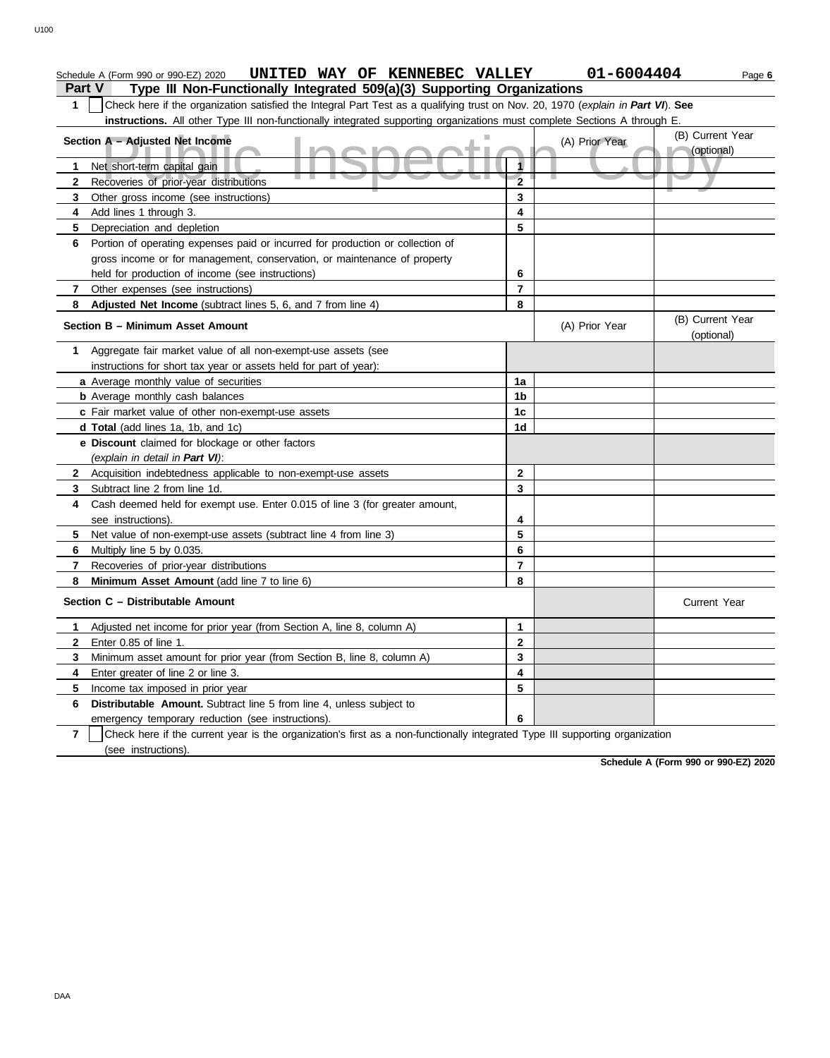|                | UNITED WAY OF KENNEBEC VALLEY<br>Schedule A (Form 990 or 990-EZ) 2020                                                            |                         | 01-6004404     | Page 6                         |
|----------------|----------------------------------------------------------------------------------------------------------------------------------|-------------------------|----------------|--------------------------------|
| <b>Part V</b>  | Type III Non-Functionally Integrated 509(a)(3) Supporting Organizations                                                          |                         |                |                                |
| 1              | Check here if the organization satisfied the Integral Part Test as a qualifying trust on Nov. 20, 1970 (explain in Part VI). See |                         |                |                                |
|                | instructions. All other Type III non-functionally integrated supporting organizations must complete Sections A through E.        |                         |                |                                |
|                | Section A - Adjusted Net Income                                                                                                  |                         | (A) Prior Year | (B) Current Year               |
|                |                                                                                                                                  |                         |                | (optional)                     |
| 1              | Net short-term capital gain                                                                                                      | 1                       |                |                                |
| $\mathbf{2}$   | Recoveries of prior-year distributions                                                                                           | $\overline{2}$          |                |                                |
| 3              | Other gross income (see instructions)                                                                                            | 3                       |                |                                |
| 4              | Add lines 1 through 3.                                                                                                           | 4                       |                |                                |
| 5              | Depreciation and depletion                                                                                                       | 5                       |                |                                |
| 6.             | Portion of operating expenses paid or incurred for production or collection of                                                   |                         |                |                                |
|                | gross income or for management, conservation, or maintenance of property                                                         |                         |                |                                |
|                | held for production of income (see instructions)                                                                                 | 6                       |                |                                |
| 7              | Other expenses (see instructions)                                                                                                | $\overline{7}$          |                |                                |
| 8              | Adjusted Net Income (subtract lines 5, 6, and 7 from line 4)                                                                     | 8                       |                |                                |
|                | Section B - Minimum Asset Amount                                                                                                 |                         | (A) Prior Year | (B) Current Year<br>(optional) |
| 1              | Aggregate fair market value of all non-exempt-use assets (see                                                                    |                         |                |                                |
|                | instructions for short tax year or assets held for part of year):                                                                |                         |                |                                |
|                | a Average monthly value of securities                                                                                            | 1a                      |                |                                |
|                | <b>b</b> Average monthly cash balances                                                                                           | 1b                      |                |                                |
|                | c Fair market value of other non-exempt-use assets                                                                               | 1c                      |                |                                |
|                | d Total (add lines 1a, 1b, and 1c)                                                                                               | 1d                      |                |                                |
|                | e Discount claimed for blockage or other factors                                                                                 |                         |                |                                |
|                | (explain in detail in Part VI):                                                                                                  |                         |                |                                |
| $\mathbf{2}$   | Acquisition indebtedness applicable to non-exempt-use assets                                                                     | $\mathbf{2}$            |                |                                |
| 3              | Subtract line 2 from line 1d.                                                                                                    | 3                       |                |                                |
| 4              | Cash deemed held for exempt use. Enter 0.015 of line 3 (for greater amount,                                                      |                         |                |                                |
|                | see instructions).                                                                                                               | 4                       |                |                                |
| 5              | Net value of non-exempt-use assets (subtract line 4 from line 3)                                                                 | 5                       |                |                                |
| 6              | Multiply line 5 by 0.035.                                                                                                        | 6                       |                |                                |
| 7              | Recoveries of prior-year distributions                                                                                           | $\overline{7}$          |                |                                |
| 8              | Minimum Asset Amount (add line 7 to line 6)                                                                                      | 8                       |                |                                |
|                | Section C - Distributable Amount                                                                                                 |                         |                | <b>Current Year</b>            |
| 1              | Adjusted net income for prior year (from Section A, line 8, column A)                                                            | 1                       |                |                                |
|                | Enter 0.85 of line 1.                                                                                                            | $\overline{\mathbf{2}}$ |                |                                |
| 3              | Minimum asset amount for prior year (from Section B, line 8, column A)                                                           | 3                       |                |                                |
| 4              | Enter greater of line 2 or line 3.                                                                                               | 4                       |                |                                |
| 5              | Income tax imposed in prior year                                                                                                 | 5                       |                |                                |
| 6              | Distributable Amount. Subtract line 5 from line 4, unless subject to                                                             |                         |                |                                |
|                | emergency temporary reduction (see instructions).                                                                                | 6                       |                |                                |
| $\overline{7}$ | Check here if the current year is the organization's first as a non-functionally integrated Type III supporting organization     |                         |                |                                |

(see instructions).

**Schedule A (Form 990 or 990-EZ) 2020**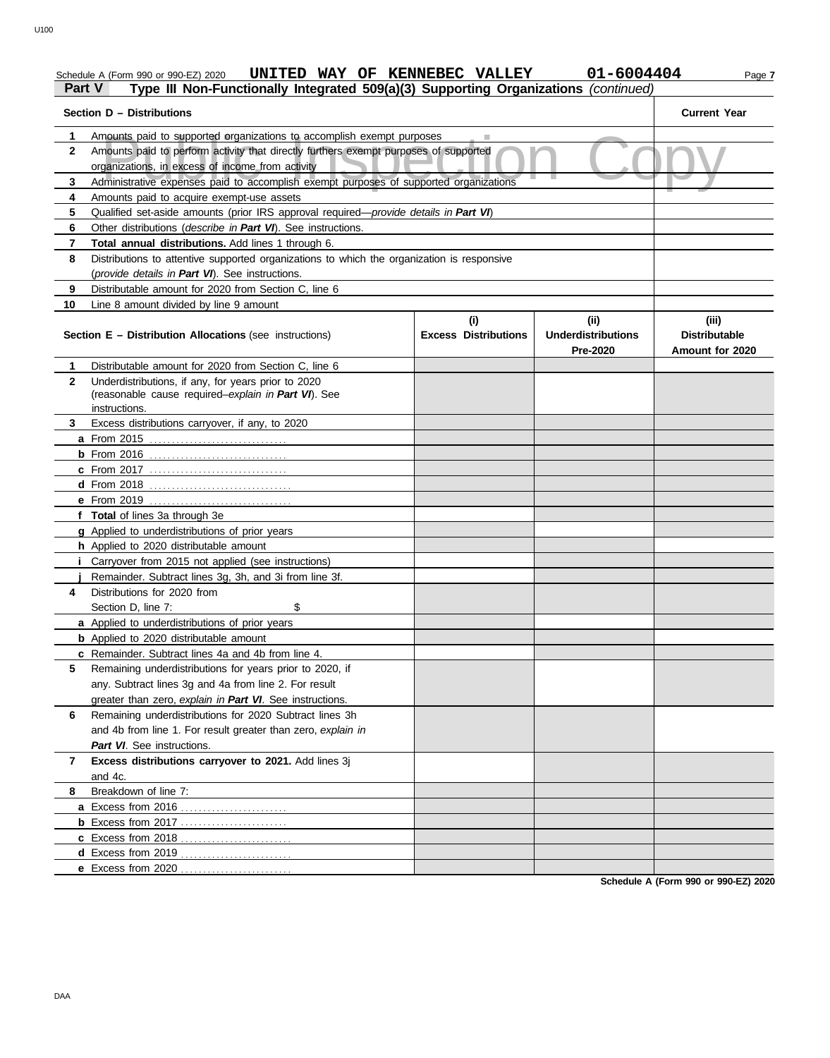|                                                                   | UNITED WAY OF KENNEBEC VALLEY<br>Schedule A (Form 990 or 990-EZ) 2020                                                                    |                                    | 01-6004404                                    | Page 7                                           |  |  |  |  |  |
|-------------------------------------------------------------------|------------------------------------------------------------------------------------------------------------------------------------------|------------------------------------|-----------------------------------------------|--------------------------------------------------|--|--|--|--|--|
| Part V                                                            | Type III Non-Functionally Integrated 509(a)(3) Supporting Organizations (continued)                                                      |                                    |                                               |                                                  |  |  |  |  |  |
|                                                                   | Section D - Distributions                                                                                                                |                                    |                                               | <b>Current Year</b>                              |  |  |  |  |  |
| 1                                                                 | Amounts paid to supported organizations to accomplish exempt purposes                                                                    |                                    |                                               |                                                  |  |  |  |  |  |
| $\mathbf{2}$                                                      | Amounts paid to perform activity that directly furthers exempt purposes of supported<br>organizations, in excess of income from activity |                                    |                                               |                                                  |  |  |  |  |  |
| 3                                                                 | Administrative expenses paid to accomplish exempt purposes of supported organizations                                                    |                                    |                                               |                                                  |  |  |  |  |  |
| 4<br>Amounts paid to acquire exempt-use assets                    |                                                                                                                                          |                                    |                                               |                                                  |  |  |  |  |  |
| 5                                                                 | Qualified set-aside amounts (prior IRS approval required-provide details in Part VI)                                                     |                                    |                                               |                                                  |  |  |  |  |  |
| Other distributions (describe in Part VI). See instructions.<br>6 |                                                                                                                                          |                                    |                                               |                                                  |  |  |  |  |  |
| Total annual distributions. Add lines 1 through 6.<br>7           |                                                                                                                                          |                                    |                                               |                                                  |  |  |  |  |  |
| 8                                                                 | Distributions to attentive supported organizations to which the organization is responsive                                               |                                    |                                               |                                                  |  |  |  |  |  |
| (provide details in Part VI). See instructions.                   |                                                                                                                                          |                                    |                                               |                                                  |  |  |  |  |  |
| 9                                                                 | Distributable amount for 2020 from Section C, line 6                                                                                     |                                    |                                               |                                                  |  |  |  |  |  |
| 10                                                                | Line 8 amount divided by line 9 amount                                                                                                   |                                    |                                               |                                                  |  |  |  |  |  |
|                                                                   | <b>Section E - Distribution Allocations (see instructions)</b>                                                                           | (i)<br><b>Excess Distributions</b> | (ii)<br><b>Underdistributions</b><br>Pre-2020 | (iii)<br><b>Distributable</b><br>Amount for 2020 |  |  |  |  |  |
| 1                                                                 | Distributable amount for 2020 from Section C, line 6                                                                                     |                                    |                                               |                                                  |  |  |  |  |  |
| $\mathbf{2}$                                                      | Underdistributions, if any, for years prior to 2020<br>(reasonable cause required-explain in Part VI). See<br>instructions.              |                                    |                                               |                                                  |  |  |  |  |  |
| 3                                                                 | Excess distributions carryover, if any, to 2020                                                                                          |                                    |                                               |                                                  |  |  |  |  |  |
|                                                                   |                                                                                                                                          |                                    |                                               |                                                  |  |  |  |  |  |
|                                                                   |                                                                                                                                          |                                    |                                               |                                                  |  |  |  |  |  |
|                                                                   | <b>c</b> From 2017                                                                                                                       |                                    |                                               |                                                  |  |  |  |  |  |
|                                                                   |                                                                                                                                          |                                    |                                               |                                                  |  |  |  |  |  |
|                                                                   | e From 2019                                                                                                                              |                                    |                                               |                                                  |  |  |  |  |  |
|                                                                   | f Total of lines 3a through 3e                                                                                                           |                                    |                                               |                                                  |  |  |  |  |  |
|                                                                   | g Applied to underdistributions of prior years                                                                                           |                                    |                                               |                                                  |  |  |  |  |  |
|                                                                   | h Applied to 2020 distributable amount                                                                                                   |                                    |                                               |                                                  |  |  |  |  |  |
|                                                                   | <i>i</i> Carryover from 2015 not applied (see instructions)                                                                              |                                    |                                               |                                                  |  |  |  |  |  |
|                                                                   | Remainder. Subtract lines 3g, 3h, and 3i from line 3f.                                                                                   |                                    |                                               |                                                  |  |  |  |  |  |
| 4                                                                 | Distributions for 2020 from                                                                                                              |                                    |                                               |                                                  |  |  |  |  |  |
|                                                                   | \$<br>Section D, line 7:                                                                                                                 |                                    |                                               |                                                  |  |  |  |  |  |
|                                                                   | a Applied to underdistributions of prior years                                                                                           |                                    |                                               |                                                  |  |  |  |  |  |
|                                                                   | <b>b</b> Applied to 2020 distributable amount                                                                                            |                                    |                                               |                                                  |  |  |  |  |  |
|                                                                   | c Remainder. Subtract lines 4a and 4b from line 4.                                                                                       |                                    |                                               |                                                  |  |  |  |  |  |
| 5                                                                 | Remaining underdistributions for years prior to 2020, if                                                                                 |                                    |                                               |                                                  |  |  |  |  |  |
|                                                                   | any. Subtract lines 3g and 4a from line 2. For result                                                                                    |                                    |                                               |                                                  |  |  |  |  |  |
|                                                                   | greater than zero, explain in Part VI. See instructions.                                                                                 |                                    |                                               |                                                  |  |  |  |  |  |
| 6                                                                 | Remaining underdistributions for 2020 Subtract lines 3h                                                                                  |                                    |                                               |                                                  |  |  |  |  |  |
|                                                                   | and 4b from line 1. For result greater than zero, explain in                                                                             |                                    |                                               |                                                  |  |  |  |  |  |
|                                                                   | Part VI. See instructions.                                                                                                               |                                    |                                               |                                                  |  |  |  |  |  |
| 7                                                                 | Excess distributions carryover to 2021. Add lines 3j                                                                                     |                                    |                                               |                                                  |  |  |  |  |  |
|                                                                   | and 4c.                                                                                                                                  |                                    |                                               |                                                  |  |  |  |  |  |
| 8                                                                 | Breakdown of line 7:                                                                                                                     |                                    |                                               |                                                  |  |  |  |  |  |
|                                                                   |                                                                                                                                          |                                    |                                               |                                                  |  |  |  |  |  |
|                                                                   |                                                                                                                                          |                                    |                                               |                                                  |  |  |  |  |  |
|                                                                   |                                                                                                                                          |                                    |                                               |                                                  |  |  |  |  |  |
|                                                                   |                                                                                                                                          |                                    |                                               |                                                  |  |  |  |  |  |
|                                                                   | e Excess from 2020                                                                                                                       |                                    |                                               |                                                  |  |  |  |  |  |

**Schedule A (Form 990 or 990-EZ) 2020**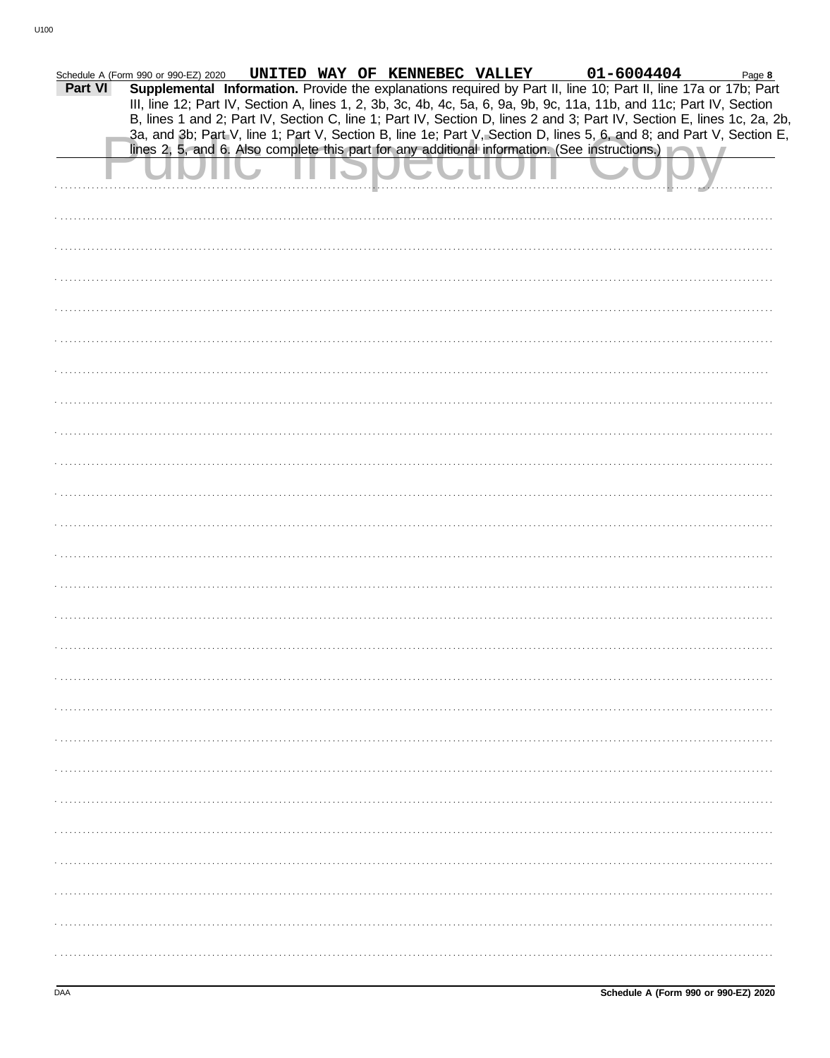|         | Schedule A (Form 990 or 990-EZ) 2020 |  | UNITED WAY OF KENNEBEC VALLEY | 01-6004404                                                                                                             | Page 8 |
|---------|--------------------------------------|--|-------------------------------|------------------------------------------------------------------------------------------------------------------------|--------|
| Part VI |                                      |  |                               | Supplemental Information. Provide the explanations required by Part II, line 10; Part II, line 17a or 17b; Part        |        |
|         |                                      |  |                               | III, line 12; Part IV, Section A, lines 1, 2, 3b, 3c, 4b, 4c, 5a, 6, 9a, 9b, 9c, 11a, 11b, and 11c; Part IV, Section   |        |
|         |                                      |  |                               | B, lines 1 and 2; Part IV, Section C, line 1; Part IV, Section D, lines 2 and 3; Part IV, Section E, lines 1c, 2a, 2b, |        |
|         |                                      |  |                               | 3a, and 3b; Part V, line 1; Part V, Section B, line 1e; Part V, Section D, lines 5, 6, and 8; and Part V, Section E,   |        |
|         |                                      |  |                               | lines 2, 5, and 6. Also complete this part for any additional information. (See instructions.)                         |        |
|         |                                      |  |                               |                                                                                                                        |        |
|         |                                      |  |                               |                                                                                                                        |        |
|         |                                      |  |                               |                                                                                                                        |        |
|         |                                      |  |                               |                                                                                                                        |        |
|         |                                      |  |                               |                                                                                                                        |        |
|         |                                      |  |                               |                                                                                                                        |        |
|         |                                      |  |                               |                                                                                                                        |        |
|         |                                      |  |                               |                                                                                                                        |        |
|         |                                      |  |                               |                                                                                                                        |        |
|         |                                      |  |                               |                                                                                                                        |        |
|         |                                      |  |                               |                                                                                                                        |        |
|         |                                      |  |                               |                                                                                                                        |        |
|         |                                      |  |                               |                                                                                                                        |        |
|         |                                      |  |                               |                                                                                                                        |        |
|         |                                      |  |                               |                                                                                                                        |        |
|         |                                      |  |                               |                                                                                                                        |        |
|         |                                      |  |                               |                                                                                                                        |        |
|         |                                      |  |                               |                                                                                                                        |        |
|         |                                      |  |                               |                                                                                                                        |        |
|         |                                      |  |                               |                                                                                                                        |        |
|         |                                      |  |                               |                                                                                                                        |        |
|         |                                      |  |                               |                                                                                                                        |        |
|         |                                      |  |                               |                                                                                                                        |        |
|         |                                      |  |                               |                                                                                                                        |        |
|         |                                      |  |                               |                                                                                                                        |        |
|         |                                      |  |                               |                                                                                                                        |        |
|         |                                      |  |                               |                                                                                                                        |        |
|         |                                      |  |                               |                                                                                                                        |        |
|         |                                      |  |                               |                                                                                                                        |        |
|         |                                      |  |                               |                                                                                                                        |        |
|         |                                      |  |                               |                                                                                                                        |        |
|         |                                      |  |                               |                                                                                                                        |        |
|         |                                      |  |                               |                                                                                                                        |        |
|         |                                      |  |                               |                                                                                                                        |        |
|         |                                      |  |                               |                                                                                                                        |        |
|         |                                      |  |                               |                                                                                                                        |        |
|         |                                      |  |                               |                                                                                                                        |        |
|         |                                      |  |                               |                                                                                                                        |        |
|         |                                      |  |                               |                                                                                                                        |        |
|         |                                      |  |                               |                                                                                                                        |        |
|         |                                      |  |                               |                                                                                                                        |        |
|         |                                      |  |                               |                                                                                                                        |        |
|         |                                      |  |                               |                                                                                                                        |        |
|         |                                      |  |                               |                                                                                                                        |        |
|         |                                      |  |                               |                                                                                                                        |        |
|         |                                      |  |                               |                                                                                                                        |        |
|         |                                      |  |                               |                                                                                                                        |        |
|         |                                      |  |                               |                                                                                                                        |        |
|         |                                      |  |                               |                                                                                                                        |        |
|         |                                      |  |                               |                                                                                                                        |        |
|         |                                      |  |                               |                                                                                                                        |        |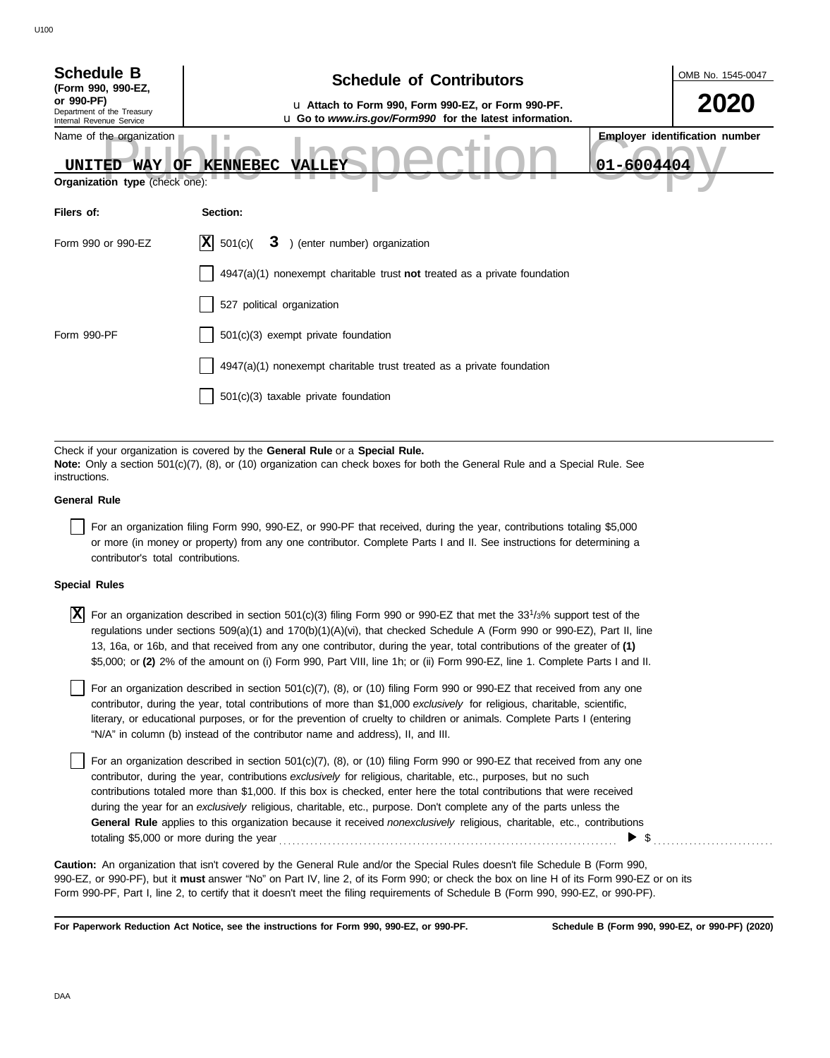| <b>Schedule B</b><br>(Form 990, 990-EZ,<br>or 990-PF)<br>Department of the Treasury<br>Internal Revenue Service | <b>Schedule of Contributors</b><br>u Attach to Form 990, Form 990-EZ, or Form 990-PF.<br>u Go to www.irs.gov/Form990 for the latest information. | OMB No. 1545-0047<br>2020                           |
|-----------------------------------------------------------------------------------------------------------------|--------------------------------------------------------------------------------------------------------------------------------------------------|-----------------------------------------------------|
| Name of the organization<br>UNITED<br><b>WAY</b><br>OF                                                          | <b>KENNEBEC</b><br><b>VALLEY</b>                                                                                                                 | <b>Employer identification number</b><br>01-6004404 |
| Organization type (check one):                                                                                  |                                                                                                                                                  |                                                     |
| Filers of:                                                                                                      | Section:                                                                                                                                         |                                                     |
| Form 990 or 990-EZ                                                                                              | X <br>3 ) (enter number) organization<br>501(c)                                                                                                  |                                                     |
|                                                                                                                 | $4947(a)(1)$ nonexempt charitable trust not treated as a private foundation                                                                      |                                                     |
|                                                                                                                 | 527 political organization                                                                                                                       |                                                     |
| Form 990-PF                                                                                                     | 501(c)(3) exempt private foundation                                                                                                              |                                                     |
|                                                                                                                 | 4947(a)(1) nonexempt charitable trust treated as a private foundation                                                                            |                                                     |
|                                                                                                                 | 501(c)(3) taxable private foundation                                                                                                             |                                                     |
|                                                                                                                 |                                                                                                                                                  |                                                     |

Check if your organization is covered by the **General Rule** or a **Special Rule. Note:** Only a section 501(c)(7), (8), or (10) organization can check boxes for both the General Rule and a Special Rule. See instructions.

### **General Rule**

For an organization filing Form 990, 990-EZ, or 990-PF that received, during the year, contributions totaling \$5,000 or more (in money or property) from any one contributor. Complete Parts I and II. See instructions for determining a contributor's total contributions.

### **Special Rules**

 $\overline{X}$  For an organization described in section 501(c)(3) filing Form 990 or 990-EZ that met the 33<sup>1</sup>/3% support test of the regulations under sections 509(a)(1) and 170(b)(1)(A)(vi), that checked Schedule A (Form 990 or 990-EZ), Part II, line 13, 16a, or 16b, and that received from any one contributor, during the year, total contributions of the greater of **(1)** \$5,000; or **(2)** 2% of the amount on (i) Form 990, Part VIII, line 1h; or (ii) Form 990-EZ, line 1. Complete Parts I and II.

literary, or educational purposes, or for the prevention of cruelty to children or animals. Complete Parts I (entering For an organization described in section 501(c)(7), (8), or (10) filing Form 990 or 990-EZ that received from any one contributor, during the year, total contributions of more than \$1,000 *exclusively* for religious, charitable, scientific, "N/A" in column (b) instead of the contributor name and address), II, and III.

For an organization described in section  $501(c)(7)$ ,  $(8)$ , or  $(10)$  filing Form 990 or 990-EZ that received from any one contributor, during the year, contributions *exclusively* for religious, charitable, etc., purposes, but no such contributions totaled more than \$1,000. If this box is checked, enter here the total contributions that were received during the year for an *exclusively* religious, charitable, etc., purpose. Don't complete any of the parts unless the **General Rule** applies to this organization because it received *nonexclusively* religious, charitable, etc., contributions totaling \$5,000 or more during the year . . . . . . . . . . . . . . . . . . . . . . . . . . . . . . . . . . . . . . . . . . . . . . . . . . . . . . . . . . . . . . . . . . . . . . . . . . . .  $\triangleright$  \$

990-EZ, or 990-PF), but it **must** answer "No" on Part IV, line 2, of its Form 990; or check the box on line H of its Form 990-EZ or on its Form 990-PF, Part I, line 2, to certify that it doesn't meet the filing requirements of Schedule B (Form 990, 990-EZ, or 990-PF). **Caution:** An organization that isn't covered by the General Rule and/or the Special Rules doesn't file Schedule B (Form 990,

**For Paperwork Reduction Act Notice, see the instructions for Form 990, 990-EZ, or 990-PF.**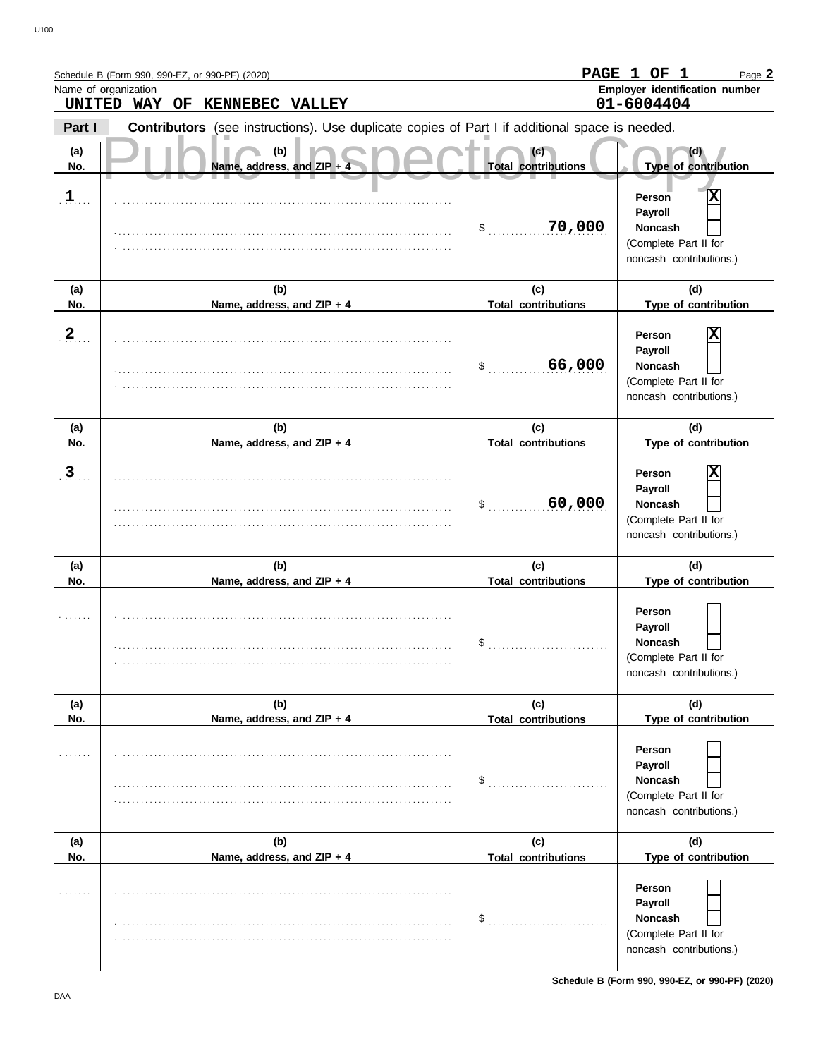|              | Schedule B (Form 990, 990-EZ, or 990-PF) (2020)                                                       | <b>PAGE</b>                       | 1 OF<br>1<br>Page 2                                                                          |
|--------------|-------------------------------------------------------------------------------------------------------|-----------------------------------|----------------------------------------------------------------------------------------------|
|              | Name of organization<br>UNITED WAY OF<br><b>KENNEBEC VALLEY</b>                                       |                                   | Employer identification number<br>01-6004404                                                 |
| Part I       | <b>Contributors</b> (see instructions). Use duplicate copies of Part I if additional space is needed. |                                   |                                                                                              |
| (a)<br>No.   | (b)<br>Name, address, and ZIP + 4                                                                     | (c)<br><b>Total contributions</b> | (d)<br>Type of contribution                                                                  |
| $\mathbf{1}$ |                                                                                                       | 70,000<br>\$                      | X<br>Person<br>Payroll<br><b>Noncash</b><br>(Complete Part II for<br>noncash contributions.) |
| (a)<br>No.   | (b)<br>Name, address, and ZIP + 4                                                                     | (c)<br><b>Total contributions</b> | (d)<br>Type of contribution                                                                  |
| $\mathbf{2}$ |                                                                                                       | 66,000<br>\$                      | Х<br>Person<br>Payroll<br><b>Noncash</b><br>(Complete Part II for<br>noncash contributions.) |
| (a)<br>No.   | (b)<br>Name, address, and ZIP + 4                                                                     | (c)<br><b>Total contributions</b> | (d)<br>Type of contribution                                                                  |
| 3            |                                                                                                       | 60,000<br>\$                      | X<br>Person<br>Payroll<br><b>Noncash</b><br>(Complete Part II for<br>noncash contributions.) |
| (a)<br>No.   | (b)<br>Name, address, and ZIP + 4                                                                     | (c)<br><b>Total contributions</b> | (d)<br>Type of contribution                                                                  |
|              |                                                                                                       | \$                                | Person<br>Payroll<br>Noncash<br>(Complete Part II for<br>noncash contributions.)             |
| (a)<br>No.   | (b)<br>Name, address, and ZIP + 4                                                                     | (c)<br><b>Total contributions</b> | (d)<br>Type of contribution                                                                  |
| 1.1.1.1.1.1  |                                                                                                       | \$                                | Person<br>Payroll<br><b>Noncash</b><br>(Complete Part II for<br>noncash contributions.)      |
| (a)<br>No.   | (b)<br>Name, address, and ZIP + 4                                                                     | (c)<br><b>Total contributions</b> | (d)<br>Type of contribution                                                                  |
| .            |                                                                                                       | \$                                | Person<br>Payroll<br><b>Noncash</b><br>(Complete Part II for<br>noncash contributions.)      |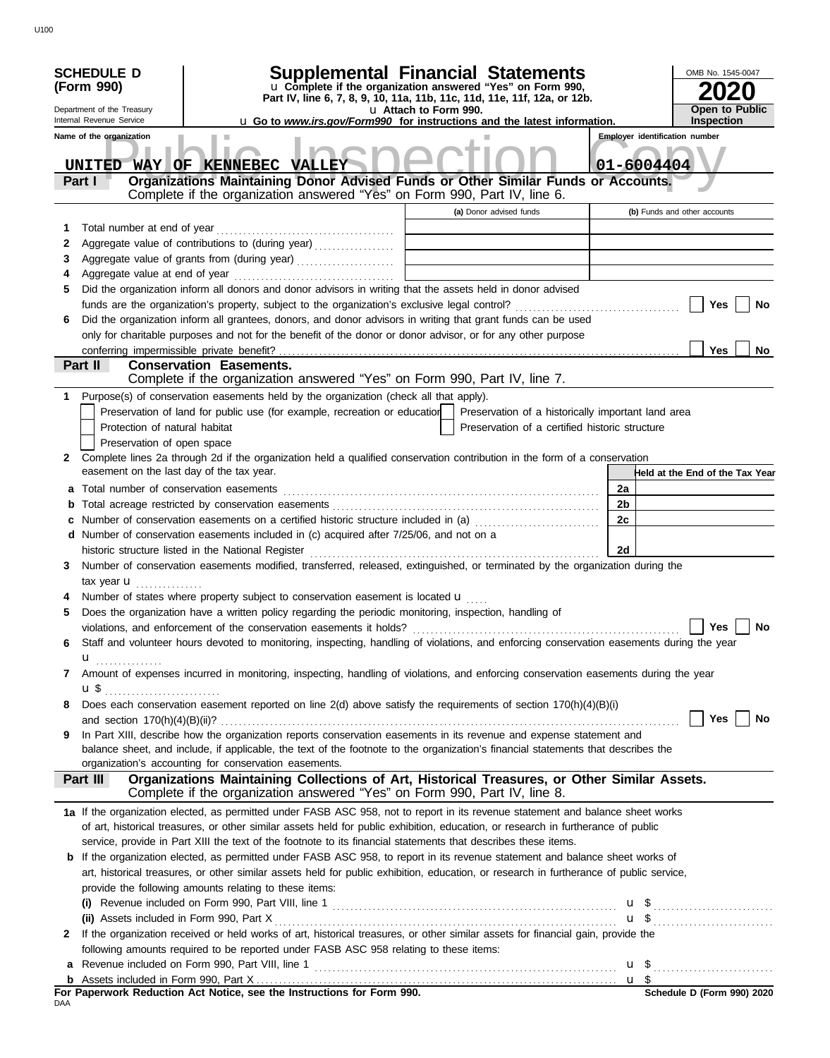|     | <b>SCHEDULE D</b>                                                              | Supplemental Financial Statements                                                                                                         |                       |                                                                                                      |    | OMB No. 1545-0047                     |
|-----|--------------------------------------------------------------------------------|-------------------------------------------------------------------------------------------------------------------------------------------|-----------------------|------------------------------------------------------------------------------------------------------|----|---------------------------------------|
|     | (Form 990)                                                                     | u Complete if the organization answered "Yes" on Form 990,                                                                                |                       |                                                                                                      |    |                                       |
|     |                                                                                | Part IV, line 6, 7, 8, 9, 10, 11a, 11b, 11c, 11d, 11e, 11f, 12a, or 12b.                                                                  |                       |                                                                                                      |    | <b>Open to Public</b>                 |
|     | Department of the Treasury<br>Internal Revenue Service                         | <b>u</b> Go to <i>www.irs.gov/Form990</i> for instructions and the latest information.                                                    | u Attach to Form 990. |                                                                                                      |    | <b>Inspection</b>                     |
|     | Name of the organization                                                       |                                                                                                                                           |                       |                                                                                                      |    | <b>Employer identification number</b> |
|     |                                                                                |                                                                                                                                           |                       |                                                                                                      |    |                                       |
|     | UNITED                                                                         | WAY OF KENNEBEC VALLEY                                                                                                                    |                       |                                                                                                      |    | 01-6004404                            |
|     | Part I                                                                         | Organizations Maintaining Donor Advised Funds or Other Similar Funds or Accounts.                                                         |                       |                                                                                                      |    |                                       |
|     |                                                                                | Complete if the organization answered "Yes" on Form 990, Part IV, line 6.                                                                 |                       |                                                                                                      |    |                                       |
|     |                                                                                |                                                                                                                                           |                       | (a) Donor advised funds                                                                              |    | (b) Funds and other accounts          |
| 1   | Total number at end of year                                                    |                                                                                                                                           |                       |                                                                                                      |    |                                       |
| 2   |                                                                                | Aggregate value of contributions to (during year)                                                                                         |                       |                                                                                                      |    |                                       |
| 3   |                                                                                | Aggregate value of grants from (during year)                                                                                              |                       |                                                                                                      |    |                                       |
| 4   |                                                                                |                                                                                                                                           |                       |                                                                                                      |    |                                       |
| 5   |                                                                                | Did the organization inform all donors and donor advisors in writing that the assets held in donor advised                                |                       |                                                                                                      |    |                                       |
|     |                                                                                |                                                                                                                                           |                       |                                                                                                      |    | Yes<br><b>No</b>                      |
| 6   |                                                                                | Did the organization inform all grantees, donors, and donor advisors in writing that grant funds can be used                              |                       |                                                                                                      |    |                                       |
|     |                                                                                | only for charitable purposes and not for the benefit of the donor or donor advisor, or for any other purpose                              |                       |                                                                                                      |    |                                       |
|     | conferring impermissible private benefit?                                      |                                                                                                                                           |                       |                                                                                                      |    | Yes<br><b>No</b>                      |
|     | Part II                                                                        | <b>Conservation Easements.</b><br>Complete if the organization answered "Yes" on Form 990, Part IV, line 7.                               |                       |                                                                                                      |    |                                       |
|     |                                                                                |                                                                                                                                           |                       |                                                                                                      |    |                                       |
| 1.  |                                                                                | Purpose(s) of conservation easements held by the organization (check all that apply).                                                     |                       |                                                                                                      |    |                                       |
|     | Protection of natural habitat                                                  | Preservation of land for public use (for example, recreation or education                                                                 |                       | Preservation of a historically important land area<br>Preservation of a certified historic structure |    |                                       |
|     |                                                                                |                                                                                                                                           |                       |                                                                                                      |    |                                       |
| 2   | Preservation of open space                                                     | Complete lines 2a through 2d if the organization held a qualified conservation contribution in the form of a conservation                 |                       |                                                                                                      |    |                                       |
|     | easement on the last day of the tax year.                                      |                                                                                                                                           |                       |                                                                                                      |    | Held at the End of the Tax Year       |
|     |                                                                                |                                                                                                                                           |                       |                                                                                                      | 2a |                                       |
| b   |                                                                                |                                                                                                                                           |                       |                                                                                                      | 2b |                                       |
|     |                                                                                |                                                                                                                                           |                       |                                                                                                      | 2с |                                       |
|     |                                                                                | d Number of conservation easements included in (c) acquired after 7/25/06, and not on a                                                   |                       |                                                                                                      |    |                                       |
|     |                                                                                | historic structure listed in the National Register                                                                                        |                       |                                                                                                      | 2d |                                       |
| 3   |                                                                                | Number of conservation easements modified, transferred, released, extinguished, or terminated by the organization during the              |                       |                                                                                                      |    |                                       |
|     | tax year $\mathbf{u}$                                                          |                                                                                                                                           |                       |                                                                                                      |    |                                       |
|     |                                                                                | Number of states where property subject to conservation easement is located u                                                             |                       |                                                                                                      |    |                                       |
| 5   |                                                                                | Does the organization have a written policy regarding the periodic monitoring, inspection, handling of                                    |                       |                                                                                                      |    |                                       |
|     |                                                                                |                                                                                                                                           |                       |                                                                                                      |    | Yes $\Box$<br>No                      |
| 6   |                                                                                | Staff and volunteer hours devoted to monitoring, inspecting, handling of violations, and enforcing conservation easements during the year |                       |                                                                                                      |    |                                       |
|     | u <sub></sub>                                                                  |                                                                                                                                           |                       |                                                                                                      |    |                                       |
| 7   |                                                                                | Amount of expenses incurred in monitoring, inspecting, handling of violations, and enforcing conservation easements during the year       |                       |                                                                                                      |    |                                       |
|     | $\mathbf{u}$ \$ $\ldots$ $\ldots$ $\ldots$ $\ldots$ $\ldots$ $\ldots$ $\ldots$ |                                                                                                                                           |                       |                                                                                                      |    |                                       |
| 8   |                                                                                | Does each conservation easement reported on line 2(d) above satisfy the requirements of section 170(h)(4)(B)(i)                           |                       |                                                                                                      |    |                                       |
|     |                                                                                |                                                                                                                                           |                       |                                                                                                      |    | Yes<br>No                             |
| 9   |                                                                                | In Part XIII, describe how the organization reports conservation easements in its revenue and expense statement and                       |                       |                                                                                                      |    |                                       |
|     |                                                                                | balance sheet, and include, if applicable, the text of the footnote to the organization's financial statements that describes the         |                       |                                                                                                      |    |                                       |
|     |                                                                                | organization's accounting for conservation easements.                                                                                     |                       |                                                                                                      |    |                                       |
|     | Part III                                                                       | Organizations Maintaining Collections of Art, Historical Treasures, or Other Similar Assets.                                              |                       |                                                                                                      |    |                                       |
|     |                                                                                | Complete if the organization answered "Yes" on Form 990, Part IV, line 8.                                                                 |                       |                                                                                                      |    |                                       |
|     |                                                                                | 1a If the organization elected, as permitted under FASB ASC 958, not to report in its revenue statement and balance sheet works           |                       |                                                                                                      |    |                                       |
|     |                                                                                | of art, historical treasures, or other similar assets held for public exhibition, education, or research in furtherance of public         |                       |                                                                                                      |    |                                       |
|     |                                                                                | service, provide in Part XIII the text of the footnote to its financial statements that describes these items.                            |                       |                                                                                                      |    |                                       |
|     |                                                                                | b If the organization elected, as permitted under FASB ASC 958, to report in its revenue statement and balance sheet works of             |                       |                                                                                                      |    |                                       |
|     |                                                                                | art, historical treasures, or other similar assets held for public exhibition, education, or research in furtherance of public service,   |                       |                                                                                                      |    |                                       |
|     |                                                                                | provide the following amounts relating to these items:                                                                                    |                       |                                                                                                      |    |                                       |
|     |                                                                                |                                                                                                                                           |                       |                                                                                                      |    | $\mathbf{u}$ \$                       |
|     |                                                                                |                                                                                                                                           |                       |                                                                                                      |    | $\mathbf{u}$ \$                       |
| 2   |                                                                                | If the organization received or held works of art, historical treasures, or other similar assets for financial gain, provide the          |                       |                                                                                                      |    |                                       |
|     |                                                                                | following amounts required to be reported under FASB ASC 958 relating to these items:                                                     |                       |                                                                                                      |    |                                       |
| a   |                                                                                |                                                                                                                                           |                       |                                                                                                      |    | <b>u</b> \$                           |
|     |                                                                                |                                                                                                                                           |                       |                                                                                                      |    |                                       |
| DAA |                                                                                | For Paperwork Reduction Act Notice, see the Instructions for Form 990.                                                                    |                       |                                                                                                      |    | Schedule D (Form 990) 2020            |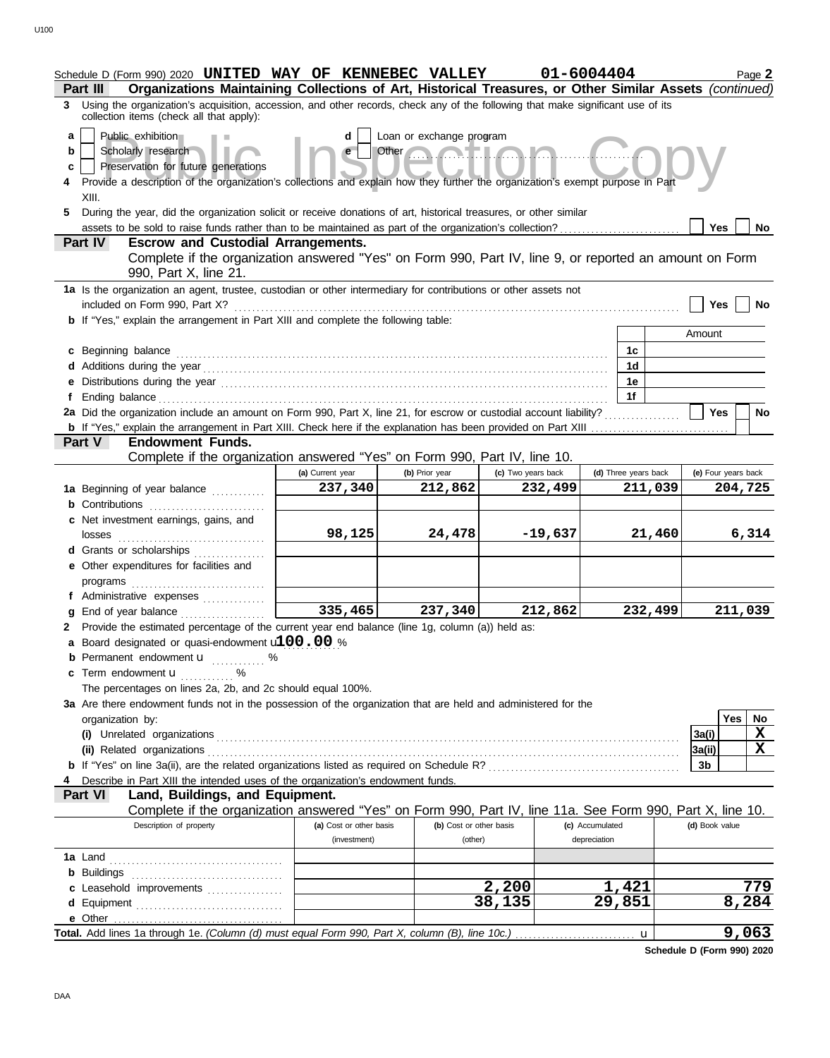|                  | Schedule D (Form 990) 2020 UNITED WAY OF KENNEBEC VALLEY<br>Organizations Maintaining Collections of Art, Historical Treasures, or Other Similar Assets (continued)<br>Part III                                           |                             |                                                        |                               | 01-6004404           |         | Page 2                         |
|------------------|---------------------------------------------------------------------------------------------------------------------------------------------------------------------------------------------------------------------------|-----------------------------|--------------------------------------------------------|-------------------------------|----------------------|---------|--------------------------------|
| 3                | Using the organization's acquisition, accession, and other records, check any of the following that make significant use of its<br>collection items (check all that apply):                                               |                             |                                                        |                               |                      |         |                                |
| a<br>b<br>c<br>4 | Public exhibition<br>Scholarly research<br>Preservation for future generations<br>Provide a description of the organization's collections and explain how they further the organization's exempt purpose in Part<br>XIII. | d                           | Loan or exchange program<br>Other <b>Communication</b> |                               |                      |         |                                |
| 5                | During the year, did the organization solicit or receive donations of art, historical treasures, or other similar                                                                                                         |                             |                                                        |                               |                      |         | Yes<br>No                      |
|                  | Part IV<br><b>Escrow and Custodial Arrangements.</b>                                                                                                                                                                      |                             |                                                        |                               |                      |         |                                |
|                  | Complete if the organization answered "Yes" on Form 990, Part IV, line 9, or reported an amount on Form<br>990, Part X, line 21.                                                                                          |                             |                                                        |                               |                      |         |                                |
|                  | 1a Is the organization an agent, trustee, custodian or other intermediary for contributions or other assets not                                                                                                           |                             |                                                        |                               |                      |         |                                |
|                  | included on Form 990, Part X?<br><b>b</b> If "Yes," explain the arrangement in Part XIII and complete the following table:                                                                                                |                             |                                                        |                               |                      |         | Yes<br>No                      |
|                  |                                                                                                                                                                                                                           |                             |                                                        |                               |                      |         | Amount                         |
|                  | c Beginning balance                                                                                                                                                                                                       |                             |                                                        |                               | 1c                   |         |                                |
|                  |                                                                                                                                                                                                                           |                             |                                                        |                               | 1 <sub>d</sub>       |         |                                |
|                  |                                                                                                                                                                                                                           |                             |                                                        |                               | 1е<br>1f             |         |                                |
| f                | 2a Did the organization include an amount on Form 990, Part X, line 21, for escrow or custodial account liability?                                                                                                        |                             |                                                        |                               |                      |         | <b>Yes</b><br>No               |
|                  |                                                                                                                                                                                                                           |                             |                                                        |                               |                      |         |                                |
|                  | <b>Endowment Funds.</b><br>Part V                                                                                                                                                                                         |                             |                                                        |                               |                      |         |                                |
|                  | Complete if the organization answered "Yes" on Form 990, Part IV, line 10.                                                                                                                                                |                             |                                                        |                               |                      |         |                                |
|                  |                                                                                                                                                                                                                           | (a) Current year<br>237,340 | (b) Prior year<br>212,862                              | (c) Two years back<br>232,499 | (d) Three years back | 211,039 | (e) Four years back<br>204,725 |
|                  | 1a Beginning of year balance<br><b>b</b> Contributions <b>contributions</b>                                                                                                                                               |                             |                                                        |                               |                      |         |                                |
|                  | c Net investment earnings, gains, and                                                                                                                                                                                     |                             |                                                        |                               |                      |         |                                |
|                  |                                                                                                                                                                                                                           | 98,125                      | 24,478                                                 | $-19,637$                     |                      | 21,460  | 6,314                          |
|                  | d Grants or scholarships                                                                                                                                                                                                  |                             |                                                        |                               |                      |         |                                |
|                  | e Other expenditures for facilities and                                                                                                                                                                                   |                             |                                                        |                               |                      |         |                                |
|                  | programs                                                                                                                                                                                                                  |                             |                                                        |                               |                      |         |                                |
|                  | f Administrative expenses<br>g End of year balance                                                                                                                                                                        | $\frac{335,465}{ }$         | 237,340                                                | 212,862                       |                      | 232,499 | 211,039                        |
|                  | 2 Provide the estimated percentage of the current year end balance (line 1g, column (a)) held as:                                                                                                                         |                             |                                                        |                               |                      |         |                                |
|                  | a Board designated or quasi-endowment <b>100.00</b> %                                                                                                                                                                     |                             |                                                        |                               |                      |         |                                |
|                  | <b>b</b> Permanent endowment <b>u</b> %                                                                                                                                                                                   |                             |                                                        |                               |                      |         |                                |
|                  | <b>c</b> Term endowment $\mathbf{u}$<br>$\%$                                                                                                                                                                              |                             |                                                        |                               |                      |         |                                |
|                  | The percentages on lines 2a, 2b, and 2c should equal 100%.<br>3a Are there endowment funds not in the possession of the organization that are held and administered for the                                               |                             |                                                        |                               |                      |         |                                |
|                  | organization by:                                                                                                                                                                                                          |                             |                                                        |                               |                      |         | <b>Yes</b><br>No               |
|                  |                                                                                                                                                                                                                           |                             |                                                        |                               |                      |         | $\mathbf X$<br>3a(i)           |
|                  |                                                                                                                                                                                                                           |                             |                                                        |                               |                      |         | X<br>3a(ii)                    |
|                  |                                                                                                                                                                                                                           |                             |                                                        |                               |                      |         | 3 <sub>b</sub>                 |
|                  | Describe in Part XIII the intended uses of the organization's endowment funds.                                                                                                                                            |                             |                                                        |                               |                      |         |                                |
|                  | Land, Buildings, and Equipment.<br><b>Part VI</b><br>Complete if the organization answered "Yes" on Form 990, Part IV, line 11a. See Form 990, Part X, line 10.                                                           |                             |                                                        |                               |                      |         |                                |
|                  | Description of property                                                                                                                                                                                                   | (a) Cost or other basis     | (b) Cost or other basis                                |                               | (c) Accumulated      |         | (d) Book value                 |
|                  |                                                                                                                                                                                                                           | (investment)                | (other)                                                |                               | depreciation         |         |                                |
|                  |                                                                                                                                                                                                                           |                             |                                                        |                               |                      |         |                                |
|                  |                                                                                                                                                                                                                           |                             |                                                        |                               |                      |         |                                |
|                  | c Leasehold improvements                                                                                                                                                                                                  |                             |                                                        | 2,200                         | 1,421<br>29,851      |         | 779                            |
|                  | e Other                                                                                                                                                                                                                   |                             |                                                        | 38,135                        |                      |         | 8,284                          |
|                  |                                                                                                                                                                                                                           |                             |                                                        |                               |                      | u       | 9,063                          |

**Schedule D (Form 990) 2020**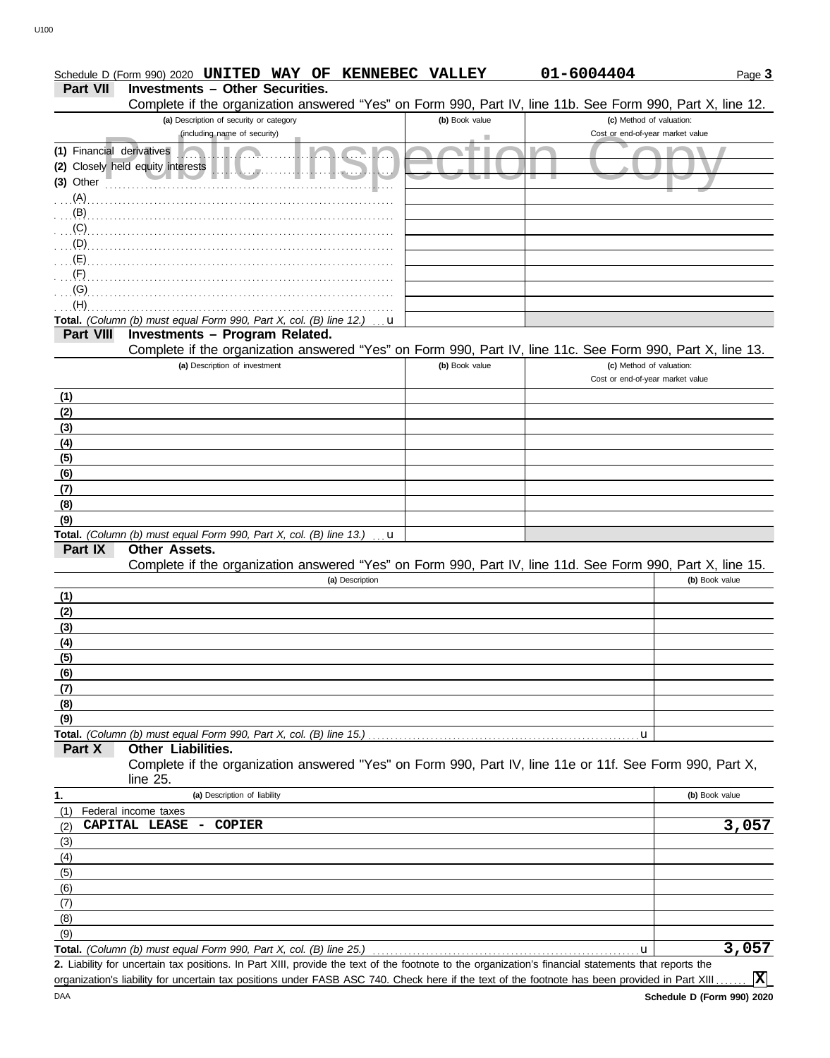|                           | Schedule D (Form 990) 2020 UNITED WAY OF KENNEBEC VALLEY                                                   |                | 01-6004404                                                   | Page 3         |
|---------------------------|------------------------------------------------------------------------------------------------------------|----------------|--------------------------------------------------------------|----------------|
| <b>Part VII</b>           | <b>Investments - Other Securities.</b>                                                                     |                |                                                              |                |
|                           | Complete if the organization answered "Yes" on Form 990, Part IV, line 11b. See Form 990, Part X, line 12. |                |                                                              |                |
|                           | (a) Description of security or category                                                                    | (b) Book value | (c) Method of valuation:                                     |                |
|                           | (including name of security)                                                                               |                | Cost or end-of-year market value                             |                |
| (1) Financial derivatives |                                                                                                            |                |                                                              |                |
|                           | (2) Closely held equity interests                                                                          |                |                                                              |                |
| $(3)$ Other               |                                                                                                            |                |                                                              |                |
| $\ldots$ (A).             |                                                                                                            |                |                                                              |                |
| (B)                       |                                                                                                            |                |                                                              |                |
| (C)                       |                                                                                                            |                |                                                              |                |
| (D)                       |                                                                                                            |                |                                                              |                |
| (E)                       |                                                                                                            |                |                                                              |                |
| (F)                       |                                                                                                            |                |                                                              |                |
| (G)                       |                                                                                                            |                |                                                              |                |
| (H)                       |                                                                                                            |                |                                                              |                |
|                           | Total. (Column (b) must equal Form 990, Part X, col. (B) line 12.)<br>u                                    |                |                                                              |                |
| <b>Part VIII</b>          | Investments - Program Related.                                                                             |                |                                                              |                |
|                           | Complete if the organization answered "Yes" on Form 990, Part IV, line 11c. See Form 990, Part X, line 13. |                |                                                              |                |
|                           | (a) Description of investment                                                                              | (b) Book value | (c) Method of valuation:<br>Cost or end-of-year market value |                |
|                           |                                                                                                            |                |                                                              |                |
| (1)                       |                                                                                                            |                |                                                              |                |
| (2)                       |                                                                                                            |                |                                                              |                |
| (3)                       |                                                                                                            |                |                                                              |                |
| (4)                       |                                                                                                            |                |                                                              |                |
| (5)                       |                                                                                                            |                |                                                              |                |
| (6)                       |                                                                                                            |                |                                                              |                |
| (7)                       |                                                                                                            |                |                                                              |                |
| (8)<br>(9)                |                                                                                                            |                |                                                              |                |
|                           | Total. (Column (b) must equal Form 990, Part X, col. (B) line 13.)<br>u                                    |                |                                                              |                |
| Part IX                   | Other Assets.                                                                                              |                |                                                              |                |
|                           | Complete if the organization answered "Yes" on Form 990, Part IV, line 11d. See Form 990, Part X, line 15. |                |                                                              |                |
|                           | (a) Description                                                                                            |                |                                                              | (b) Book value |
| (1)                       |                                                                                                            |                |                                                              |                |
| (2)                       |                                                                                                            |                |                                                              |                |
| (3)                       |                                                                                                            |                |                                                              |                |
| (4)                       |                                                                                                            |                |                                                              |                |
| (5)                       |                                                                                                            |                |                                                              |                |
| (6)                       |                                                                                                            |                |                                                              |                |
| (7)                       |                                                                                                            |                |                                                              |                |
| (8)                       |                                                                                                            |                |                                                              |                |
| (9)                       |                                                                                                            |                |                                                              |                |
|                           | Total. (Column (b) must equal Form 990, Part X, col. (B) line 15.)                                         |                | u                                                            |                |
| Part X                    | Other Liabilities.                                                                                         |                |                                                              |                |
|                           | Complete if the organization answered "Yes" on Form 990, Part IV, line 11e or 11f. See Form 990, Part X,   |                |                                                              |                |
|                           | line 25.                                                                                                   |                |                                                              |                |
| 1.                        | (a) Description of liability                                                                               |                |                                                              | (b) Book value |
| (1)                       | Federal income taxes                                                                                       |                |                                                              |                |
| (2)                       | CAPITAL LEASE<br>COPIER<br>$\overline{\phantom{a}}$                                                        |                |                                                              | 3,057          |
| (3)                       |                                                                                                            |                |                                                              |                |
| (4)                       |                                                                                                            |                |                                                              |                |
| (5)                       |                                                                                                            |                |                                                              |                |
| (6)                       |                                                                                                            |                |                                                              |                |
| (7)                       |                                                                                                            |                |                                                              |                |
| (8)                       |                                                                                                            |                |                                                              |                |
| (9)                       |                                                                                                            |                |                                                              |                |
|                           | Total. (Column (b) must equal Form 990, Part X, col. (B) line 25.)                                         |                | u                                                            | 3,057          |

Liability for uncertain tax positions. In Part XIII, provide the text of the footnote to the organization's financial statements that reports the **2.** organization's liability for uncertain tax positions under FASB ASC 740. Check here if the text of the footnote has been provided in Part XIII..

**X**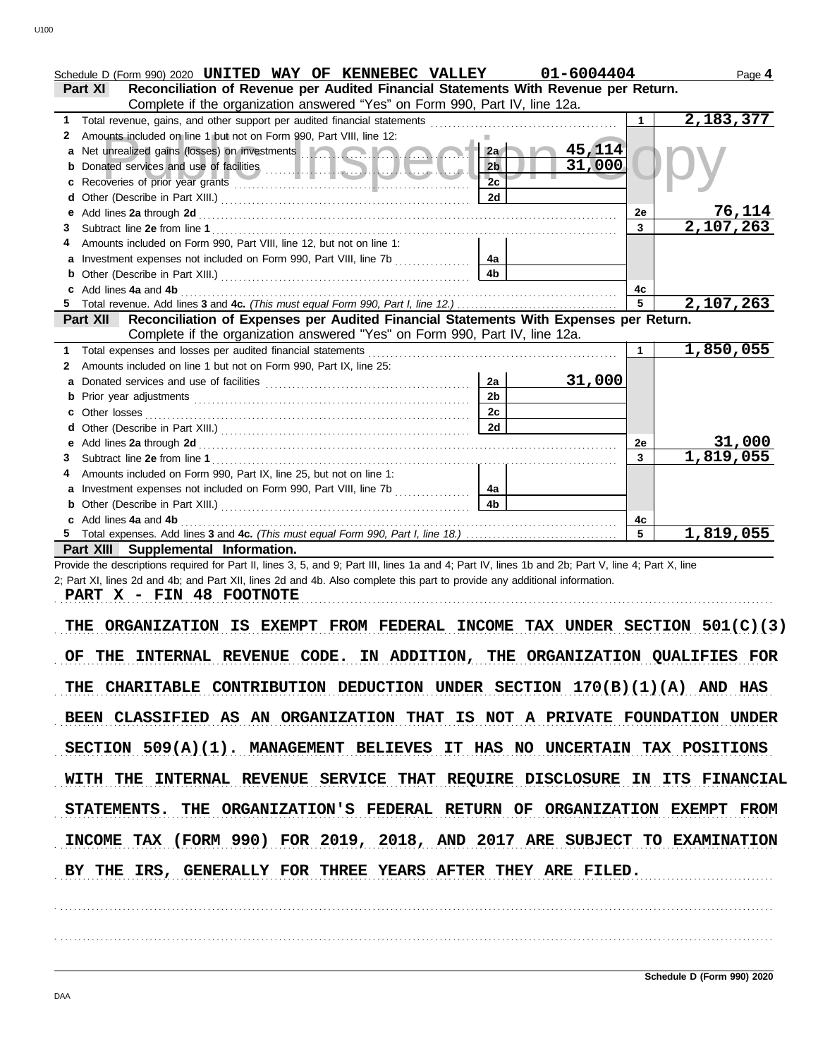|     | Schedule D (Form 990) 2020 UNITED WAY OF KENNEBEC VALLEY                                                                                                                                                                             |                | 01-6004404 |              | Page 4                      |
|-----|--------------------------------------------------------------------------------------------------------------------------------------------------------------------------------------------------------------------------------------|----------------|------------|--------------|-----------------------------|
|     | Reconciliation of Revenue per Audited Financial Statements With Revenue per Return.<br><b>Part XI</b>                                                                                                                                |                |            |              |                             |
|     | Complete if the organization answered "Yes" on Form 990, Part IV, line 12a.                                                                                                                                                          |                |            |              |                             |
| 1   | Total revenue, gains, and other support per audited financial statements                                                                                                                                                             |                |            | $\mathbf{1}$ | 2,183,377                   |
| 2   | Amounts included on line 1 but not on Form 990, Part VIII, line 12:                                                                                                                                                                  |                |            |              |                             |
| а   | Net unrealized gains (losses) on investments <b>with a state of the state of the state of the state of the state of the state of the state of the state of the state of the state of the state of the state of the state of the </b> | 2a             | 45,114     |              |                             |
| b   |                                                                                                                                                                                                                                      | 2 <sub>b</sub> | 31,000     |              |                             |
| с   |                                                                                                                                                                                                                                      | 2c             |            |              |                             |
| d   |                                                                                                                                                                                                                                      | 2d             |            |              |                             |
| е   |                                                                                                                                                                                                                                      |                |            | 2e           | 76,114                      |
| 3   |                                                                                                                                                                                                                                      |                |            | $\mathbf{3}$ | 2,107,263                   |
|     | Amounts included on Form 990, Part VIII, line 12, but not on line 1:                                                                                                                                                                 |                |            |              |                             |
|     | Investment expenses not included on Form 990, Part VIII, line 7b                                                                                                                                                                     | 4a             |            |              |                             |
| b   |                                                                                                                                                                                                                                      | 4 <sub>b</sub> |            |              |                             |
| c   | Add lines 4a and 4b                                                                                                                                                                                                                  |                |            | 4с           |                             |
|     |                                                                                                                                                                                                                                      |                |            | 5            | 2,107,263                   |
|     | Part XII Reconciliation of Expenses per Audited Financial Statements With Expenses per Return.                                                                                                                                       |                |            |              |                             |
|     | Complete if the organization answered "Yes" on Form 990, Part IV, line 12a.                                                                                                                                                          |                |            |              |                             |
| 1   | Total expenses and losses per audited financial statements                                                                                                                                                                           |                |            | 1            | $\overline{1,850,055}$      |
| 2   | Amounts included on line 1 but not on Form 990, Part IX, line 25:                                                                                                                                                                    |                |            |              |                             |
| a   |                                                                                                                                                                                                                                      | 2a             | 31,000     |              |                             |
| b   |                                                                                                                                                                                                                                      | 2 <sub>b</sub> |            |              |                             |
|     |                                                                                                                                                                                                                                      | 2c             |            |              |                             |
| с   |                                                                                                                                                                                                                                      | 2d             |            |              |                             |
|     |                                                                                                                                                                                                                                      |                |            |              |                             |
| е   |                                                                                                                                                                                                                                      |                |            | 2e           | <u>31,000</u><br>1,819,055  |
| 3   |                                                                                                                                                                                                                                      |                |            | 3            |                             |
|     | Amounts included on Form 990, Part IX, line 25, but not on line 1:                                                                                                                                                                   |                |            |              |                             |
| a   | Investment expenses not included on Form 990, Part VIII, line 7b                                                                                                                                                                     | 4a             |            |              |                             |
| b   |                                                                                                                                                                                                                                      | 4 <sub>b</sub> |            |              |                             |
|     | c Add lines 4a and 4b                                                                                                                                                                                                                |                |            | 4с           |                             |
|     |                                                                                                                                                                                                                                      |                |            | 5            | 1,819,055                   |
|     | Part XIII Supplemental Information.                                                                                                                                                                                                  |                |            |              |                             |
|     | Provide the descriptions required for Part II, lines 3, 5, and 9; Part III, lines 1a and 4; Part IV, lines 1b and 2b; Part V, line 4; Part X, line                                                                                   |                |            |              |                             |
|     | 2; Part XI, lines 2d and 4b; and Part XII, lines 2d and 4b. Also complete this part to provide any additional information.                                                                                                           |                |            |              |                             |
|     | PART X - FIN 48 FOOTNOTE                                                                                                                                                                                                             |                |            |              |                             |
|     |                                                                                                                                                                                                                                      |                |            |              |                             |
| THE | FROM FEDERAL<br><b>ORGANIZATION</b><br><b>IS EXEMPT</b>                                                                                                                                                                              | <b>INCOME</b>  |            |              | TAX UNDER SECTION 501(C)(3) |
|     |                                                                                                                                                                                                                                      |                |            |              |                             |
| OF. | THE INTERNAL REVENUE CODE. IN ADDITION, THE ORGANIZATION QUALIFIES FOR                                                                                                                                                               |                |            |              |                             |
|     |                                                                                                                                                                                                                                      |                |            |              |                             |
|     |                                                                                                                                                                                                                                      |                |            |              |                             |
| THE | CHARITABLE CONTRIBUTION DEDUCTION UNDER SECTION $170(B)(1)(A)$ and has                                                                                                                                                               |                |            |              |                             |
|     |                                                                                                                                                                                                                                      |                |            |              |                             |
|     | BEEN CLASSIFIED AS AN ORGANIZATION THAT IS NOT A PRIVATE FOUNDATION UNDER                                                                                                                                                            |                |            |              |                             |
|     |                                                                                                                                                                                                                                      |                |            |              |                             |
|     |                                                                                                                                                                                                                                      |                |            |              |                             |
|     | SECTION 509(A)(1). MANAGEMENT BELIEVES IT HAS NO UNCERTAIN TAX POSITIONS                                                                                                                                                             |                |            |              |                             |
|     | INTERNAL REVENUE SERVICE THAT REQUIRE DISCLOSURE IN ITS FINANCIAL<br>WITH THE                                                                                                                                                        |                |            |              |                             |
|     |                                                                                                                                                                                                                                      |                |            |              |                             |
|     | STATEMENTS. THE ORGANIZATION'S FEDERAL RETURN OF ORGANIZATION EXEMPT FROM                                                                                                                                                            |                |            |              |                             |
|     |                                                                                                                                                                                                                                      |                |            |              |                             |
|     | INCOME TAX (FORM 990) FOR 2019, 2018, AND 2017 ARE SUBJECT TO EXAMINATION                                                                                                                                                            |                |            |              |                             |

. . . . . . . . . . . . . . . . . . . . . . . . . . . . . . . . . . . . . . . . . . . . . . . . . . . . . . . . . . . . . . . . . . . . . . . . . . . . . . . . . . . . . . . . . . . . . . . . . . . . . . . . . . . . . . . . . . . . . . . . . . . . . . . . . . . . . . . . . . . . . . . . . . . . . . . . . . . . . . . . .

. . . . . . . . . . . . . . . . . . . . . . . . . . . . . . . . . . . . . . . . . . . . . . . . . . . . . . . . . . . . . . . . . . . . . . . . . . . . . . . . . . . . . . . . . . . . . . . . . . . . . . . . . . . . . . . . . . . . . . . . . . . . . . . . . . . . . . . . . . . . . . . . . . . . . . . . . . . . . . . . .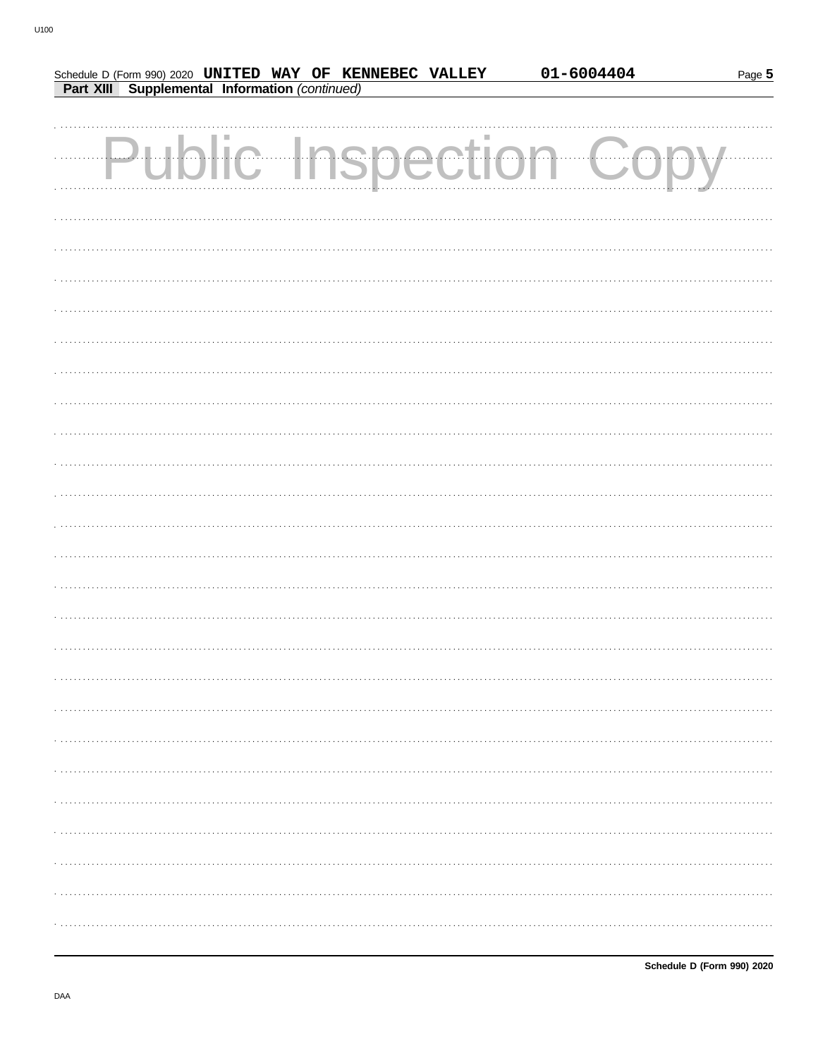|  |                                                | Schedule D (Form 990) 2020 UNITED WAY OF KENNEBEC VALLEY | 01-6004404           | Page 5 |
|--|------------------------------------------------|----------------------------------------------------------|----------------------|--------|
|  | Part XIII Supplemental Information (continued) |                                                          |                      |        |
|  |                                                |                                                          |                      |        |
|  |                                                |                                                          |                      |        |
|  |                                                |                                                          | Public Inspection Cc |        |
|  |                                                |                                                          |                      |        |
|  |                                                |                                                          |                      |        |
|  |                                                |                                                          |                      |        |
|  |                                                |                                                          |                      |        |
|  |                                                |                                                          |                      |        |
|  |                                                |                                                          |                      |        |
|  |                                                |                                                          |                      |        |
|  |                                                |                                                          |                      |        |
|  |                                                |                                                          |                      |        |
|  |                                                |                                                          |                      |        |
|  |                                                |                                                          |                      |        |
|  |                                                |                                                          |                      |        |
|  |                                                |                                                          |                      |        |
|  |                                                |                                                          |                      |        |
|  |                                                |                                                          |                      |        |
|  |                                                |                                                          |                      |        |
|  |                                                |                                                          |                      |        |
|  |                                                |                                                          |                      |        |
|  |                                                |                                                          |                      |        |
|  |                                                |                                                          |                      |        |
|  |                                                |                                                          |                      |        |
|  |                                                |                                                          |                      |        |
|  |                                                |                                                          |                      |        |
|  |                                                |                                                          |                      |        |
|  |                                                |                                                          |                      |        |
|  |                                                |                                                          |                      |        |
|  |                                                |                                                          |                      |        |
|  |                                                |                                                          |                      |        |
|  |                                                |                                                          |                      |        |
|  |                                                |                                                          |                      |        |
|  |                                                |                                                          |                      |        |
|  |                                                |                                                          |                      |        |
|  |                                                |                                                          |                      |        |
|  |                                                |                                                          |                      |        |
|  |                                                |                                                          |                      |        |
|  |                                                |                                                          |                      |        |
|  |                                                |                                                          |                      |        |
|  |                                                |                                                          |                      |        |
|  |                                                |                                                          |                      |        |
|  |                                                |                                                          |                      |        |
|  |                                                |                                                          |                      |        |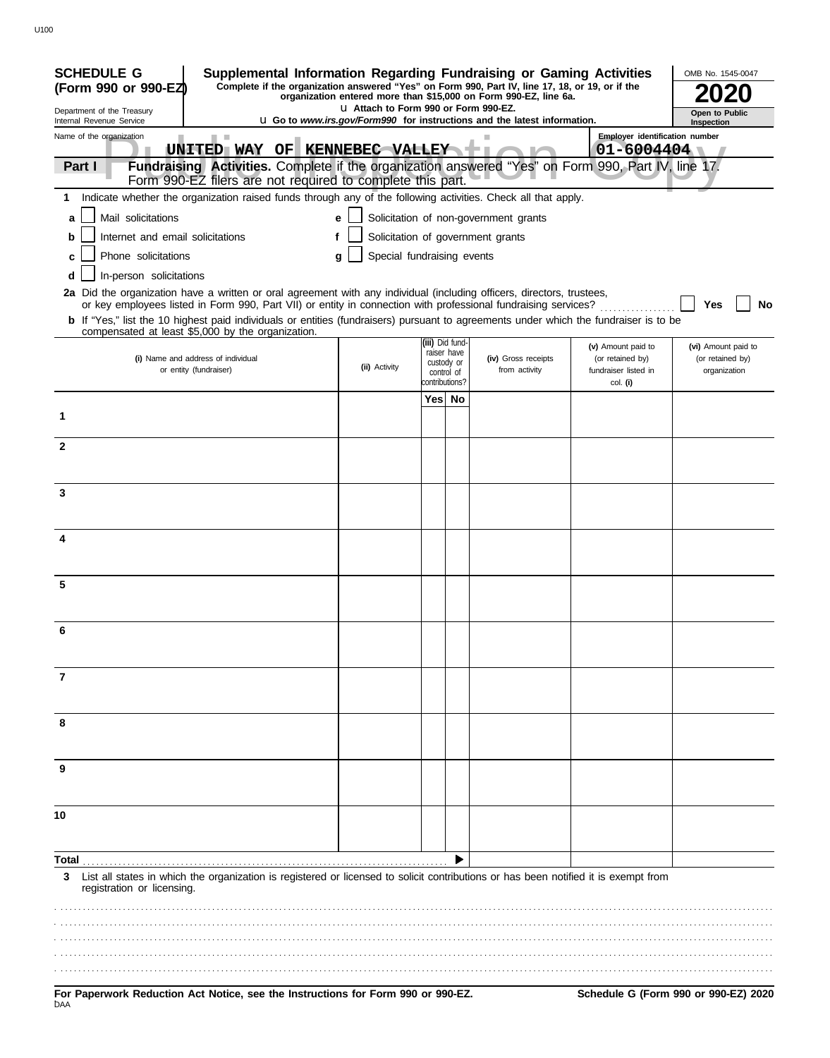| <b>SCHEDULE G</b><br>Supplemental Information Regarding Fundraising or Gaming Activities                                                                                                                                                 |                                       |                                            |                                                                                 |                                                      | OMB No. 1545-0047                |
|------------------------------------------------------------------------------------------------------------------------------------------------------------------------------------------------------------------------------------------|---------------------------------------|--------------------------------------------|---------------------------------------------------------------------------------|------------------------------------------------------|----------------------------------|
| Complete if the organization answered "Yes" on Form 990, Part IV, line 17, 18, or 19, or if the<br>(Form 990 or 990-EZ)                                                                                                                  |                                       |                                            | organization entered more than \$15,000 on Form 990-EZ, line 6a.                |                                                      |                                  |
| Department of the Treasury<br>Internal Revenue Service                                                                                                                                                                                   | La Attach to Form 990 or Form 990-EZ. |                                            | <b>u</b> Go to www.irs.gov/Form990 for instructions and the latest information. |                                                      | Open to Public<br>Inspection     |
| Name of the organization<br><b>The College</b>                                                                                                                                                                                           |                                       |                                            |                                                                                 | <b>Employer identification number</b>                |                                  |
| UNITED WAY OF KENNEBEC VALLEY                                                                                                                                                                                                            |                                       |                                            |                                                                                 | $01 - 6004404$                                       |                                  |
| Fundraising Activities. Complete if the organization answered "Yes" on Form 990, Part IV, line 17.<br>Part I<br>Form 990-EZ filers are not required to complete this part.                                                               |                                       |                                            |                                                                                 |                                                      |                                  |
| Indicate whether the organization raised funds through any of the following activities. Check all that apply.<br>1.                                                                                                                      |                                       |                                            |                                                                                 |                                                      |                                  |
| Mail solicitations<br>a                                                                                                                                                                                                                  | e                                     |                                            | Solicitation of non-government grants                                           |                                                      |                                  |
| Internet and email solicitations<br>b                                                                                                                                                                                                    | f                                     |                                            | Solicitation of government grants                                               |                                                      |                                  |
| Phone solicitations<br>C                                                                                                                                                                                                                 | Special fundraising events<br>g       |                                            |                                                                                 |                                                      |                                  |
| In-person solicitations<br>d                                                                                                                                                                                                             |                                       |                                            |                                                                                 |                                                      |                                  |
| 2a Did the organization have a written or oral agreement with any individual (including officers, directors, trustees,<br>or key employees listed in Form 990, Part VII) or entity in connection with professional fundraising services? |                                       |                                            |                                                                                 |                                                      | Yes<br>No                        |
| <b>b</b> If "Yes," list the 10 highest paid individuals or entities (fundraisers) pursuant to agreements under which the fundraiser is to be<br>compensated at least \$5,000 by the organization.                                        |                                       |                                            |                                                                                 |                                                      |                                  |
|                                                                                                                                                                                                                                          |                                       | (iii) Did fund-<br>raiser have             |                                                                                 | (v) Amount paid to                                   | (vi) Amount paid to              |
| (i) Name and address of individual<br>or entity (fundraiser)                                                                                                                                                                             | (ii) Activity                         | custody or<br>control of<br>contributions? | (iv) Gross receipts<br>from activity                                            | (or retained by)<br>fundraiser listed in<br>col. (i) | (or retained by)<br>organization |
|                                                                                                                                                                                                                                          |                                       | Yes No                                     |                                                                                 |                                                      |                                  |
| 1                                                                                                                                                                                                                                        |                                       |                                            |                                                                                 |                                                      |                                  |
| $\mathbf{2}$                                                                                                                                                                                                                             |                                       |                                            |                                                                                 |                                                      |                                  |
|                                                                                                                                                                                                                                          |                                       |                                            |                                                                                 |                                                      |                                  |
| 3                                                                                                                                                                                                                                        |                                       |                                            |                                                                                 |                                                      |                                  |
|                                                                                                                                                                                                                                          |                                       |                                            |                                                                                 |                                                      |                                  |
| 4                                                                                                                                                                                                                                        |                                       |                                            |                                                                                 |                                                      |                                  |
|                                                                                                                                                                                                                                          |                                       |                                            |                                                                                 |                                                      |                                  |
| 5                                                                                                                                                                                                                                        |                                       |                                            |                                                                                 |                                                      |                                  |
|                                                                                                                                                                                                                                          |                                       |                                            |                                                                                 |                                                      |                                  |
| 6                                                                                                                                                                                                                                        |                                       |                                            |                                                                                 |                                                      |                                  |
|                                                                                                                                                                                                                                          |                                       |                                            |                                                                                 |                                                      |                                  |
| 7                                                                                                                                                                                                                                        |                                       |                                            |                                                                                 |                                                      |                                  |
|                                                                                                                                                                                                                                          |                                       |                                            |                                                                                 |                                                      |                                  |
| 8                                                                                                                                                                                                                                        |                                       |                                            |                                                                                 |                                                      |                                  |
|                                                                                                                                                                                                                                          |                                       |                                            |                                                                                 |                                                      |                                  |
| 9                                                                                                                                                                                                                                        |                                       |                                            |                                                                                 |                                                      |                                  |
|                                                                                                                                                                                                                                          |                                       |                                            |                                                                                 |                                                      |                                  |
| 10                                                                                                                                                                                                                                       |                                       |                                            |                                                                                 |                                                      |                                  |
|                                                                                                                                                                                                                                          |                                       |                                            |                                                                                 |                                                      |                                  |
| Total                                                                                                                                                                                                                                    |                                       |                                            |                                                                                 |                                                      |                                  |
| List all states in which the organization is registered or licensed to solicit contributions or has been notified it is exempt from<br>3<br>registration or licensing.                                                                   |                                       |                                            |                                                                                 |                                                      |                                  |
|                                                                                                                                                                                                                                          |                                       |                                            |                                                                                 |                                                      |                                  |
|                                                                                                                                                                                                                                          |                                       |                                            |                                                                                 |                                                      |                                  |
|                                                                                                                                                                                                                                          |                                       |                                            |                                                                                 |                                                      |                                  |
|                                                                                                                                                                                                                                          |                                       |                                            |                                                                                 |                                                      |                                  |
|                                                                                                                                                                                                                                          |                                       |                                            |                                                                                 |                                                      |                                  |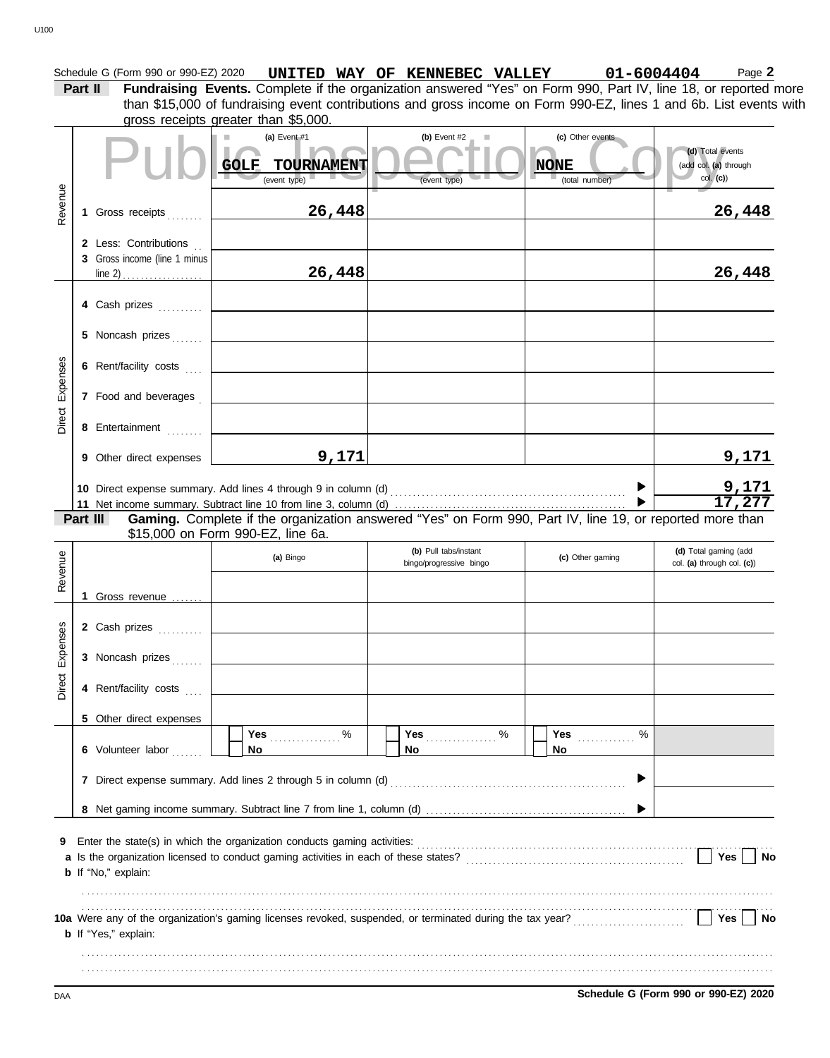### (a) Event #1<br>
COLF TOURNAMENT (b) Event type) (b) Event type) (c) Other events<br>
(c) Other events<br>
(c) Other events<br>
(c) Other events<br>
(c) Other events<br>
(c) Other events<br>
(c) Other events<br>
(c) Total event (d) Total event (d Schedule G (Form 990 or 990-EZ) 2020 **UNITED WAY OF KENNEBEC VALLEY** 01-6004404 Page 2 **Part II** Fundraising Events. Complete if the organization answered "Yes" on Form 990, Part IV, line 18, or reported more gross receipts greater than \$5,000. **(a)** Event #1 **(b)** Event #2 **(c)** Other events **(d)** Total events (add col. **(a)** through (event type) (event type) (event type) (total number) Revenue **1** Gross receipts . . . . . . . **2** Less: Contributions . . **3** Gross income (line 1 minus **4** Cash prizes **. . . . . . . .** .  $line 2)$ col. **(c)**) than \$15,000 of fundraising event contributions and gross income on Form 990-EZ, lines 1 and 6b. List events with GOLF TOURNAMENT **NONE 26,448 26,448 26,448 26,448**

|                 | Other direct expenses |                                                                                                                 |  |  |
|-----------------|-----------------------|-----------------------------------------------------------------------------------------------------------------|--|--|
|                 |                       |                                                                                                                 |  |  |
|                 |                       | 10 Direct expense summary. Add lines 4 through 9 in column (d)                                                  |  |  |
|                 |                       | 11 Net income summary. Subtract line 10 from line 3, column (d)                                                 |  |  |
| <b>B.A. III</b> |                       | $\bullet$ . It is the set of the set of $\bullet$ and $\bullet$ in the set of $\bullet$ is the set of $\bullet$ |  |  |

**Gaming.** Complete if the organization answered "Yes" on Form 990, Part IV, line 19, or reported more than \$15,000 on Form 990-EZ, line 6a. **Part III**

|                             |                                |                                                |                                 | col. (a) through col. (c))                                                                                                                                                                                                     |
|-----------------------------|--------------------------------|------------------------------------------------|---------------------------------|--------------------------------------------------------------------------------------------------------------------------------------------------------------------------------------------------------------------------------|
| 1 Gross revenue             |                                |                                                |                                 |                                                                                                                                                                                                                                |
| 2 Cash prizes               |                                |                                                |                                 |                                                                                                                                                                                                                                |
| 3 Noncash prizes            |                                |                                                |                                 |                                                                                                                                                                                                                                |
| 4 Rent/facility costs       |                                |                                                |                                 |                                                                                                                                                                                                                                |
| 5 Other direct expenses     |                                |                                                |                                 |                                                                                                                                                                                                                                |
| 6 Volunteer labor           | %<br>Yes <u>.</u><br><b>No</b> | Yes $\ldots \ldots \ldots \ldots$<br><b>No</b> | Yes $\frac{1}{2}$<br>$\%$<br>No |                                                                                                                                                                                                                                |
| 7                           |                                |                                                |                                 |                                                                                                                                                                                                                                |
|                             |                                |                                                |                                 |                                                                                                                                                                                                                                |
| <b>b</b> If "No," explain:  |                                |                                                |                                 | Yes<br><b>No</b>                                                                                                                                                                                                               |
| <b>b</b> If "Yes," explain: |                                |                                                |                                 | Yes<br><b>No</b>                                                                                                                                                                                                               |
|                             |                                |                                                |                                 | Direct expense summary. Add lines 2 through 5 in column (d) [11] content to the summary content of the summary content of the summary content of the summary content of the summary content of the summary content of the summ |

DAA **Schedule G (Form 990 or 990-EZ) 2020**

Direct Expenses

Direct Expenses

**5** Noncash prizes . . . . . .

**6** Rent/facility costs ....

**7** Food and beverages .

**8** Entertainment . . . . . . . .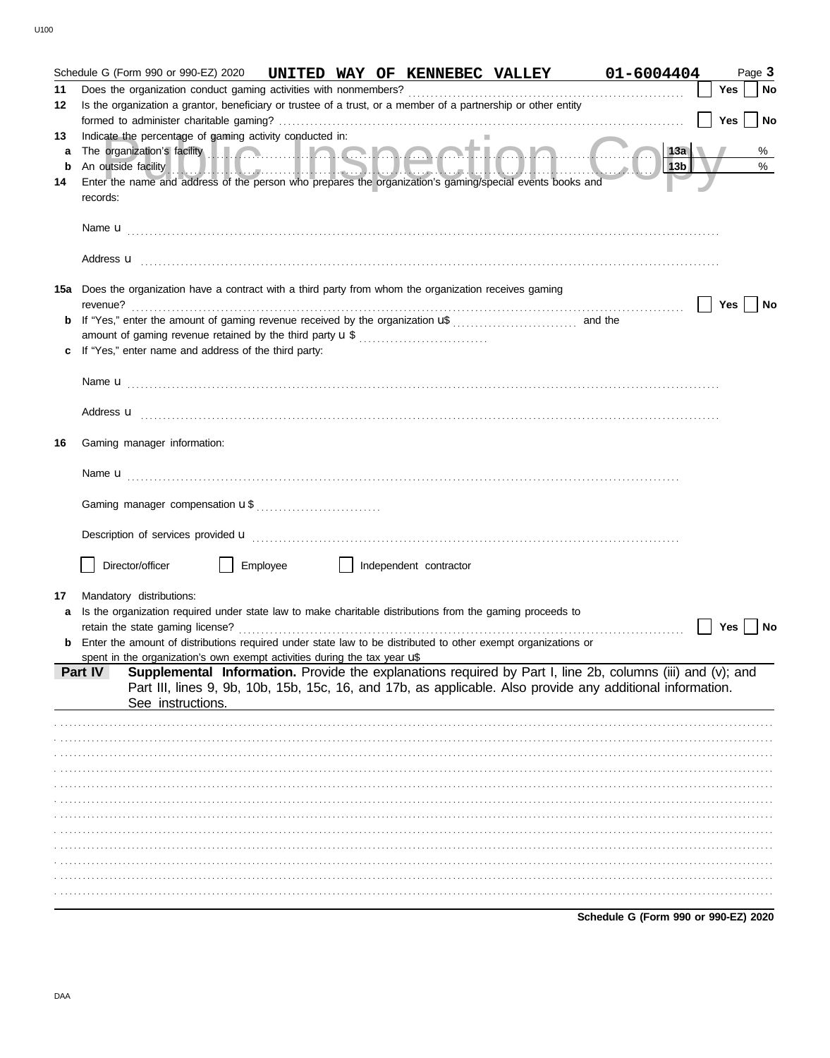|         | Schedule G (Form 990 or 990-EZ) 2020 UNITED WAY OF KENNEBEC VALLEY                                                                                                                                                                        |          |  |                        |                   | 01-6004404                                                                                                                                                                                                               |            | Page 3    |
|---------|-------------------------------------------------------------------------------------------------------------------------------------------------------------------------------------------------------------------------------------------|----------|--|------------------------|-------------------|--------------------------------------------------------------------------------------------------------------------------------------------------------------------------------------------------------------------------|------------|-----------|
| 11      | Does the organization conduct gaming activities with nonmembers?                                                                                                                                                                          |          |  |                        |                   |                                                                                                                                                                                                                          | <b>Yes</b> | <b>No</b> |
| 12      | Is the organization a grantor, beneficiary or trustee of a trust, or a member of a partnership or other entity                                                                                                                            |          |  |                        |                   |                                                                                                                                                                                                                          | Yes        | No        |
| 13      | Indicate the percentage of gaming activity conducted in:                                                                                                                                                                                  |          |  |                        |                   |                                                                                                                                                                                                                          |            |           |
| a       | The organization's facility <b>with the contract of the organization's facility</b>                                                                                                                                                       |          |  |                        |                   | 13a                                                                                                                                                                                                                      |            | %         |
| b<br>14 | An outside facility entry and the contract of the contract of the contract of the contract of the contract of<br>Enter the name and address of the person who prepares the organization's gaming/special events books and                 |          |  |                        | HITTI III. ATA WA | 13b                                                                                                                                                                                                                      |            | %         |
|         | records:                                                                                                                                                                                                                                  |          |  |                        |                   |                                                                                                                                                                                                                          |            |           |
|         |                                                                                                                                                                                                                                           |          |  |                        |                   |                                                                                                                                                                                                                          |            |           |
|         | Address <b>u</b> <u>decree and the contract of the contract of the contract of the contract of the contract of the contract of the contract of the contract of the contract of the contract of the contract of the contract of the co</u> |          |  |                        |                   |                                                                                                                                                                                                                          |            |           |
|         | 15a Does the organization have a contract with a third party from whom the organization receives gaming                                                                                                                                   |          |  |                        |                   |                                                                                                                                                                                                                          |            |           |
|         |                                                                                                                                                                                                                                           |          |  |                        |                   |                                                                                                                                                                                                                          | Yes        | No        |
|         |                                                                                                                                                                                                                                           |          |  |                        |                   |                                                                                                                                                                                                                          |            |           |
|         |                                                                                                                                                                                                                                           |          |  |                        |                   |                                                                                                                                                                                                                          |            |           |
|         | If "Yes," enter name and address of the third party:                                                                                                                                                                                      |          |  |                        |                   |                                                                                                                                                                                                                          |            |           |
|         | Name <b>u</b> entre and the contract of the contract of the contract of the contract of the contract of the contract of the contract of the contract of the contract of the contract of the contract of the contract of the contrac       |          |  |                        |                   |                                                                                                                                                                                                                          |            |           |
|         | Address <b>u</b> <u>contractive and the contractive and the contractive and the contractive and the contractive and the contractive and the contractive and contract and contract and contract and contract and contract and contract</u> |          |  |                        |                   |                                                                                                                                                                                                                          |            |           |
| 16      | Gaming manager information:                                                                                                                                                                                                               |          |  |                        |                   |                                                                                                                                                                                                                          |            |           |
|         |                                                                                                                                                                                                                                           |          |  |                        |                   |                                                                                                                                                                                                                          |            |           |
|         |                                                                                                                                                                                                                                           |          |  |                        |                   |                                                                                                                                                                                                                          |            |           |
|         |                                                                                                                                                                                                                                           |          |  |                        |                   |                                                                                                                                                                                                                          |            |           |
|         | Director/officer                                                                                                                                                                                                                          | Employee |  | Independent contractor |                   |                                                                                                                                                                                                                          |            |           |
|         |                                                                                                                                                                                                                                           |          |  |                        |                   |                                                                                                                                                                                                                          |            |           |
| 17      | Mandatory distributions:<br>Is the organization required under state law to make charitable distributions from the gaming proceeds to                                                                                                     |          |  |                        |                   |                                                                                                                                                                                                                          |            |           |
|         | retain the state gaming license?                                                                                                                                                                                                          |          |  |                        |                   |                                                                                                                                                                                                                          | Yes        | No        |
|         | Enter the amount of distributions required under state law to be distributed to other exempt organizations or                                                                                                                             |          |  |                        |                   |                                                                                                                                                                                                                          |            |           |
|         | spent in the organization's own exempt activities during the tax year uß                                                                                                                                                                  |          |  |                        |                   |                                                                                                                                                                                                                          |            |           |
|         | Part IV<br>See instructions.                                                                                                                                                                                                              |          |  |                        |                   | Supplemental Information. Provide the explanations required by Part I, line 2b, columns (iii) and (v); and<br>Part III, lines 9, 9b, 10b, 15b, 15c, 16, and 17b, as applicable. Also provide any additional information. |            |           |
|         |                                                                                                                                                                                                                                           |          |  |                        |                   |                                                                                                                                                                                                                          |            |           |
|         |                                                                                                                                                                                                                                           |          |  |                        |                   |                                                                                                                                                                                                                          |            |           |
|         |                                                                                                                                                                                                                                           |          |  |                        |                   |                                                                                                                                                                                                                          |            |           |
|         |                                                                                                                                                                                                                                           |          |  |                        |                   |                                                                                                                                                                                                                          |            |           |
|         |                                                                                                                                                                                                                                           |          |  |                        |                   |                                                                                                                                                                                                                          |            |           |
|         |                                                                                                                                                                                                                                           |          |  |                        |                   |                                                                                                                                                                                                                          |            |           |
|         |                                                                                                                                                                                                                                           |          |  |                        |                   |                                                                                                                                                                                                                          |            |           |
|         |                                                                                                                                                                                                                                           |          |  |                        |                   |                                                                                                                                                                                                                          |            |           |
|         |                                                                                                                                                                                                                                           |          |  |                        |                   |                                                                                                                                                                                                                          |            |           |
|         |                                                                                                                                                                                                                                           |          |  |                        |                   |                                                                                                                                                                                                                          |            |           |
|         |                                                                                                                                                                                                                                           |          |  |                        |                   |                                                                                                                                                                                                                          |            |           |
|         |                                                                                                                                                                                                                                           |          |  |                        |                   |                                                                                                                                                                                                                          |            |           |
|         |                                                                                                                                                                                                                                           |          |  |                        |                   | Schedule G (Form 990 or 990-EZ) 2020                                                                                                                                                                                     |            |           |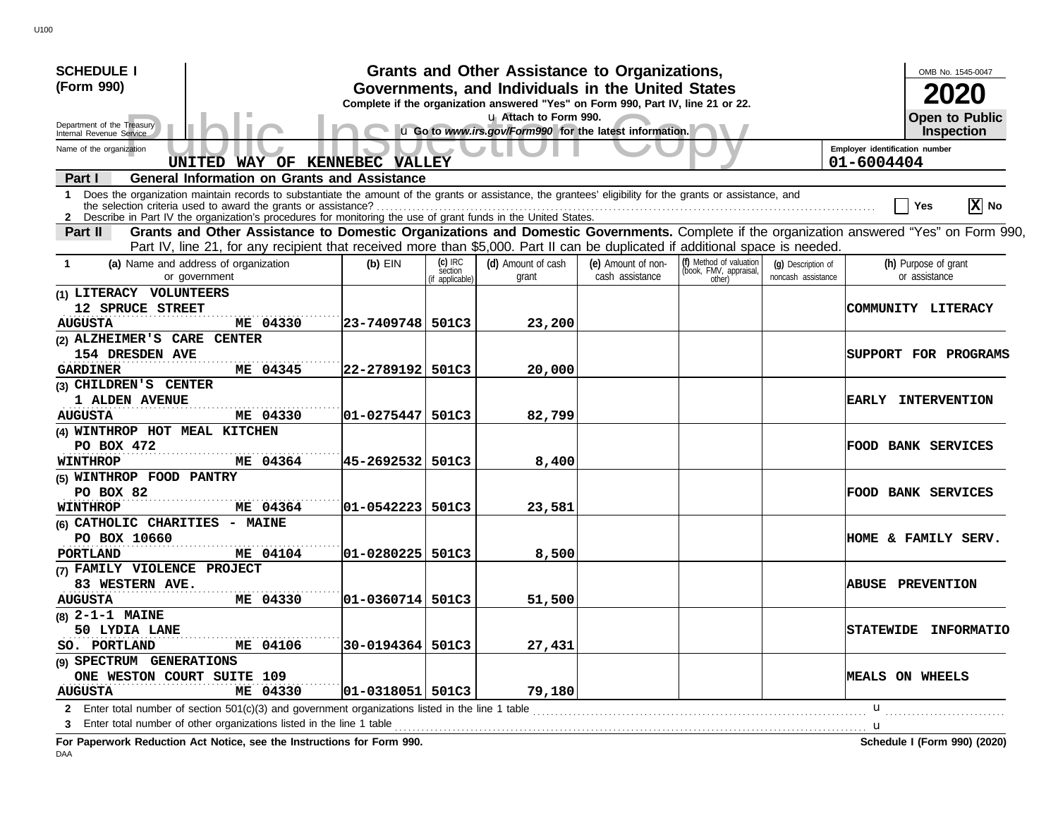| <b>SCHEDULE I</b>                                                                                                                                                                                                                                                                    |                                      |                                         | Grants and Other Assistance to Organizations,                                                                                         |                                       |                                                             |                                          |                                              | OMB No. 1545-0047                     |
|--------------------------------------------------------------------------------------------------------------------------------------------------------------------------------------------------------------------------------------------------------------------------------------|--------------------------------------|-----------------------------------------|---------------------------------------------------------------------------------------------------------------------------------------|---------------------------------------|-------------------------------------------------------------|------------------------------------------|----------------------------------------------|---------------------------------------|
| (Form 990)                                                                                                                                                                                                                                                                           |                                      |                                         | Governments, and Individuals in the United States<br>Complete if the organization answered "Yes" on Form 990, Part IV, line 21 or 22. |                                       |                                                             |                                          |                                              |                                       |
| Department of the Treasury<br>Internal Revenue Service                                                                                                                                                                                                                               |                                      |                                         | u Attach to Form 990.<br>u Go to www.irs.gov/Form990 for the latest information.                                                      |                                       |                                                             |                                          |                                              | <b>Open to Public</b><br>Inspection   |
| Name of the organization<br>UNITED WAY OF KENNEBEC VALLEY                                                                                                                                                                                                                            |                                      |                                         |                                                                                                                                       |                                       |                                                             |                                          | Employer identification number<br>01-6004404 |                                       |
| <b>General Information on Grants and Assistance</b><br>Part I                                                                                                                                                                                                                        |                                      |                                         |                                                                                                                                       |                                       |                                                             |                                          |                                              |                                       |
| Does the organization maintain records to substantiate the amount of the grants or assistance, the grantees' eligibility for the grants or assistance, and<br>1.<br>2 Describe in Part IV the organization's procedures for monitoring the use of grant funds in the United States.  |                                      |                                         |                                                                                                                                       |                                       |                                                             |                                          |                                              | $ \mathbf{X} $ No<br>Yes              |
| Grants and Other Assistance to Domestic Organizations and Domestic Governments. Complete if the organization answered "Yes" on Form 990,<br>Part II<br>Part IV, line 21, for any recipient that received more than \$5,000. Part II can be duplicated if additional space is needed. |                                      |                                         |                                                                                                                                       |                                       |                                                             |                                          |                                              |                                       |
| (a) Name and address of organization<br>or government                                                                                                                                                                                                                                | $(b)$ EIN                            | $(c)$ IRC<br>section<br>(if applicable) | (d) Amount of cash<br>grant                                                                                                           | (e) Amount of non-<br>cash assistance | (f) Method of valuation<br>(book, FMV, appraisal,<br>other) | (q) Description of<br>noncash assistance |                                              | (h) Purpose of grant<br>or assistance |
| (1) LITERACY VOLUNTEERS<br>12 SPRUCE STREET<br>ME 04330<br><b>AUGUSTA</b>                                                                                                                                                                                                            | 23-7409748 501C3                     |                                         | 23,200                                                                                                                                |                                       |                                                             |                                          |                                              | COMMUNITY LITERACY                    |
| (2) ALZHEIMER'S CARE CENTER<br>154 DRESDEN AVE<br>ME 04345<br><b>GARDINER</b>                                                                                                                                                                                                        | 22-2789192 501C3                     |                                         | 20,000                                                                                                                                |                                       |                                                             |                                          |                                              | SUPPORT FOR PROGRAMS                  |
| (3) CHILDREN'S CENTER<br>1 ALDEN AVENUE<br>ME 04330<br><b>AUGUSTA</b>                                                                                                                                                                                                                | 01-0275447 501C3                     |                                         | 82,799                                                                                                                                |                                       |                                                             |                                          |                                              | EARLY INTERVENTION                    |
| (4) WINTHROP HOT MEAL KITCHEN<br>PO BOX 472<br><b>WINTHROP</b><br>ME 04364                                                                                                                                                                                                           | 45-2692532  501C3                    |                                         | 8,400                                                                                                                                 |                                       |                                                             |                                          |                                              | <b>FOOD BANK SERVICES</b>             |
| (5) WINTHROP FOOD PANTRY<br>PO BOX 82                                                                                                                                                                                                                                                |                                      |                                         |                                                                                                                                       |                                       |                                                             |                                          |                                              | <b>FOOD BANK SERVICES</b>             |
| <b>WINTHROP</b><br>ME 04364<br>(6) CATHOLIC CHARITIES - MAINE<br>PO BOX 10660<br>ME 04104<br>PORTLAND                                                                                                                                                                                | 01-0542223 501C3<br>01-0280225 501C3 |                                         | 23,581<br>8,500                                                                                                                       |                                       |                                                             |                                          |                                              | <b>HOME &amp; FAMILY SERV.</b>        |
| (7) FAMILY VIOLENCE PROJECT<br>83 WESTERN AVE.<br><b>AUGUSTA</b><br>ME 04330                                                                                                                                                                                                         | $ 01 - 0360714 $ 501C3               |                                         | 51,500                                                                                                                                |                                       |                                                             |                                          |                                              | <b>ABUSE PREVENTION</b>               |
| $(8)$ 2-1-1 MAINE<br>50 LYDIA LANE<br>ME 04106<br>SO. PORTLAND                                                                                                                                                                                                                       | 30-0194364 501C3                     |                                         | 27,431                                                                                                                                |                                       |                                                             |                                          |                                              | STATEWIDE INFORMATIO                  |
| (9) SPECTRUM GENERATIONS<br>ONE WESTON COURT SUITE 109<br>ME 04330<br><b>AUGUSTA</b>                                                                                                                                                                                                 | $ 01 - 0318051 $ 501C3               |                                         | 79,180                                                                                                                                |                                       |                                                             |                                          |                                              | MEALS ON WHEELS                       |
| 2 Enter total number of section 501(c)(3) and government organizations listed in the line 1 table<br>3 Enter total number of other organizations listed in the line 1 table                                                                                                          |                                      |                                         |                                                                                                                                       |                                       |                                                             |                                          | u                                            |                                       |

**For Paperwork Reduction Act Notice, see the Instructions for Form 990. Schedule I (Form 990) (2020)**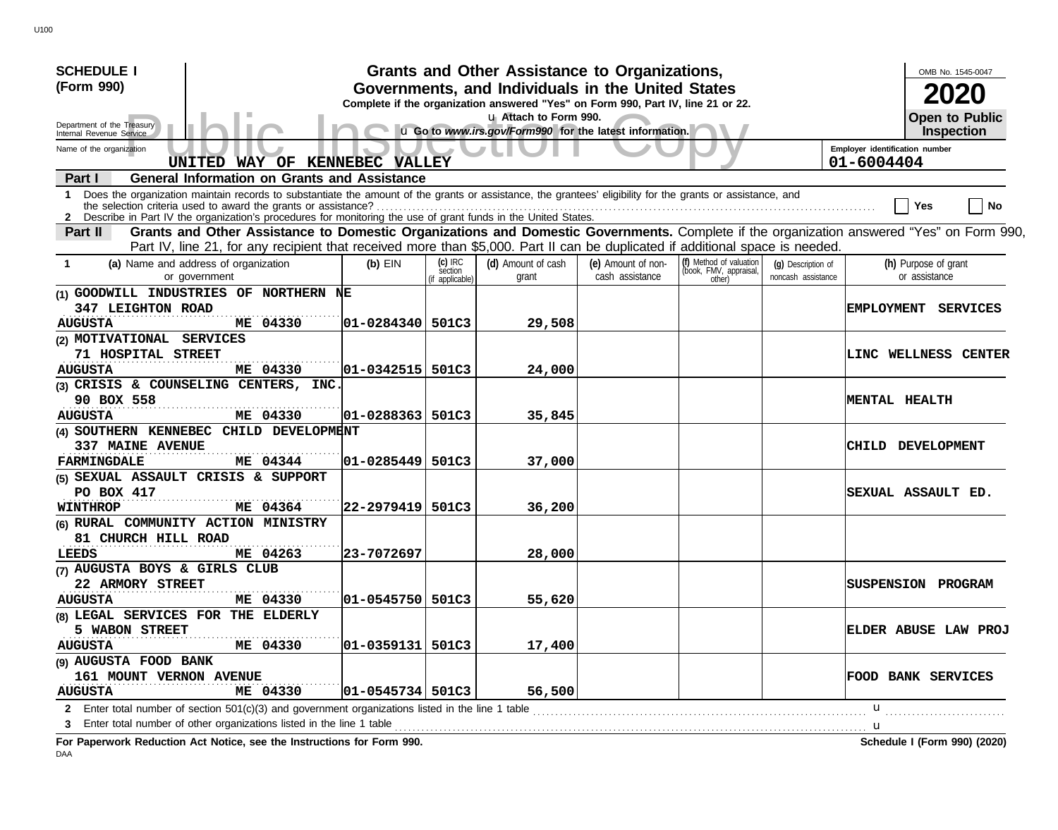| <b>SCHEDULE I</b>                                                                                                                                               |                                                                                                                                       |                 | Grants and Other Assistance to Organizations,                                    |                                       |                                                   |                                          |                      | OMB No. 1545-0047                     |  |
|-----------------------------------------------------------------------------------------------------------------------------------------------------------------|---------------------------------------------------------------------------------------------------------------------------------------|-----------------|----------------------------------------------------------------------------------|---------------------------------------|---------------------------------------------------|------------------------------------------|----------------------|---------------------------------------|--|
| (Form 990)                                                                                                                                                      | Governments, and Individuals in the United States<br>Complete if the organization answered "Yes" on Form 990, Part IV, line 21 or 22. |                 |                                                                                  |                                       |                                                   |                                          |                      |                                       |  |
| Department of the Treasury<br>Internal Revenue Service                                                                                                          |                                                                                                                                       |                 | u Attach to Form 990.<br>u Go to www.irs.gov/Form990 for the latest information. |                                       |                                                   |                                          |                      | <b>Open to Public</b><br>Inspection   |  |
| Employer identification number<br>Name of the organization<br>UNITED WAY OF KENNEBEC VALLEY                                                                     |                                                                                                                                       |                 |                                                                                  |                                       |                                                   |                                          |                      |                                       |  |
|                                                                                                                                                                 |                                                                                                                                       |                 |                                                                                  |                                       |                                                   |                                          | 01-6004404           |                                       |  |
| <b>General Information on Grants and Assistance</b><br>Part I                                                                                                   |                                                                                                                                       |                 |                                                                                  |                                       |                                                   |                                          |                      |                                       |  |
| Does the organization maintain records to substantiate the amount of the grants or assistance, the grantees' eligibility for the grants or assistance, and<br>1 |                                                                                                                                       |                 |                                                                                  |                                       |                                                   |                                          |                      | No<br>Yes                             |  |
| 2 Describe in Part IV the organization's procedures for monitoring the use of grant funds in the United States.                                                 |                                                                                                                                       |                 |                                                                                  |                                       |                                                   |                                          |                      |                                       |  |
| Grants and Other Assistance to Domestic Organizations and Domestic Governments. Complete if the organization answered "Yes" on Form 990,<br>Part II             |                                                                                                                                       |                 |                                                                                  |                                       |                                                   |                                          |                      |                                       |  |
| Part IV, line 21, for any recipient that received more than \$5,000. Part II can be duplicated if additional space is needed.                                   |                                                                                                                                       | $(c)$ IRC       |                                                                                  |                                       |                                                   |                                          |                      |                                       |  |
| (a) Name and address of organization<br>or government                                                                                                           | $(b)$ EIN                                                                                                                             | séction         | (d) Amount of cash<br>grant                                                      | (e) Amount of non-<br>cash assistance | (f) Method of valuation<br>(book, FMV, appraisal, | (q) Description of<br>noncash assistance |                      | (h) Purpose of grant<br>or assistance |  |
| (1) GOODWILL INDUSTRIES OF NORTHERN NE                                                                                                                          |                                                                                                                                       | (if applicable) |                                                                                  |                                       | other)                                            |                                          |                      |                                       |  |
| 347 LEIGHTON ROAD                                                                                                                                               |                                                                                                                                       |                 |                                                                                  |                                       |                                                   |                                          | <b>EMPLOYMENT</b>    | SERVICES                              |  |
| ME 04330<br><b>AUGUSTA</b>                                                                                                                                      | 01-0284340 501C3                                                                                                                      |                 | 29,508                                                                           |                                       |                                                   |                                          |                      |                                       |  |
| (2) MOTIVATIONAL SERVICES                                                                                                                                       |                                                                                                                                       |                 |                                                                                  |                                       |                                                   |                                          |                      |                                       |  |
| 71 HOSPITAL STREET                                                                                                                                              |                                                                                                                                       |                 |                                                                                  |                                       |                                                   |                                          |                      | LINC WELLNESS CENTER                  |  |
| ME 04330<br><b>AUGUSTA</b>                                                                                                                                      | $ 01 - 0342515 $                                                                                                                      | 501C3           | 24,000                                                                           |                                       |                                                   |                                          |                      |                                       |  |
| (3) CRISIS & COUNSELING CENTERS, INC.                                                                                                                           |                                                                                                                                       |                 |                                                                                  |                                       |                                                   |                                          |                      |                                       |  |
| 90 BOX 558                                                                                                                                                      |                                                                                                                                       |                 |                                                                                  |                                       |                                                   |                                          | <b>MENTAL HEALTH</b> |                                       |  |
| ME 04330<br><b>AUGUSTA</b>                                                                                                                                      | 01-0288363                                                                                                                            | 501C3           | 35,845                                                                           |                                       |                                                   |                                          |                      |                                       |  |
| (4) SOUTHERN KENNEBEC CHILD DEVELOPMENT                                                                                                                         |                                                                                                                                       |                 |                                                                                  |                                       |                                                   |                                          |                      |                                       |  |
| <b>337 MAINE AVENUE</b>                                                                                                                                         |                                                                                                                                       |                 |                                                                                  |                                       |                                                   |                                          |                      | CHILD DEVELOPMENT                     |  |
| ME 04344<br><b>FARMINGDALE</b>                                                                                                                                  | 01-0285449   501C3                                                                                                                    |                 | 37,000                                                                           |                                       |                                                   |                                          |                      |                                       |  |
| (5) SEXUAL ASSAULT CRISIS & SUPPORT                                                                                                                             |                                                                                                                                       |                 |                                                                                  |                                       |                                                   |                                          |                      |                                       |  |
| PO BOX 417                                                                                                                                                      |                                                                                                                                       |                 |                                                                                  |                                       |                                                   |                                          |                      | SEXUAL ASSAULT ED.                    |  |
| ME 04364<br><b>WINTHROP</b>                                                                                                                                     | 22-2979419 501C3                                                                                                                      |                 | 36,200                                                                           |                                       |                                                   |                                          |                      |                                       |  |
| (6) RURAL COMMUNITY ACTION MINISTRY                                                                                                                             |                                                                                                                                       |                 |                                                                                  |                                       |                                                   |                                          |                      |                                       |  |
| 81 CHURCH HILL ROAD                                                                                                                                             |                                                                                                                                       |                 |                                                                                  |                                       |                                                   |                                          |                      |                                       |  |
| ME 04263<br>LEEDS                                                                                                                                               | 23-7072697                                                                                                                            |                 | 28,000                                                                           |                                       |                                                   |                                          |                      |                                       |  |
| (7) AUGUSTA BOYS & GIRLS CLUB                                                                                                                                   |                                                                                                                                       |                 |                                                                                  |                                       |                                                   |                                          |                      |                                       |  |
| 22 ARMORY STREET                                                                                                                                                |                                                                                                                                       |                 |                                                                                  |                                       |                                                   |                                          |                      | <b>SUSPENSION PROGRAM</b>             |  |
| <b>AUGUSTA</b><br>ME 04330                                                                                                                                      | 01-0545750 501C3                                                                                                                      |                 | 55,620                                                                           |                                       |                                                   |                                          |                      |                                       |  |
| (8) LEGAL SERVICES FOR THE ELDERLY                                                                                                                              |                                                                                                                                       |                 |                                                                                  |                                       |                                                   |                                          |                      |                                       |  |
| 5 WABON STREET                                                                                                                                                  |                                                                                                                                       |                 |                                                                                  |                                       |                                                   |                                          |                      | ELDER ABUSE LAW PROJ                  |  |
| ME 04330<br><b>AUGUSTA</b>                                                                                                                                      | $ 01 - 0359131 $ 501C3                                                                                                                |                 | 17,400                                                                           |                                       |                                                   |                                          |                      |                                       |  |
| (9) AUGUSTA FOOD BANK                                                                                                                                           |                                                                                                                                       |                 |                                                                                  |                                       |                                                   |                                          |                      |                                       |  |
| 161 MOUNT VERNON AVENUE                                                                                                                                         |                                                                                                                                       |                 |                                                                                  |                                       |                                                   |                                          |                      | <b>FOOD BANK SERVICES</b>             |  |
| ME 04330<br><b>AUGUSTA</b>                                                                                                                                      | $ 01 - 0545734 $ 501C3                                                                                                                |                 | 56,500                                                                           |                                       |                                                   |                                          |                      |                                       |  |
| Enter total number of section $501(c)(3)$ and government organizations listed in the line 1 table<br>$\mathbf{2}$                                               |                                                                                                                                       |                 |                                                                                  |                                       |                                                   |                                          | u                    |                                       |  |
| Enter total number of other organizations listed in the line 1 table<br>3                                                                                       |                                                                                                                                       |                 |                                                                                  |                                       |                                                   | <u></u> u                                |                      |                                       |  |
| For Paperwork Reduction Act Notice, see the Instructions for Form 990.                                                                                          |                                                                                                                                       |                 |                                                                                  |                                       |                                                   |                                          |                      | Schedule I (Form 990) (2020)          |  |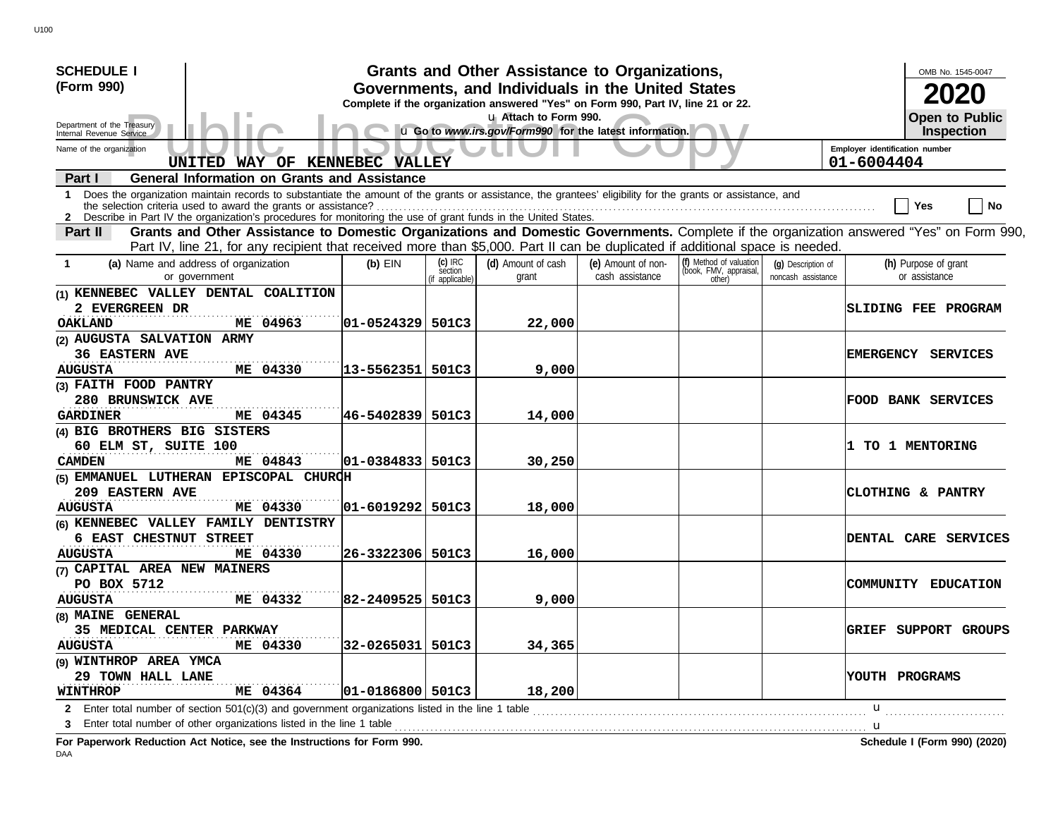| <b>SCHEDULE I</b>                                                                                                                                                                                                                                                                    |                                                                                                                                       |  | Grants and Other Assistance to Organizations,                                    |                                       |                                                             |                                          |                     | OMB No. 1545-0047                     |  |
|--------------------------------------------------------------------------------------------------------------------------------------------------------------------------------------------------------------------------------------------------------------------------------------|---------------------------------------------------------------------------------------------------------------------------------------|--|----------------------------------------------------------------------------------|---------------------------------------|-------------------------------------------------------------|------------------------------------------|---------------------|---------------------------------------|--|
| (Form 990)                                                                                                                                                                                                                                                                           | Governments, and Individuals in the United States<br>Complete if the organization answered "Yes" on Form 990, Part IV, line 21 or 22. |  |                                                                                  |                                       |                                                             |                                          |                     |                                       |  |
| Department of the Treasury<br>Internal Revenue Service                                                                                                                                                                                                                               |                                                                                                                                       |  | u Attach to Form 990.<br>u Go to www.irs.gov/Form990 for the latest information. |                                       |                                                             |                                          |                     | <b>Open to Public</b><br>Inspection   |  |
| Employer identification number<br>Name of the organization<br>UNITED WAY OF KENNEBEC VALLEY<br>01-6004404                                                                                                                                                                            |                                                                                                                                       |  |                                                                                  |                                       |                                                             |                                          |                     |                                       |  |
| <b>General Information on Grants and Assistance</b><br>Part I                                                                                                                                                                                                                        |                                                                                                                                       |  |                                                                                  |                                       |                                                             |                                          |                     |                                       |  |
| Does the organization maintain records to substantiate the amount of the grants or assistance, the grantees' eligibility for the grants or assistance, and<br>1<br>2 Describe in Part IV the organization's procedures for monitoring the use of grant funds in the United States.   |                                                                                                                                       |  |                                                                                  |                                       |                                                             |                                          |                     | No<br>Yes                             |  |
| Grants and Other Assistance to Domestic Organizations and Domestic Governments. Complete if the organization answered "Yes" on Form 990,<br>Part II<br>Part IV, line 21, for any recipient that received more than \$5,000. Part II can be duplicated if additional space is needed. |                                                                                                                                       |  |                                                                                  |                                       |                                                             |                                          |                     |                                       |  |
| $(c)$ IRC<br>(a) Name and address of organization<br>$(b)$ EIN<br>section<br>or government<br>(if applicable)                                                                                                                                                                        |                                                                                                                                       |  | (d) Amount of cash<br>grant                                                      | (e) Amount of non-<br>cash assistance | (f) Method of valuation<br>(book, FMV, appraisal,<br>other) | (q) Description of<br>noncash assistance |                     | (h) Purpose of grant<br>or assistance |  |
| (1) KENNEBEC VALLEY DENTAL COALITION<br>2 EVERGREEN DR<br><b>OAKLAND</b><br>ME 04963                                                                                                                                                                                                 | $ 01 - 0524329 501C3$                                                                                                                 |  | 22,000                                                                           |                                       |                                                             |                                          | SLIDING FEE PROGRAM |                                       |  |
| (2) AUGUSTA SALVATION ARMY<br><b>36 EASTERN AVE</b><br>ME 04330<br><b>AUGUSTA</b>                                                                                                                                                                                                    | 13-5562351 501C3                                                                                                                      |  | 9,000                                                                            |                                       |                                                             |                                          |                     | EMERGENCY SERVICES                    |  |
| (3) FAITH FOOD PANTRY<br>280 BRUNSWICK AVE<br>ME 04345<br><b>GARDINER</b>                                                                                                                                                                                                            | 46-5402839 501C3                                                                                                                      |  | 14,000                                                                           |                                       |                                                             |                                          |                     | <b>FOOD BANK SERVICES</b>             |  |
| (4) BIG BROTHERS BIG SISTERS<br>60 ELM ST, SUITE 100<br>ME 04843<br><b>CAMDEN</b>                                                                                                                                                                                                    | $ 01 - 0384833 $ 501C3                                                                                                                |  | 30,250                                                                           |                                       |                                                             |                                          |                     | 1 TO 1 MENTORING                      |  |
| (5) EMMANUEL LUTHERAN EPISCOPAL CHURCH<br><b>209 EASTERN AVE</b><br><b>AUGUSTA</b><br>ME 04330                                                                                                                                                                                       | $ 01 - 6019292 501C3$                                                                                                                 |  | 18,000                                                                           |                                       |                                                             |                                          |                     | CLOTHING & PANTRY                     |  |
| (6) KENNEBEC VALLEY FAMILY DENTISTRY<br>6 EAST CHESTNUT STREET<br>ME 04330<br><b>AUGUSTA</b>                                                                                                                                                                                         | 26-3322306 501C3                                                                                                                      |  | 16,000                                                                           |                                       |                                                             |                                          |                     | <b>DENTAL CARE SERVICES</b>           |  |
| (7) CAPITAL AREA NEW MAINERS<br>PO BOX 5712<br><b>AUGUSTA</b><br>ME 04332                                                                                                                                                                                                            | 82-2409525 501C3                                                                                                                      |  | 9,000                                                                            |                                       |                                                             |                                          |                     | COMMUNITY EDUCATION                   |  |
| (8) MAINE GENERAL<br>35 MEDICAL CENTER PARKWAY<br>ME 04330<br><b>AUGUSTA</b>                                                                                                                                                                                                         | 32-0265031 501C3                                                                                                                      |  | 34,365                                                                           |                                       |                                                             |                                          |                     | GRIEF SUPPORT GROUPS                  |  |
| (9) WINTHROP AREA YMCA<br>29 TOWN HALL LANE<br>ME 04364<br><b>WINTHROP</b>                                                                                                                                                                                                           | $ 01 - 0186800 $ 501C3                                                                                                                |  | 18,200                                                                           |                                       |                                                             |                                          | YOUTH PROGRAMS      |                                       |  |
| 2 Enter total number of section $501(c)(3)$ and government organizations listed in the line 1 table<br>3 Enter total number of other organizations listed in the line 1 table                                                                                                        |                                                                                                                                       |  |                                                                                  |                                       |                                                             |                                          | u<br>. <b>. u</b>   |                                       |  |

**For Paperwork Reduction Act Notice, see the Instructions for Form 990. Schedule I (Form 990) (2020)**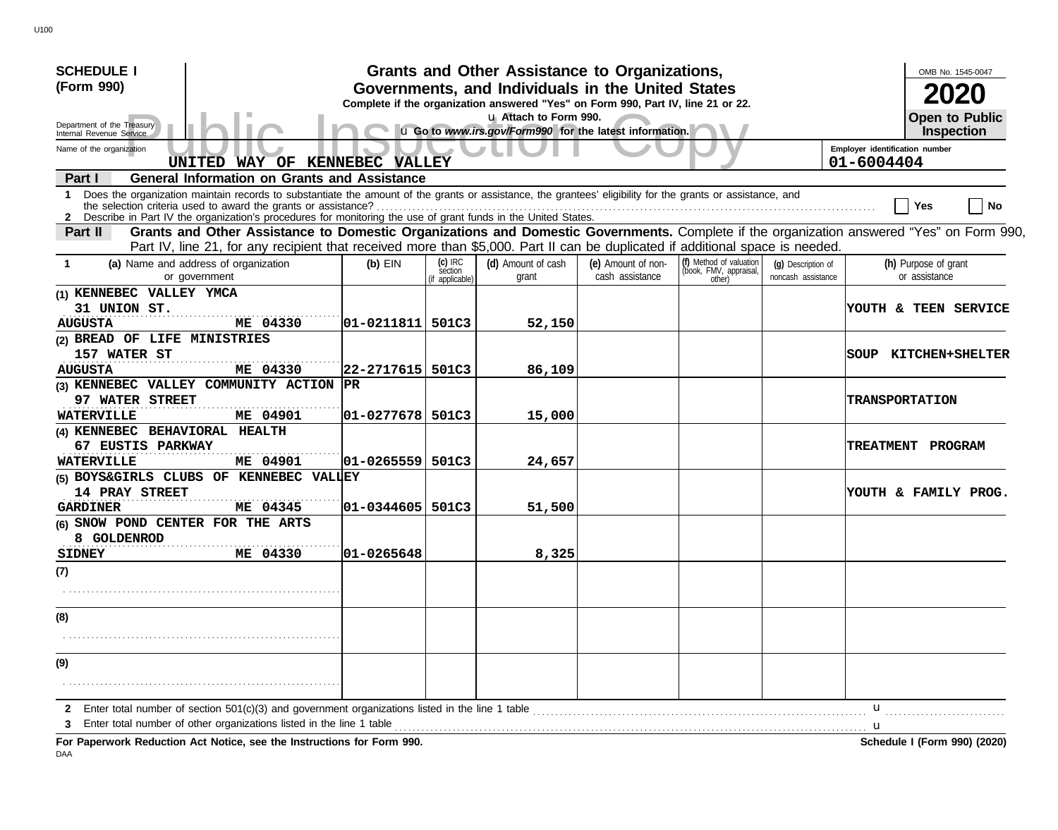| <b>SCHEDULE I</b>                                                                                                                                                                                                                                                                           |                                                                                                                                       |                                         | Grants and Other Assistance to Organizations,                                    |                                       |                                                             |                                          |                                              | OMB No. 1545-0047                     |
|---------------------------------------------------------------------------------------------------------------------------------------------------------------------------------------------------------------------------------------------------------------------------------------------|---------------------------------------------------------------------------------------------------------------------------------------|-----------------------------------------|----------------------------------------------------------------------------------|---------------------------------------|-------------------------------------------------------------|------------------------------------------|----------------------------------------------|---------------------------------------|
| (Form 990)                                                                                                                                                                                                                                                                                  | Governments, and Individuals in the United States<br>Complete if the organization answered "Yes" on Form 990, Part IV, line 21 or 22. |                                         |                                                                                  |                                       |                                                             |                                          |                                              |                                       |
| Department of the Treasury<br>Internal Revenue Service                                                                                                                                                                                                                                      |                                                                                                                                       |                                         | u Attach to Form 990.<br>u Go to www.irs.gov/Form990 for the latest information. |                                       |                                                             |                                          |                                              | <b>Open to Public</b><br>Inspection   |
| Name of the organization<br>UNITED WAY OF KENNEBEC VALLEY                                                                                                                                                                                                                                   |                                                                                                                                       |                                         |                                                                                  |                                       |                                                             |                                          | Employer identification number<br>01-6004404 |                                       |
| <b>General Information on Grants and Assistance</b><br>Part I                                                                                                                                                                                                                               |                                                                                                                                       |                                         |                                                                                  |                                       |                                                             |                                          |                                              |                                       |
| Does the organization maintain records to substantiate the amount of the grants or assistance, the grantees' eligibility for the grants or assistance, and<br>1<br>2 Describe in Part IV the organization's procedures for monitoring the use of grant funds in the United States.          |                                                                                                                                       |                                         |                                                                                  |                                       |                                                             |                                          |                                              | No<br>Yes                             |
| Grants and Other Assistance to Domestic Organizations and Domestic Governments. Complete if the organization answered "Yes" on Form 990,<br><b>Part II</b><br>Part IV, line 21, for any recipient that received more than \$5,000. Part II can be duplicated if additional space is needed. |                                                                                                                                       |                                         |                                                                                  |                                       |                                                             |                                          |                                              |                                       |
| (a) Name and address of organization<br>or government                                                                                                                                                                                                                                       | $(b)$ EIN                                                                                                                             | $(c)$ IRC<br>séction<br>(if applicable) | (d) Amount of cash<br>grant                                                      | (e) Amount of non-<br>cash assistance | (f) Method of valuation<br>(book, FMV, appraisal,<br>other) | (g) Description of<br>noncash assistance |                                              | (h) Purpose of grant<br>or assistance |
| (1) KENNEBEC VALLEY YMCA<br>31 UNION ST.<br>ME 04330<br><b>AUGUSTA</b>                                                                                                                                                                                                                      | 01-0211811 501C3                                                                                                                      |                                         | 52,150                                                                           |                                       |                                                             |                                          |                                              | YOUTH & TEEN SERVICE                  |
| (2) BREAD OF LIFE MINISTRIES<br>157 WATER ST<br>ME 04330<br><b>AUGUSTA</b>                                                                                                                                                                                                                  | 22-2717615 501C3                                                                                                                      |                                         | 86,109                                                                           |                                       |                                                             |                                          |                                              | SOUP KITCHEN+SHELTER                  |
| (3) KENNEBEC VALLEY COMMUNITY ACTION<br>97 WATER STREET                                                                                                                                                                                                                                     | PR                                                                                                                                    |                                         |                                                                                  |                                       |                                                             |                                          |                                              | <b>TRANSPORTATION</b>                 |
| ME 04901<br><b>WATERVILLE</b><br>(4) KENNEBEC BEHAVIORAL HEALTH<br>67 EUSTIS PARKWAY<br><b>WATERVILLE</b><br>ME 04901                                                                                                                                                                       | 01-0277678 501C3<br>$ 01 - 0265559  501C3$                                                                                            |                                         | 15,000<br>24,657                                                                 |                                       |                                                             |                                          |                                              | <b>TREATMENT PROGRAM</b>              |
| (5) BOYS&GIRLS CLUBS OF KENNEBEC VALIEY<br><b>14 PRAY STREET</b>                                                                                                                                                                                                                            |                                                                                                                                       |                                         |                                                                                  |                                       |                                                             |                                          |                                              | YOUTH & FAMILY PROG.                  |
| <b>GARDINER</b><br>ME 04345<br>(6) SNOW POND CENTER FOR THE ARTS<br>8 GOLDENROD                                                                                                                                                                                                             | $ 01 - 0344605 $ 501C3                                                                                                                |                                         | 51,500                                                                           |                                       |                                                             |                                          |                                              |                                       |
| <b>SIDNEY</b><br>ME 04330<br>(7)                                                                                                                                                                                                                                                            | 101-0265648                                                                                                                           |                                         | 8,325                                                                            |                                       |                                                             |                                          |                                              |                                       |
| (8)                                                                                                                                                                                                                                                                                         |                                                                                                                                       |                                         |                                                                                  |                                       |                                                             |                                          |                                              |                                       |
| (9)                                                                                                                                                                                                                                                                                         |                                                                                                                                       |                                         |                                                                                  |                                       |                                                             |                                          |                                              |                                       |
| Enter total number of section 501(c)(3) and government organizations listed in the line 1 table<br>2<br>Enter total number of other organizations listed in the line 1 table<br>3<br>For Paperwork Reduction Act Notice, see the Instructions for Form 990.                                 |                                                                                                                                       |                                         |                                                                                  |                                       |                                                             |                                          | u<br>. <b>u</b>                              | Schedule I (Form 990) (2020)          |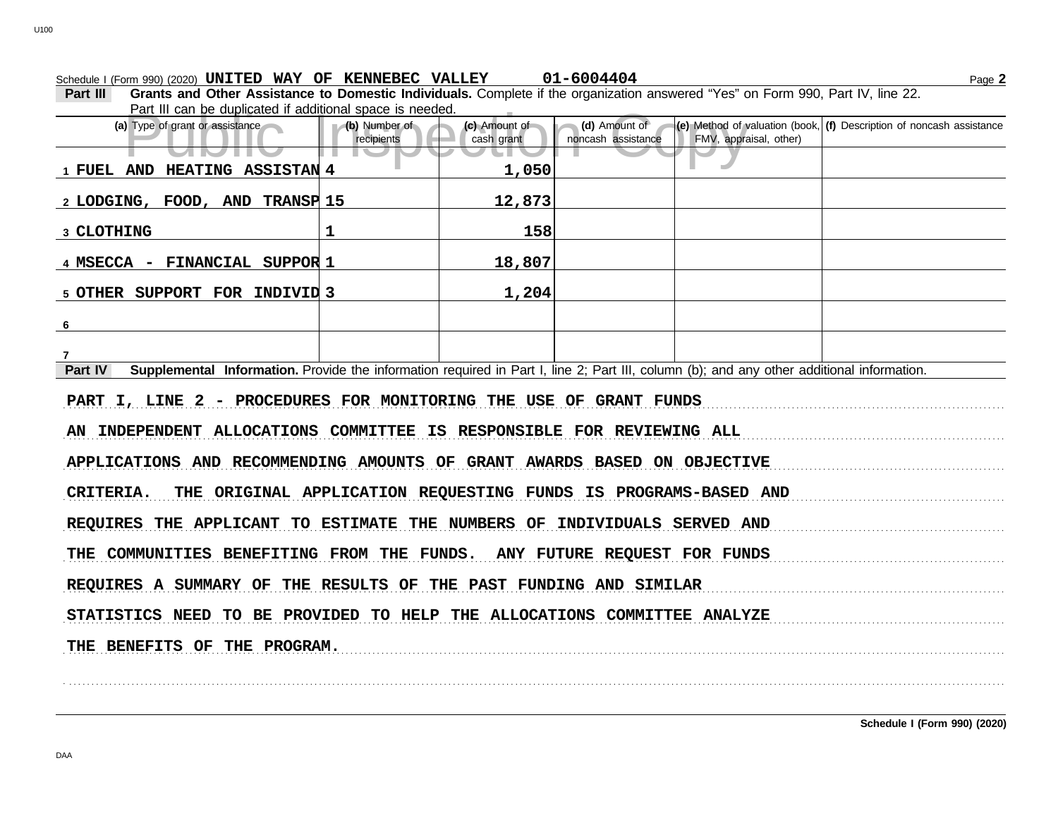## Schedule I (Form 990) (2020) Page **2 UNITED WAY OF KENNEBEC VALLEY 01-6004404**

| Part III | Grants and Other Assistance to Domestic Individuals. Complete if the organization answered "Yes" on Form 990, Part IV, line 22. |  |
|----------|---------------------------------------------------------------------------------------------------------------------------------|--|
|          | Part III can be duplicated if additional space is needed.                                                                       |  |
|          |                                                                                                                                 |  |

| Part in can be duplicated in additional space is needed.                                                                                             |                             |                             |                                     |                        |                                                                                                                          |
|------------------------------------------------------------------------------------------------------------------------------------------------------|-----------------------------|-----------------------------|-------------------------------------|------------------------|--------------------------------------------------------------------------------------------------------------------------|
| (a) Type of grant or assistance                                                                                                                      | (b) Number of<br>recipients | (c) Amount of<br>cash grant | (d) Amount of<br>noncash assistance | FMV, appraisal, other) | $\left  \textbf{(e)} \right $ Method of valuation (book, $\left  \textbf{(f)} \right $ Description of noncash assistance |
| $\blacksquare$                                                                                                                                       |                             |                             |                                     |                        |                                                                                                                          |
| 1 FUEL AND HEATING ASSISTAN 4                                                                                                                        |                             | 1,050                       |                                     |                        |                                                                                                                          |
| 2 LODGING, FOOD, AND TRANSP 15                                                                                                                       |                             | 12,873                      |                                     |                        |                                                                                                                          |
| 3 CLOTHING                                                                                                                                           | $\mathbf 1$                 | 158                         |                                     |                        |                                                                                                                          |
| 4 MSECCA - FINANCIAL SUPPOR 1                                                                                                                        |                             | 18,807                      |                                     |                        |                                                                                                                          |
| 5 OTHER SUPPORT FOR INDIVID 3                                                                                                                        |                             | 1,204                       |                                     |                        |                                                                                                                          |
| 6                                                                                                                                                    |                             |                             |                                     |                        |                                                                                                                          |
|                                                                                                                                                      |                             |                             |                                     |                        |                                                                                                                          |
| Supplemental Information. Provide the information required in Part I, line 2; Part III, column (b); and any other additional information.<br>Part IV |                             |                             |                                     |                        |                                                                                                                          |
| PART I, LINE 2 - PROCEDURES FOR MONITORING THE USE OF GRANT FUNDS                                                                                    |                             |                             |                                     |                        |                                                                                                                          |
| AN INDEPENDENT ALLOCATIONS COMMITTEE IS RESPONSIBLE FOR REVIEWING ALL                                                                                |                             |                             |                                     |                        |                                                                                                                          |
| APPLICATIONS AND RECOMMENDING AMOUNTS OF GRANT AWARDS BASED ON OBJECTIVE                                                                             |                             |                             |                                     |                        |                                                                                                                          |
| CRITERIA.<br>THE ORIGINAL APPLICATION REQUESTING FUNDS IS PROGRAMS-BASED AND                                                                         |                             |                             |                                     |                        |                                                                                                                          |
| REQUIRES THE APPLICANT TO ESTIMATE THE NUMBERS OF INDIVIDUALS SERVED AND                                                                             |                             |                             |                                     |                        |                                                                                                                          |
| THE COMMUNITIES BENEFITING FROM THE FUNDS. ANY FUTURE REQUEST FOR FUNDS                                                                              |                             |                             |                                     |                        |                                                                                                                          |
| REQUIRES A SUMMARY OF THE RESULTS OF THE PAST FUNDING AND SIMILAR                                                                                    |                             |                             |                                     |                        |                                                                                                                          |
| STATISTICS NEED TO BE PROVIDED TO HELP THE ALLOCATIONS COMMITTEE ANALYZE                                                                             |                             |                             |                                     |                        |                                                                                                                          |
|                                                                                                                                                      |                             |                             |                                     |                        |                                                                                                                          |
| THE BENEFITS OF THE PROGRAM.                                                                                                                         |                             |                             |                                     |                        |                                                                                                                          |
|                                                                                                                                                      |                             |                             |                                     |                        |                                                                                                                          |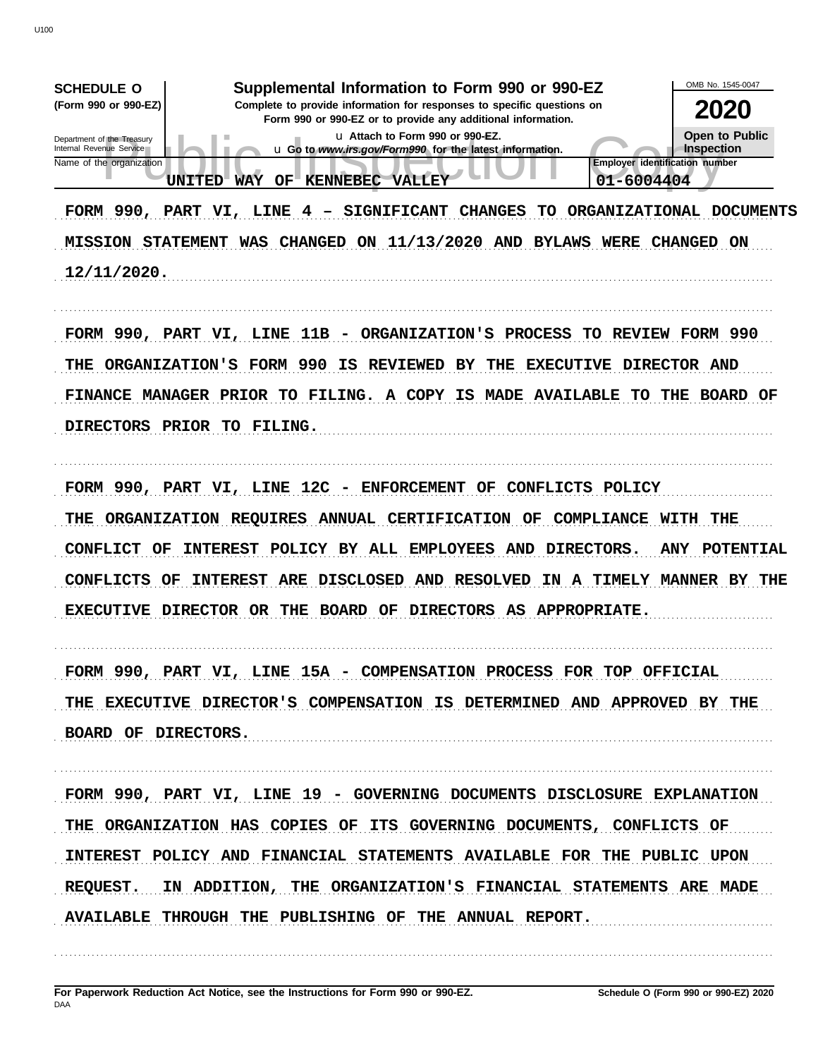OMB No. 1545-0047 **SCHEDULE O** Supplemental Information to Form 990 or 990-EZ (Form 990 or 990-EZ) Complete to provide information for responses to specific questions on 2020 Form 990 or 990-EZ or to provide any additional information. Open to Public u Attach to Form 990 or 990-EZ. Department of the Treasury<br>Internal Revenue Service u Go to www.irs.gov/Form990 for the latest information. Inspection Name of the organization **Employer identification number** UNITED WAY OF KENNEBEC VALLEY 01-6004404 FORM 990, PART VI, LINE 4 - SIGNIFICANT CHANGES TO ORGANIZATIONAL DOCUMENTS MISSION STATEMENT WAS CHANGED ON 11/13/2020 AND BYLAWS WERE CHANGED ON 12/11/2020. FORM 990, PART VI, LINE 11B - ORGANIZATION'S PROCESS TO REVIEW FORM 990 THE ORGANIZATION'S FORM 990 IS REVIEWED BY THE EXECUTIVE DIRECTOR AND FINANCE MANAGER PRIOR TO FILING. A COPY IS MADE AVAILABLE TO THE BOARD OF DIRECTORS PRIOR TO FILING. FORM 990, PART VI, LINE 12C - ENFORCEMENT OF CONFLICTS POLICY THE ORGANIZATION REQUIRES ANNUAL CERTIFICATION OF COMPLIANCE WITH THE CONFLICT OF INTEREST POLICY BY ALL EMPLOYEES AND DIRECTORS. ANY POTENTIAL CONFLICTS OF INTEREST ARE DISCLOSED AND RESOLVED IN A TIMELY MANNER BY THE EXECUTIVE DIRECTOR OR THE BOARD OF DIRECTORS AS APPROPRIATE. FORM 990, PART VI, LINE 15A - COMPENSATION PROCESS FOR TOP OFFICIAL THE EXECUTIVE DIRECTOR'S COMPENSATION IS DETERMINED AND APPROVED BY THE BOARD OF DIRECTORS. FORM 990, PART VI, LINE 19 - GOVERNING DOCUMENTS DISCLOSURE EXPLANATION THE ORGANIZATION HAS COPIES OF ITS GOVERNING DOCUMENTS, CONFLICTS OF INTEREST POLICY AND FINANCIAL STATEMENTS AVAILABLE FOR THE PUBLIC UPON **REQUEST.** IN ADDITION, THE ORGANIZATION'S FINANCIAL STATEMENTS ARE MADE AVAILABLE THROUGH THE PUBLISHING OF THE ANNUAL REPORT.